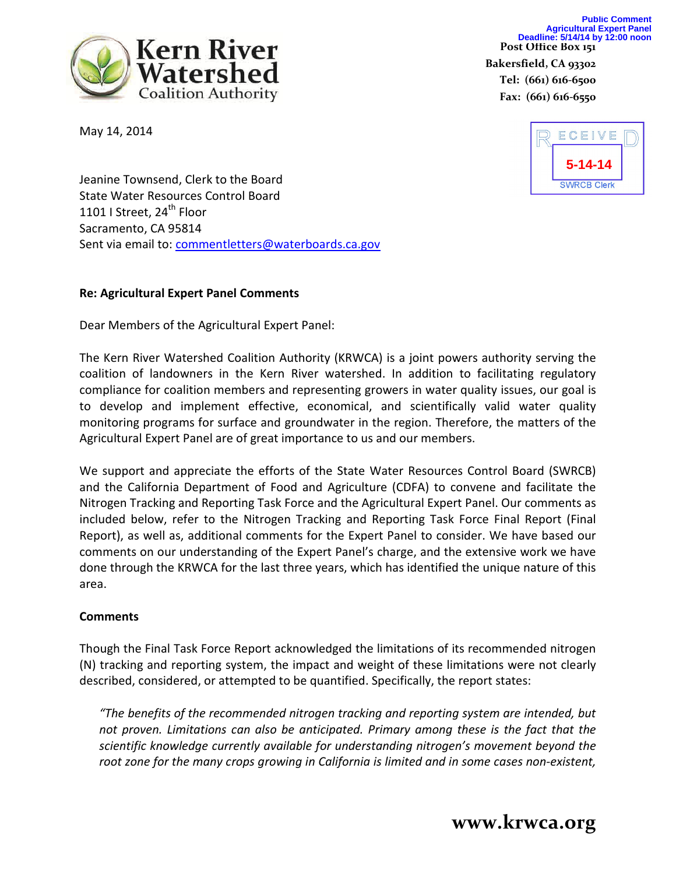Bakersfield, CA 93302 Tel: (661) 616-6500 Fax: (661) 616-6550



May 14, 2014



Jeanine Townsend, Clerk to the Board State Water Resources Control Board 1101 I Street, 24<sup>th</sup> Floor Sacramento, CA 95814 Sent via email to: commentletters@waterboards.ca.gov

### Re: Agricultural Expert Panel Comments

Dear Members of the Agricultural Expert Panel:

The Kern River Watershed Coalition Authority (KRWCA) is a joint powers authority serving the coalition of landowners in the Kern River watershed. In addition to facilitating regulatory compliance for coalition members and representing growers in water quality issues, our goal is to develop and implement effective, economical, and scientifically valid water quality monitoring programs for surface and groundwater in the region. Therefore, the matters of the Agricultural Expert Panel are of great importance to us and our members.

We support and appreciate the efforts of the State Water Resources Control Board (SWRCB) and the California Department of Food and Agriculture (CDFA) to convene and facilitate the Nitrogen Tracking and Reporting Task Force and the Agricultural Expert Panel. Our comments as included below, refer to the Nitrogen Tracking and Reporting Task Force Final Report (Final Report), as well as, additional comments for the Expert Panel to consider. We have based our comments on our understanding of the Expert Panel's charge, and the extensive work we have done through the KRWCA for the last three years, which has identified the unique nature of this area.

### **Comments**

Though the Final Task Force Report acknowledged the limitations of its recommended nitrogen (N) tracking and reporting system, the impact and weight of these limitations were not clearly described, considered, or attempted to be quantified. Specifically, the report states:

"The benefits of the recommended nitrogen tracking and reporting system are intended, but not proven. Limitations can also be anticipated. Primary among these is the fact that the scientific knowledge currently available for understanding nitrogen's movement beyond the root zone for the many crops growing in California is limited and in some cases non-existent,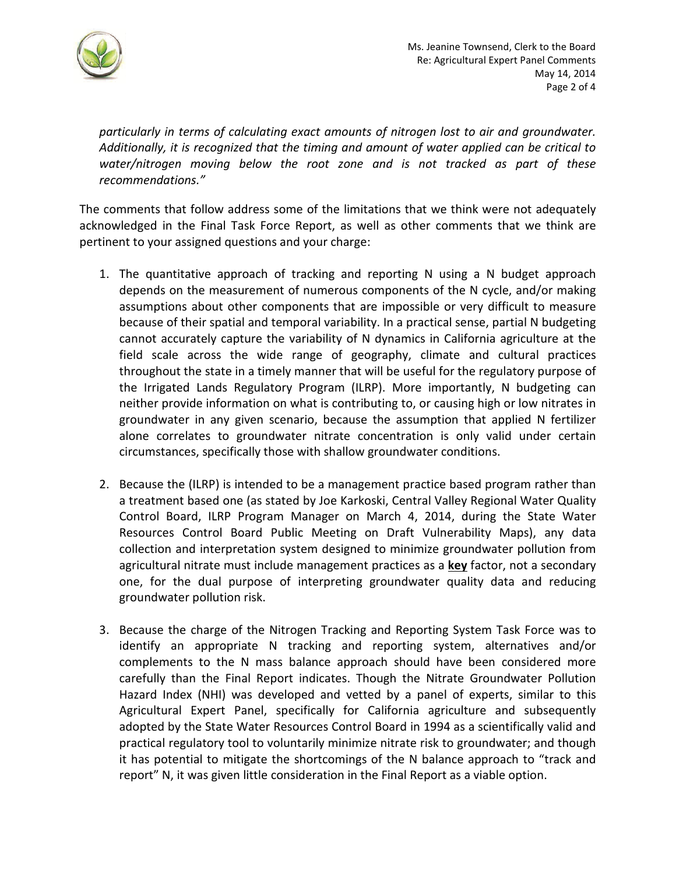

particularly in terms of calculating exact amounts of nitrogen lost to air and groundwater. Additionally, it is recognized that the timing and amount of water applied can be critical to water/nitrogen moving below the root zone and is not tracked as part of these recommendations."

The comments that follow address some of the limitations that we think were not adequately acknowledged in the Final Task Force Report, as well as other comments that we think are pertinent to your assigned questions and your charge:

- 1. The quantitative approach of tracking and reporting N using a N budget approach depends on the measurement of numerous components of the N cycle, and/or making assumptions about other components that are impossible or very difficult to measure because of their spatial and temporal variability. In a practical sense, partial N budgeting cannot accurately capture the variability of N dynamics in California agriculture at the field scale across the wide range of geography, climate and cultural practices throughout the state in a timely manner that will be useful for the regulatory purpose of the Irrigated Lands Regulatory Program (ILRP). More importantly, N budgeting can neither provide information on what is contributing to, or causing high or low nitrates in groundwater in any given scenario, because the assumption that applied N fertilizer alone correlates to groundwater nitrate concentration is only valid under certain circumstances, specifically those with shallow groundwater conditions.
- 2. Because the (ILRP) is intended to be a management practice based program rather than a treatment based one (as stated by Joe Karkoski, Central Valley Regional Water Quality Control Board, ILRP Program Manager on March 4, 2014, during the State Water Resources Control Board Public Meeting on Draft Vulnerability Maps), any data collection and interpretation system designed to minimize groundwater pollution from agricultural nitrate must include management practices as a key factor, not a secondary one, for the dual purpose of interpreting groundwater quality data and reducing groundwater pollution risk.
- 3. Because the charge of the Nitrogen Tracking and Reporting System Task Force was to identify an appropriate N tracking and reporting system, alternatives and/or complements to the N mass balance approach should have been considered more carefully than the Final Report indicates. Though the Nitrate Groundwater Pollution Hazard Index (NHI) was developed and vetted by a panel of experts, similar to this Agricultural Expert Panel, specifically for California agriculture and subsequently adopted by the State Water Resources Control Board in 1994 as a scientifically valid and practical regulatory tool to voluntarily minimize nitrate risk to groundwater; and though it has potential to mitigate the shortcomings of the N balance approach to "track and report" N, it was given little consideration in the Final Report as a viable option.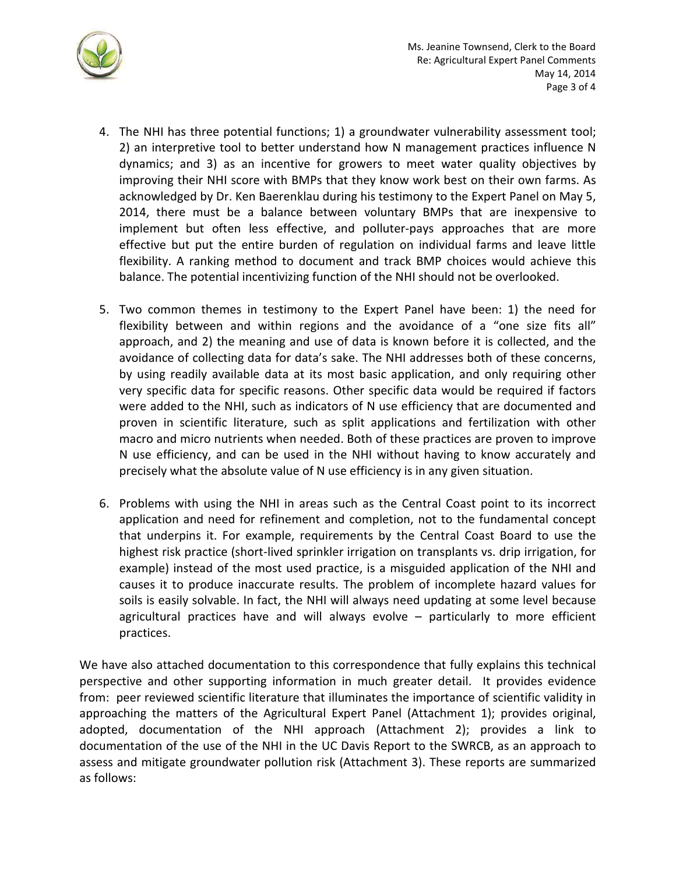

- 4. The NHI has three potential functions; 1) a groundwater vulnerability assessment tool; 2) an interpretive tool to better understand how N management practices influence N dynamics; and 3) as an incentive for growers to meet water quality objectives by improving their NHI score with BMPs that they know work best on their own farms. As acknowledged by Dr. Ken Baerenklau during his testimony to the Expert Panel on May 5, 2014, there must be a balance between voluntary BMPs that are inexpensive to implement but often less effective, and polluter-pays approaches that are more effective but put the entire burden of regulation on individual farms and leave little flexibility. A ranking method to document and track BMP choices would achieve this balance. The potential incentivizing function of the NHI should not be overlooked.
- 5. Two common themes in testimony to the Expert Panel have been: 1) the need for flexibility between and within regions and the avoidance of a "one size fits all" approach, and 2) the meaning and use of data is known before it is collected, and the avoidance of collecting data for data's sake. The NHI addresses both of these concerns, by using readily available data at its most basic application, and only requiring other very specific data for specific reasons. Other specific data would be required if factors were added to the NHI, such as indicators of N use efficiency that are documented and proven in scientific literature, such as split applications and fertilization with other macro and micro nutrients when needed. Both of these practices are proven to improve N use efficiency, and can be used in the NHI without having to know accurately and precisely what the absolute value of N use efficiency is in any given situation.
- 6. Problems with using the NHI in areas such as the Central Coast point to its incorrect application and need for refinement and completion, not to the fundamental concept that underpins it. For example, requirements by the Central Coast Board to use the highest risk practice (short-lived sprinkler irrigation on transplants vs. drip irrigation, for example) instead of the most used practice, is a misguided application of the NHI and causes it to produce inaccurate results. The problem of incomplete hazard values for soils is easily solvable. In fact, the NHI will always need updating at some level because agricultural practices have and will always evolve – particularly to more efficient practices.

We have also attached documentation to this correspondence that fully explains this technical perspective and other supporting information in much greater detail. It provides evidence from: peer reviewed scientific literature that illuminates the importance of scientific validity in approaching the matters of the Agricultural Expert Panel (Attachment 1); provides original, adopted, documentation of the NHI approach (Attachment 2); provides a link to documentation of the use of the NHI in the UC Davis Report to the SWRCB, as an approach to assess and mitigate groundwater pollution risk (Attachment 3). These reports are summarized as follows: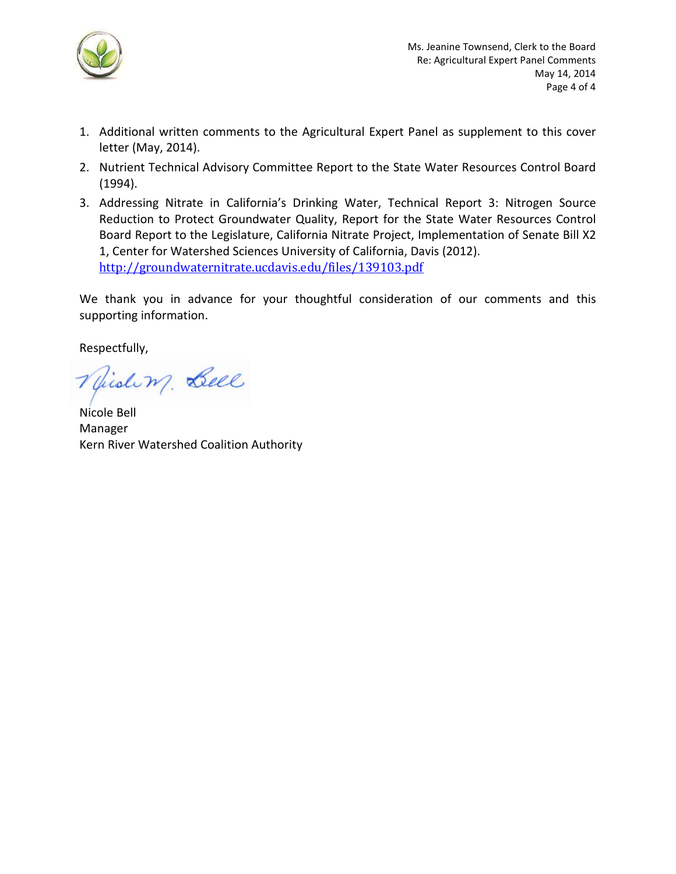

- 1. Additional written comments to the Agricultural Expert Panel as supplement to this cover letter (May, 2014).
- 2. Nutrient Technical Advisory Committee Report to the State Water Resources Control Board (1994).
- 3. Addressing Nitrate in California's Drinking Water, Technical Report 3: Nitrogen Source Reduction to Protect Groundwater Quality, Report for the State Water Resources Control Board Report to the Legislature, California Nitrate Project, Implementation of Senate Bill X2 1, Center for Watershed Sciences University of California, Davis (2012). http://groundwaternitrate.ucdavis.edu/files/139103.pdf

We thank you in advance for your thoughtful consideration of our comments and this supporting information.

Respectfully,

Miding Bell

Nicole Bell Manager Kern River Watershed Coalition Authority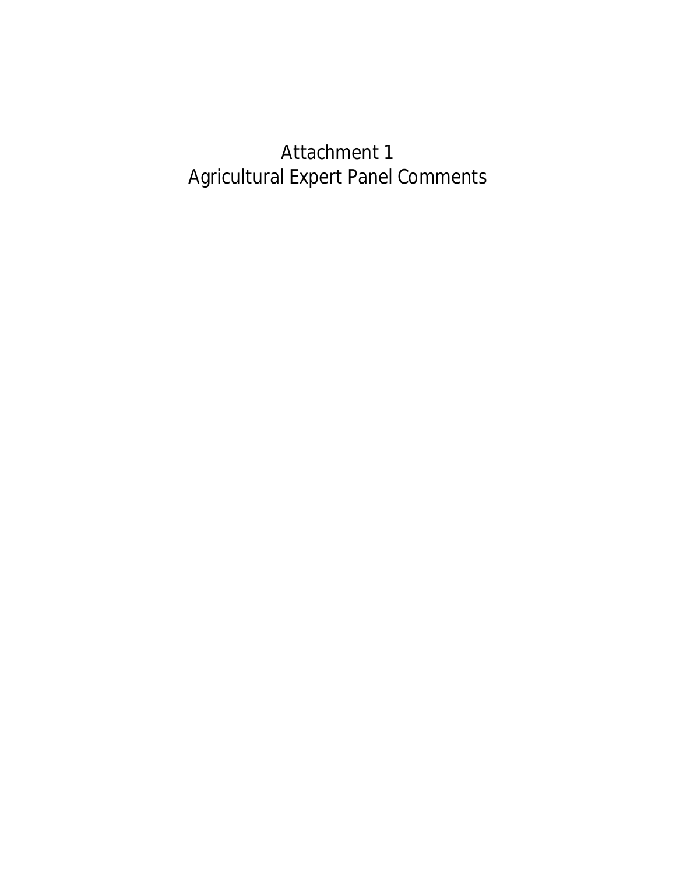# Attachment 1 Agricultural Expert Panel Comments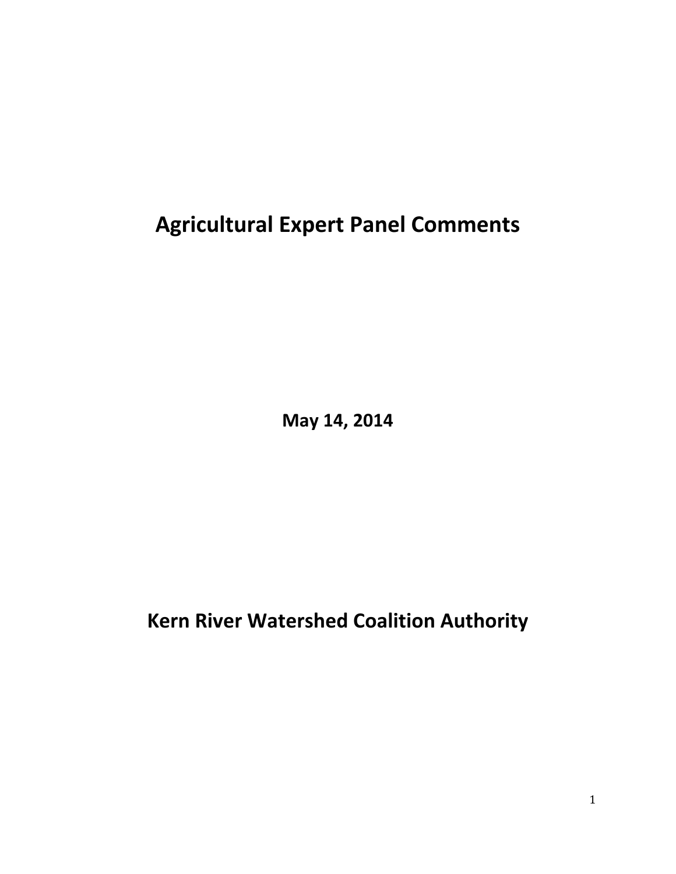**Agricultural Expert Panel Comments**

**May 14, 2014**

**Kern River Watershed Coalition Authority**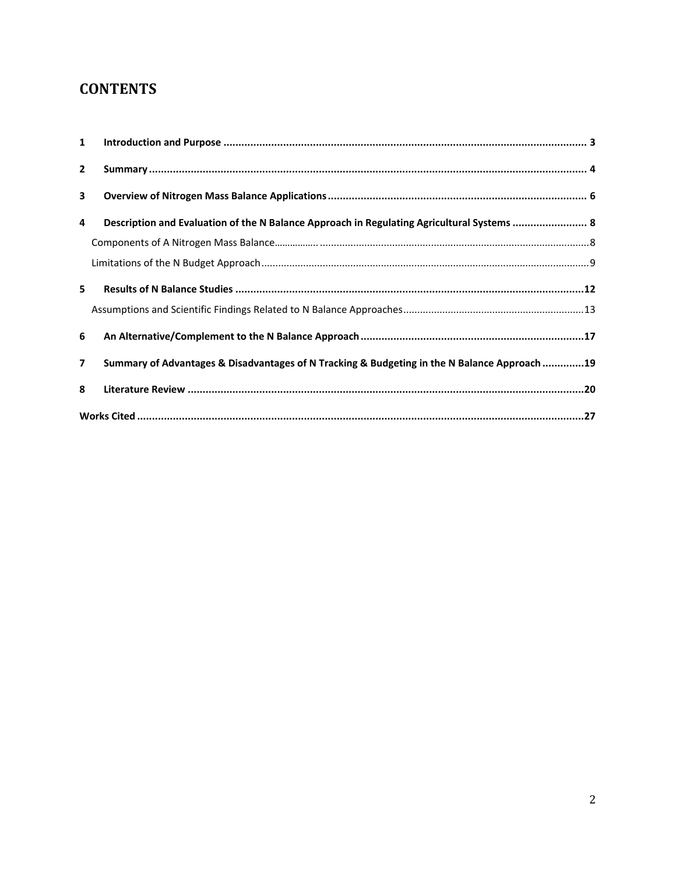## **CONTENTS**

| $\mathbf{1}$   |                                                                                              |  |  |
|----------------|----------------------------------------------------------------------------------------------|--|--|
| $\overline{2}$ |                                                                                              |  |  |
| 3              |                                                                                              |  |  |
| 4              | Description and Evaluation of the N Balance Approach in Regulating Agricultural Systems  8   |  |  |
|                |                                                                                              |  |  |
|                |                                                                                              |  |  |
| 5.             |                                                                                              |  |  |
|                |                                                                                              |  |  |
| 6              |                                                                                              |  |  |
| $\overline{7}$ | Summary of Advantages & Disadvantages of N Tracking & Budgeting in the N Balance Approach 19 |  |  |
| 8              |                                                                                              |  |  |
|                |                                                                                              |  |  |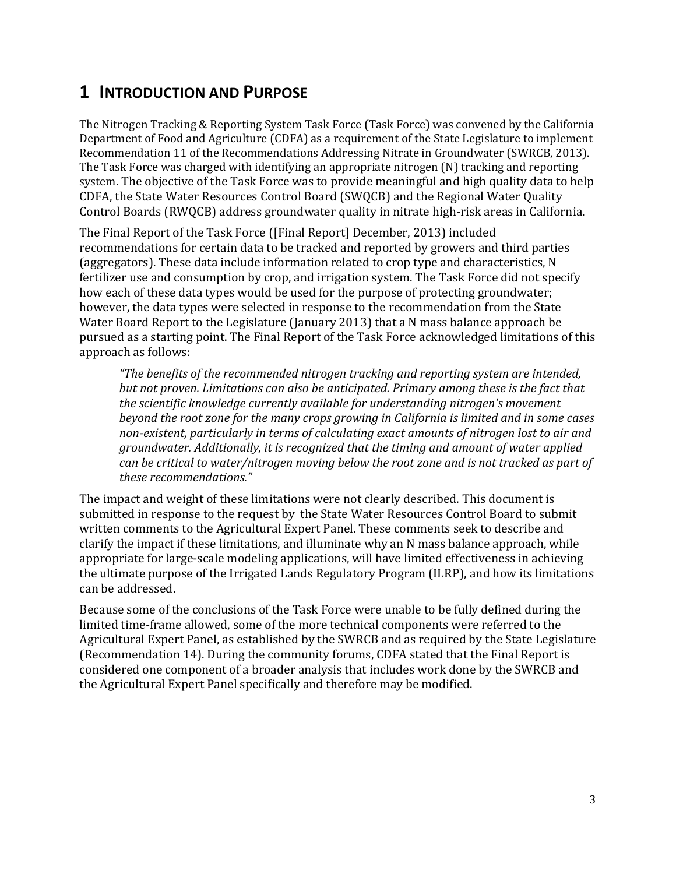### <span id="page-7-0"></span>**1 INTRODUCTION AND PURPOSE**

The Nitrogen Tracking & Reporting System Task Force (Task Force) was convened by the California Department of Food and Agriculture (CDFA) as a requirement of the State Legislature to implement Recommendation 11 of the Recommendations Addressing Nitrate in Groundwater (SWRCB, 2013). The Task Force was charged with identifying an appropriate nitrogen (N) tracking and reporting system. The objective of the Task Force was to provide meaningful and high quality data to help CDFA, the State Water Resources Control Board (SWQCB) and the Regional Water Quality Control Boards (RWQCB) address groundwater quality in nitrate high-risk areas in California.

The Final Report of the Task Force ([Final Report] December, 2013) included recommendations for certain data to be tracked and reported by growers and third parties (aggregators). These data include information related to crop type and characteristics, N fertilizer use and consumption by crop, and irrigation system. The Task Force did not specify how each of these data types would be used for the purpose of protecting groundwater; however, the data types were selected in response to the recommendation from the State Water Board Report to the Legislature (January 2013) that a N mass balance approach be pursued as a starting point. The Final Report of the Task Force acknowledged limitations of this approach as follows:

*"The benefits of the recommended nitrogen tracking and reporting system are intended, but not proven. Limitations can also be anticipated. Primary among these is the fact that the scientific knowledge currently available for understanding nitrogen's movement beyond the root zone for the many crops growing in California is limited and in some cases nonexistent, particularly in terms of calculating exact amounts of nitrogen lost to air and groundwater. Additionally, it is recognized that the timing and amount of water applied can be critical to water/nitrogen moving below the root zone and is not tracked as part of these recommendations."*

The impact and weight of these limitations were not clearly described. This document is submitted in response to the request by the State Water Resources Control Board to submit written comments to the Agricultural Expert Panel. These comments seek to describe and clarify the impact if these limitations, and illuminate why an N mass balance approach, while appropriate for large‐scale modeling applications, will have limited effectiveness in achieving the ultimate purpose of the Irrigated Lands Regulatory Program (ILRP), and how its limitations can be addressed.

Because some of the conclusions of the Task Force were unable to be fully defined during the limited time‐frame allowed, some of the more technical components were referred to the Agricultural Expert Panel, as established by the SWRCB and as required by the State Legislature (Recommendation 14). During the community forums, CDFA stated that the Final Report is considered one component of a broader analysis that includes work done by the SWRCB and the Agricultural Expert Panel specifically and therefore may be modified.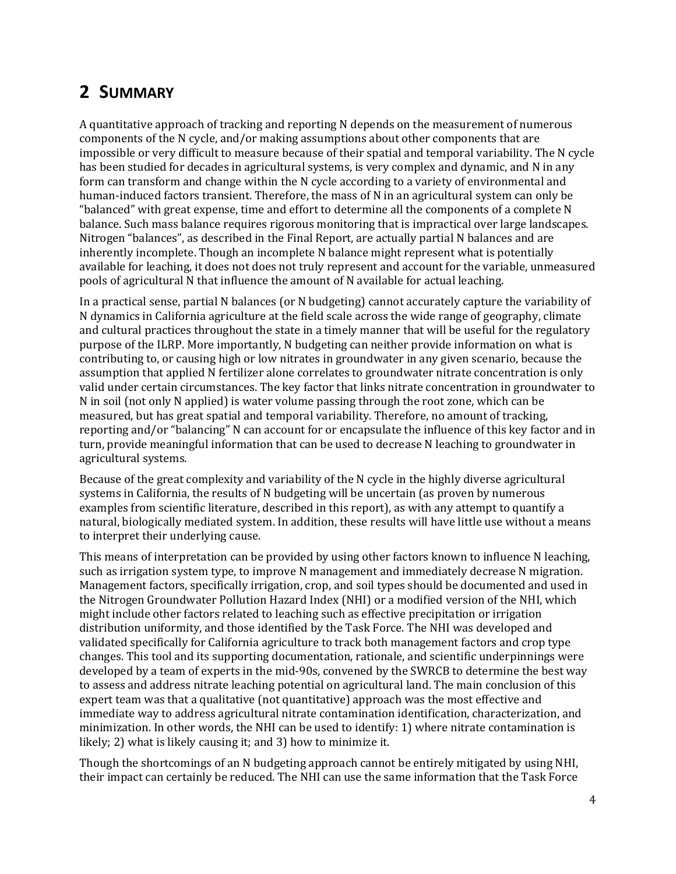## <span id="page-8-0"></span>**2 SUMMARY**

A quantitative approach of tracking and reporting N depends on the measurement of numerous components of the N cycle, and/or making assumptions about other components that are impossible or very difficult to measure because of their spatial and temporal variability. The N cycle has been studied for decades in agricultural systems, is very complex and dynamic, and N in any form can transform and change within the N cycle according to a variety of environmental and human-induced factors transient. Therefore, the mass of N in an agricultural system can only be "balanced" with great expense, time and effort to determine all the components of a complete N balance. Such mass balance requires rigorous monitoring that is impractical over large landscapes. Nitrogen "balances", as described in the Final Report, are actually partial N balances and are inherently incomplete. Though an incomplete N balance might represent what is potentially available for leaching, it does not does not truly represent and account for the variable, unmeasured pools of agricultural N that influence the amount of N available for actual leaching.

In a practical sense, partial N balances (or N budgeting) cannot accurately capture the variability of N dynamics in California agriculture at the field scale across the wide range of geography, climate and cultural practices throughout the state in a timely manner that will be useful for the regulatory purpose of the ILRP. More importantly, N budgeting can neither provide information on what is contributing to, or causing high or low nitrates in groundwater in any given scenario, because the assumption that applied N fertilizer alone correlates to groundwater nitrate concentration is only valid under certain circumstances. The key factor that links nitrate concentration in groundwater to N in soil (not only N applied) is water volume passing through the root zone, which can be measured, but has great spatial and temporal variability. Therefore, no amount of tracking, reporting and/or "balancing" N can account for or encapsulate the influence of this key factor and in turn, provide meaningful information that can be used to decrease N leaching to groundwater in agricultural systems.

Because of the great complexity and variability of the N cycle in the highly diverse agricultural systems in California, the results of N budgeting will be uncertain (as proven by numerous examples from scientific literature, described in this report), as with any attempt to quantify a natural, biologically mediated system. In addition, these results will have little use without a means to interpret their underlying cause.

This means of interpretation can be provided by using other factors known to influence N leaching, such as irrigation system type, to improve N management and immediately decrease N migration. Management factors, specifically irrigation, crop, and soil types should be documented and used in the Nitrogen Groundwater Pollution Hazard Index (NHI) or a modified version of the NHI, which might include other factors related to leaching such as effective precipitation or irrigation distribution uniformity, and those identified by the Task Force. The NHI was developed and validated specifically for California agriculture to track both management factors and crop type changes. This tool and its supporting documentation, rationale, and scientific underpinnings were developed by a team of experts in the mid-90s, convened by the SWRCB to determine the best way to assess and address nitrate leaching potential on agricultural land. The main conclusion of this expert team was that a qualitative (not quantitative) approach was the most effective and immediate way to address agricultural nitrate contamination identification, characterization, and minimization. In other words, the NHI can be used to identify: 1) where nitrate contamination is likely; 2) what is likely causing it; and 3) how to minimize it.

Though the shortcomings of an N budgeting approach cannot be entirely mitigated by using NHI, their impact can certainly be reduced. The NHI can use the same information that the Task Force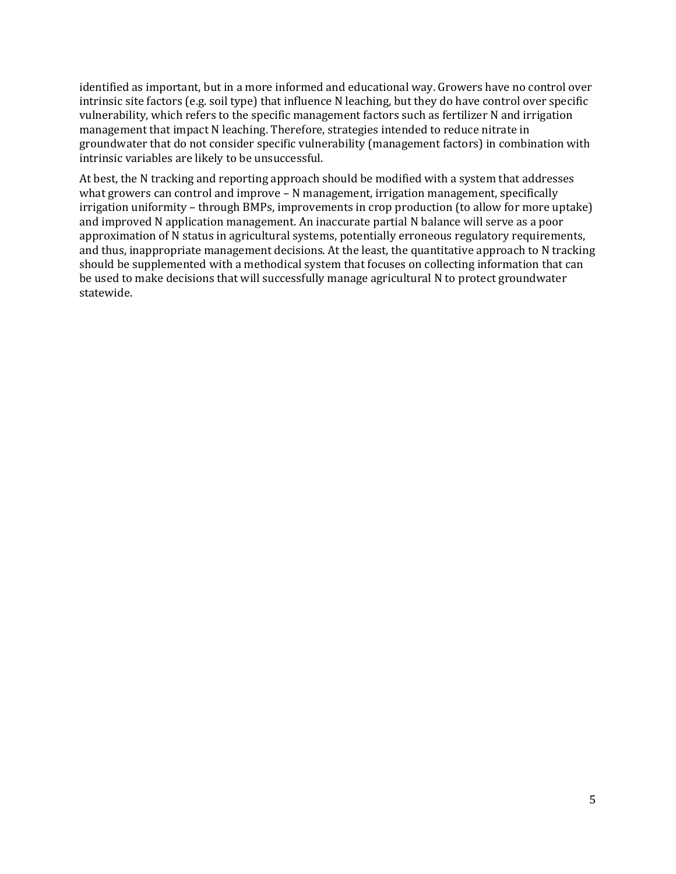identified as important, but in a more informed and educational way. Growers have no control over intrinsic site factors (e.g. soil type) that influence N leaching, but they do have control over specific vulnerability, which refers to the specific management factors such as fertilizer N and irrigation management that impact N leaching. Therefore, strategies intended to reduce nitrate in groundwater that do not consider specific vulnerability (management factors) in combination with intrinsic variables are likely to be unsuccessful.

At best, the N tracking and reporting approach should be modified with a system that addresses what growers can control and improve – N management, irrigation management, specifically irrigation uniformity – through BMPs, improvements in crop production (to allow for more uptake) and improved N application management. An inaccurate partial N balance will serve as a poor approximation of N status in agricultural systems, potentially erroneous regulatory requirements, and thus, inappropriate management decisions. At the least, the quantitative approach to N tracking should be supplemented with a methodical system that focuses on collecting information that can be used to make decisions that will successfully manage agricultural N to protect groundwater statewide.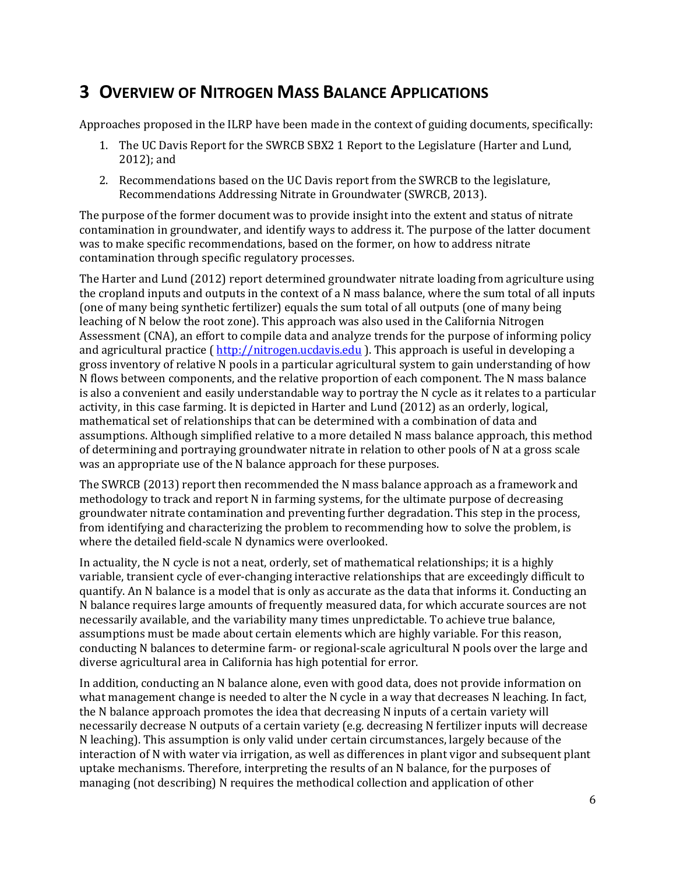## <span id="page-10-0"></span>**3 OVERVIEW OF NITROGEN MASS BALANCE APPLICATIONS**

Approaches proposed in the ILRP have been made in the context of guiding documents, specifically:

- 1. The UC Davis Report for the SWRCB SBX2 1 Report to the Legislature (Harter and Lund, 2012); and
- 2. Recommendations based on the UC Davis report from the SWRCB to the legislature, Recommendations Addressing Nitrate in Groundwater (SWRCB, 2013).

The purpose of the former document was to provide insight into the extent and status of nitrate contamination in groundwater, and identify ways to address it. The purpose of the latter document was to make specific recommendations, based on the former, on how to address nitrate contamination through specific regulatory processes.

The Harter and Lund (2012) report determined groundwater nitrate loading from agriculture using the cropland inputs and outputs in the context of a N mass balance, where the sum total of all inputs (one of many being synthetic fertilizer) equals the sum total of all outputs (one of many being leaching of N below the root zone). This approach was also used in the California Nitrogen Assessment (CNA), an effort to compile data and analyze trends for the purpose of informing policy and agricultural practice (http://nitrogen.ucdavis.edu ). This approach is useful in developing a gross inventory of relative N pools in a particular agricultural system to gain understanding of how N flows between components, and the relative proportion of each component. The N mass balance is also a convenient and easily understandable way to portray the N cycle as it relates to a particular activity, in this case farming. It is depicted in Harter and Lund (2012) as an orderly, logical, mathematical set of relationships that can be determined with a combination of data and assumptions. Although simplified relative to a more detailed N mass balance approach, this method of determining and portraying groundwater nitrate in relation to other pools of N at a gross scale was an appropriate use of the N balance approach for these purposes.

The SWRCB (2013) report then recommended the N mass balance approach as a framework and methodology to track and report N in farming systems, for the ultimate purpose of decreasing groundwater nitrate contamination and preventing further degradation. This step in the process, from identifying and characterizing the problem to recommending how to solve the problem, is where the detailed field‐scale N dynamics were overlooked.

In actuality, the N cycle is not a neat, orderly, set of mathematical relationships; it is a highly variable, transient cycle of ever‐changing interactive relationships that are exceedingly difficult to quantify. An N balance is a model that is only as accurate as the data that informs it. Conducting an N balance requires large amounts of frequently measured data, for which accurate sources are not necessarily available, and the variability many times unpredictable. To achieve true balance, assumptions must be made about certain elements which are highly variable. For this reason, conducting N balances to determine farm‐ or regional‐scale agricultural N pools over the large and diverse agricultural area in California has high potential for error.

In addition, conducting an N balance alone, even with good data, does not provide information on what management change is needed to alter the N cycle in a way that decreases N leaching. In fact, the N balance approach promotes the idea that decreasing N inputs of a certain variety will necessarily decrease N outputs of a certain variety (e.g. decreasing N fertilizer inputs will decrease N leaching). This assumption is only valid under certain circumstances, largely because of the interaction of N with water via irrigation, as well as differences in plant vigor and subsequent plant uptake mechanisms. Therefore, interpreting the results of an N balance, for the purposes of managing (not describing) N requires the methodical collection and application of other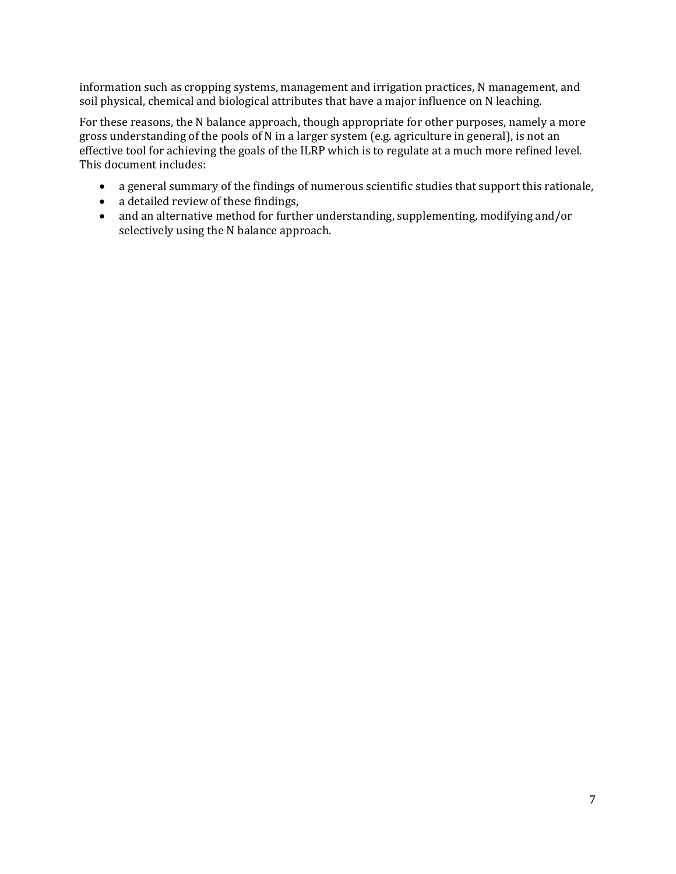information such as cropping systems, management and irrigation practices, N management, and soil physical, chemical and biological attributes that have a major influence on N leaching.

For these reasons, the N balance approach, though appropriate for other purposes, namely a more gross understanding of the pools of N in a larger system (e.g. agriculture in general), is not an effective tool for achieving the goals of the ILRP which is to regulate at a much more refined level. This document includes:

- a general summary of the findings of numerous scientific studies that support this rationale,
- a detailed review of these findings,
- and an alternative method for further understanding, supplementing, modifying and/or selectively using the N balance approach.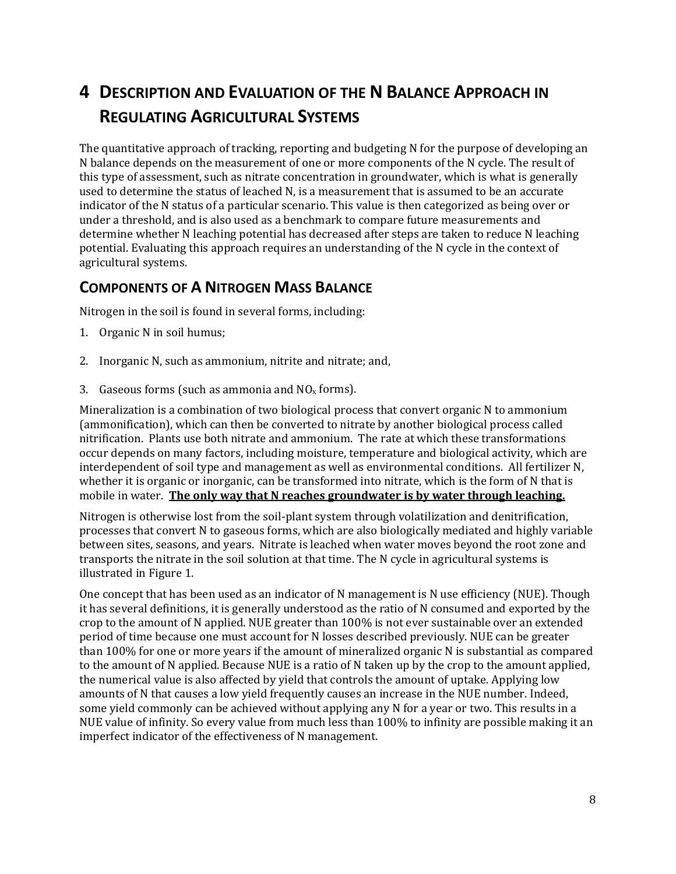# <span id="page-12-0"></span>**4 DESCRIPTION AND EVALUATION OF THE N BALANCE APPROACH IN REGULATING AGRICULTURAL SYSTEMS**

The quantitative approach of tracking, reporting and budgeting N for the purpose of developing an N balance depends on the measurement of one or more components of the N cycle. The result of this type of assessment, such as nitrate concentration in groundwater, which is what is generally used to determine the status of leached N, is a measurement that is assumed to be an accurate indicator of the N status of a particular scenario. This value is then categorized as being over or under a threshold, and is also used as a benchmark to compare future measurements and determine whether N leaching potential has decreased after steps are taken to reduce N leaching potential. Evaluating this approach requires an understanding of the N cycle in the context of agricultural systems.

### **COMPONENTS OF A NITROGEN MASS BALANCE**

Nitrogen in the soil is found in several forms, including:

- 1. Organic N in soil humus;
- 2. Inorganic N, such as ammonium, nitrite and nitrate; and,
- 3. Gaseous forms (such as ammonia and  $NO<sub>x</sub>$  forms).

Mineralization is a combination of two biological process that convert organic N to ammonium (ammonification), which can then be converted to nitrate by another biological process called nitrification. Plants use both nitrate and ammonium. The rate at which these transformations occur depends on many factors, including moisture, temperature and biological activity, which are interdependent of soil type and management as well as environmental conditions. All fertilizer N, whether it is organic or inorganic, can be transformed into nitrate, which is the form of N that is mobile in water. **The only way that N reaches groundwater is by water through leaching.**

Nitrogen is otherwise lost from the soil‐plant system through volatilization and denitrification, processes that convert N to gaseous forms, which are also biologically mediated and highly variable between sites, seasons, and years. Nitrate is leached when water moves beyond the root zone and transports the nitrate in the soil solution at that time. The N cycle in agricultural systems is illustrated in Figure 1.

One concept that has been used as an indicator of N management is N use efficiency (NUE). Though it has several definitions, it is generally understood as the ratio of N consumed and exported by the crop to the amount of N applied. NUE greater than 100% is not ever sustainable over an extended period of time because one must account for N losses described previously. NUE can be greater than 100% for one or more years if the amount of mineralized organic N is substantial as compared to the amount of N applied. Because NUE is a ratio of N taken up by the crop to the amount applied, the numerical value is also affected by yield that controls the amount of uptake. Applying low amounts of N that causes a low yield frequently causes an increase in the NUE number. Indeed, some yield commonly can be achieved without applying any N for a year or two. This results in a NUE value of infinity. So every value from much less than 100% to infinity are possible making it an imperfect indicator of the effectiveness of N management.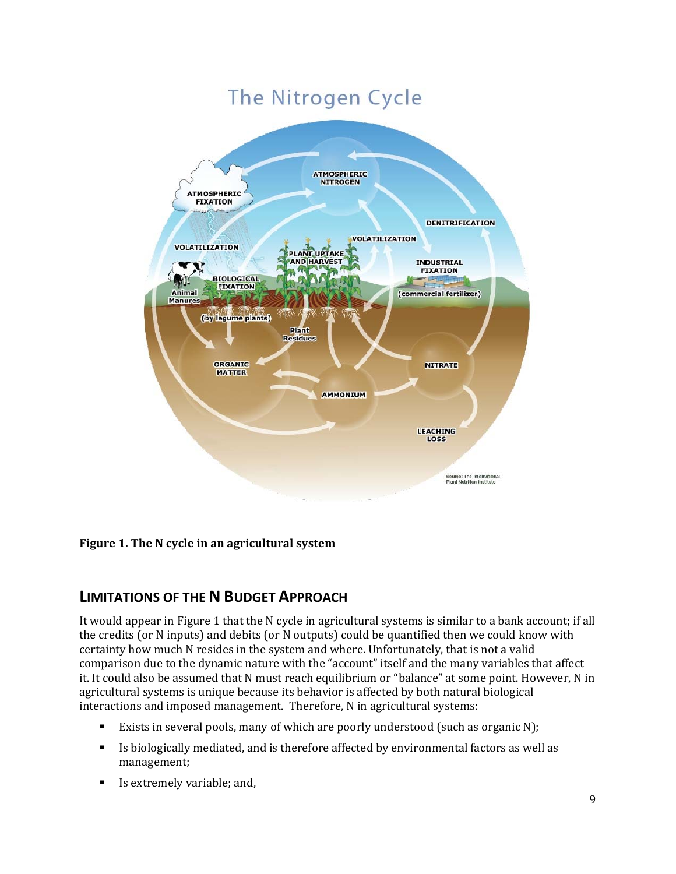# The Nitrogen Cycle

<span id="page-13-0"></span>

**Figure 1. The N cycle in an agricultural system**

### **LIMITATIONS OF THE N BUDGET APPROACH**

It would appear in Figure 1 that the N cycle in agricultural systems is similar to a bank account; if all the credits (or N inputs) and debits (or N outputs) could be quantified then we could know with certainty how much N resides in the system and where. Unfortunately, that is not a valid comparison due to the dynamic nature with the "account" itself and the many variables that affect it. It could also be assumed that N must reach equilibrium or "balance" at some point. However, N in agricultural systems is unique because its behavior is affected by both natural biological interactions and imposed management. Therefore, N in agricultural systems:

- . Exists in several pools, many of which are poorly understood (such as organic N);
- Is biologically mediated, and is therefore affected by environmental factors as well as management;
- **Is extremely variable; and,**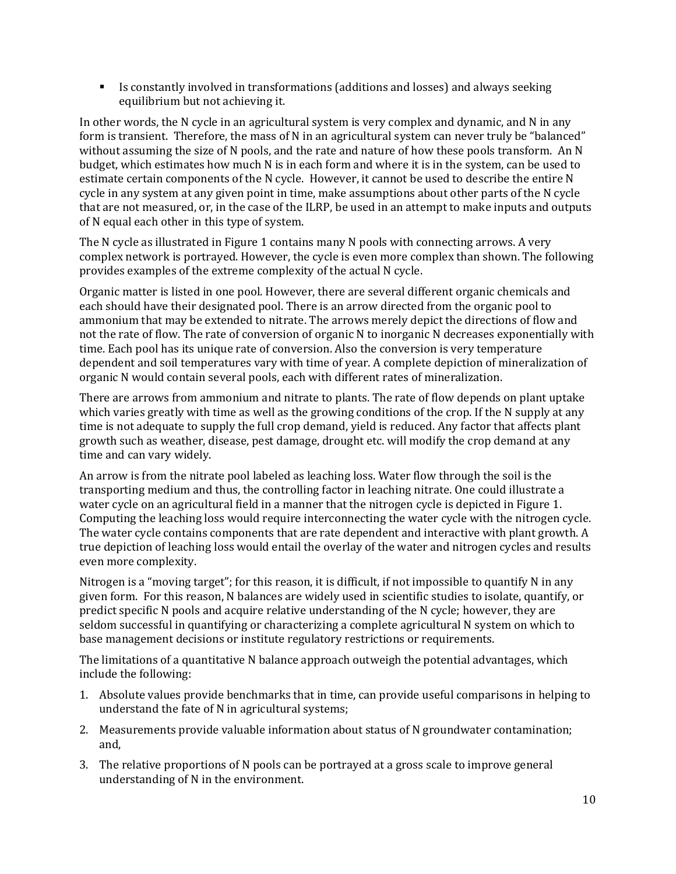Is constantly involved in transformations (additions and losses) and always seeking equilibrium but not achieving it.

In other words, the N cycle in an agricultural system is very complex and dynamic, and N in any form is transient. Therefore, the mass of N in an agricultural system can never truly be "balanced" without assuming the size of N pools, and the rate and nature of how these pools transform. An N budget, which estimates how much N is in each form and where it is in the system, can be used to estimate certain components of the N cycle. However, it cannot be used to describe the entire N cycle in any system at any given point in time, make assumptions about other parts of the N cycle that are not measured, or, in the case of the ILRP, be used in an attempt to make inputs and outputs of N equal each other in this type of system.

The N cycle as illustrated in Figure 1 contains many N pools with connecting arrows. A very complex network is portrayed. However, the cycle is even more complex than shown. The following provides examples of the extreme complexity of the actual N cycle.

Organic matter is listed in one pool. However, there are several different organic chemicals and each should have their designated pool. There is an arrow directed from the organic pool to ammonium that may be extended to nitrate. The arrows merely depict the directions of flow and not the rate of flow. The rate of conversion of organic N to inorganic N decreases exponentially with time. Each pool has its unique rate of conversion. Also the conversion is very temperature dependent and soil temperatures vary with time of year. A complete depiction of mineralization of organic N would contain several pools, each with different rates of mineralization.

There are arrows from ammonium and nitrate to plants. The rate of flow depends on plant uptake which varies greatly with time as well as the growing conditions of the crop. If the N supply at any time is not adequate to supply the full crop demand, yield is reduced. Any factor that affects plant growth such as weather, disease, pest damage, drought etc. will modify the crop demand at any time and can vary widely.

An arrow is from the nitrate pool labeled as leaching loss. Water flow through the soil is the transporting medium and thus, the controlling factor in leaching nitrate. One could illustrate a water cycle on an agricultural field in a manner that the nitrogen cycle is depicted in Figure 1. Computing the leaching loss would require interconnecting the water cycle with the nitrogen cycle. The water cycle contains components that are rate dependent and interactive with plant growth. A true depiction of leaching loss would entail the overlay of the water and nitrogen cycles and results even more complexity.

Nitrogen is a "moving target"; for this reason, it is difficult, if not impossible to quantify N in any given form. For this reason, N balances are widely used in scientific studies to isolate, quantify, or predict specific N pools and acquire relative understanding of the N cycle; however, they are seldom successful in quantifying or characterizing a complete agricultural N system on which to base management decisions or institute regulatory restrictions or requirements.

The limitations of a quantitative N balance approach outweigh the potential advantages, which include the following:

- 1. Absolute values provide benchmarks that in time, can provide useful comparisons in helping to understand the fate of N in agricultural systems;
- 2. Measurements provide valuable information about status of N groundwater contamination; and,
- 3. The relative proportions of N pools can be portrayed at a gross scale to improve general understanding of N in the environment.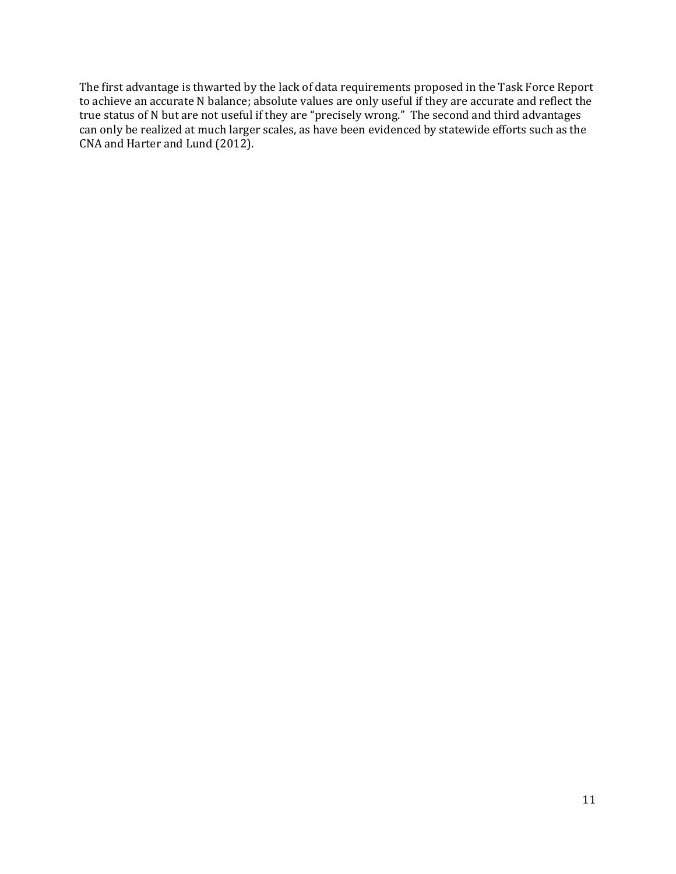The first advantage is thwarted by the lack of data requirements proposed in the Task Force Report to achieve an accurate N balance; absolute values are only useful if they are accurate and reflect the true status of N but are not useful if they are "precisely wrong." The second and third advantages can only be realized at much larger scales, as have been evidenced by statewide efforts such as the CNA and Harter and Lund (2012).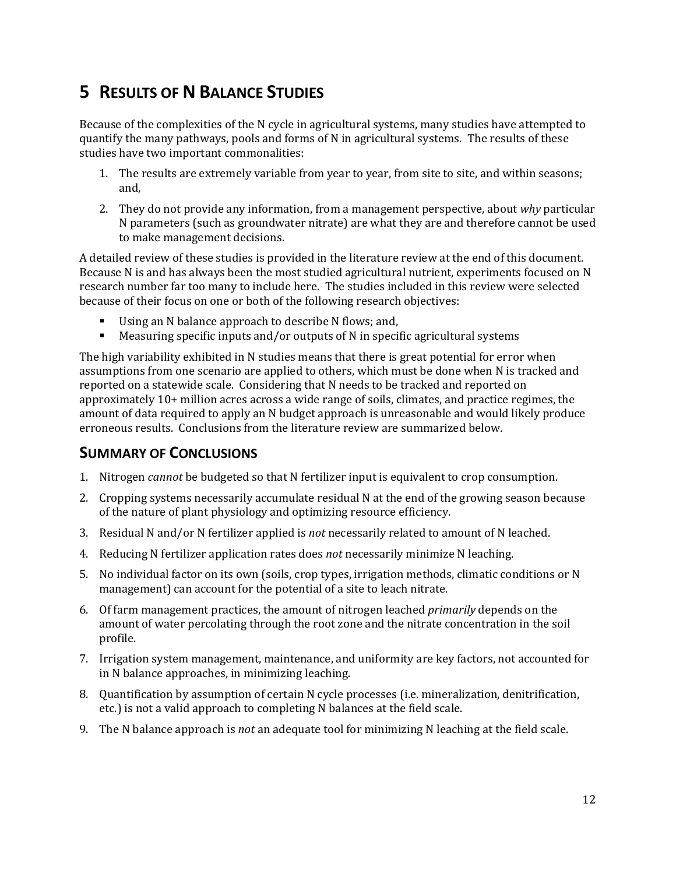# <span id="page-16-0"></span>**5 RESULTS OF N BALANCE STUDIES**

Because of the complexities of the N cycle in agricultural systems, many studies have attempted to quantify the many pathways, pools and forms of N in agricultural systems. The results of these studies have two important commonalities:

- 1. The results are extremely variable from year to year, from site to site, and within seasons; and,
- 2. They do not provide any information, from a management perspective, about *why* particular N parameters (such as groundwater nitrate) are what they are and therefore cannot be used to make management decisions.

A detailed review of these studies is provided in the literature review at the end of this document. Because N is and has always been the most studied agricultural nutrient, experiments focused on N research number far too many to include here. The studies included in this review were selected because of their focus on one or both of the following research objectives:

- Using an N balance approach to describe N flows; and,
- Measuring specific inputs and/or outputs of N in specific agricultural systems

The high variability exhibited in N studies means that there is great potential for error when assumptions from one scenario are applied to others, which must be done when N is tracked and reported on a statewide scale. Considering that N needs to be tracked and reported on approximately 10+ million acres across a wide range of soils, climates, and practice regimes, the amount of data required to apply an N budget approach is unreasonable and would likely produce erroneous results. Conclusions from the literature review are summarized below.

### **SUMMARY OF CONCLUSIONS**

- 1. Nitrogen *cannot* be budgeted so that N fertilizer input is equivalent to crop consumption.
- 2. Cropping systems necessarily accumulate residual N at the end of the growing season because of the nature of plant physiology and optimizing resource efficiency.
- 3. Residual N and/or N fertilizer applied is *not* necessarily related to amount of N leached.
- 4. Reducing N fertilizer application rates does *not* necessarily minimize N leaching.
- 5. No individual factor on its own (soils, crop types, irrigation methods, climatic conditions or N management) can account for the potential of a site to leach nitrate.
- 6. Of farm management practices, the amount of nitrogen leached *primarily* depends on the amount of water percolating through the root zone and the nitrate concentration in the soil profile.
- 7. Irrigation system management, maintenance, and uniformity are key factors, not accounted for in N balance approaches, in minimizing leaching.
- 8. Quantification by assumption of certain N cycle processes (i.e. mineralization, denitrification, etc.) is not a valid approach to completing N balances at the field scale.
- 9. The N balance approach is *not* an adequate tool for minimizing N leaching at the field scale.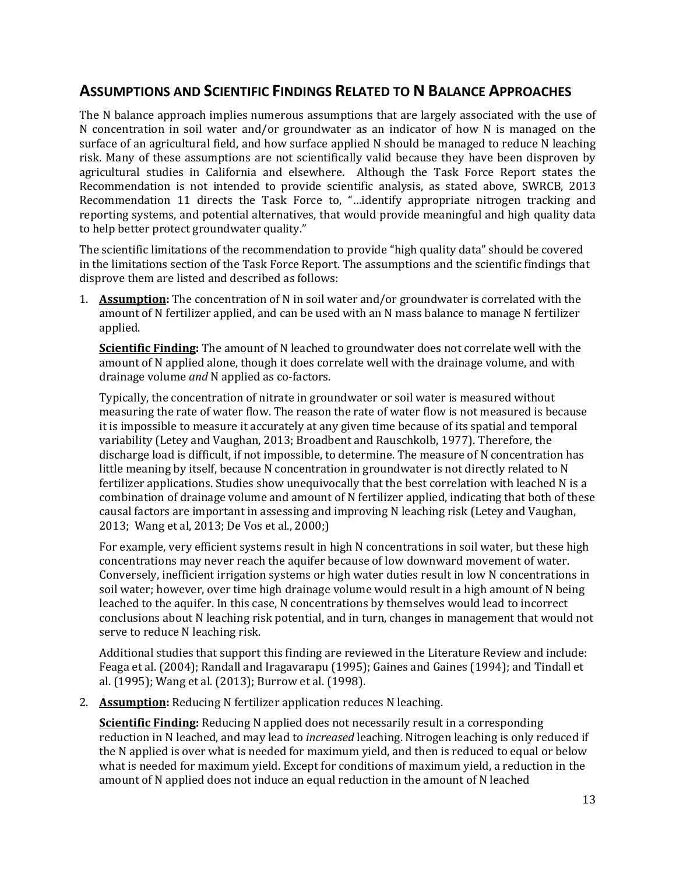### <span id="page-17-0"></span>**ASSUMPTIONS AND SCIENTIFIC FINDINGS RELATED TO N BALANCE APPROACHES**

The N balance approach implies numerous assumptions that are largely associated with the use of N concentration in soil water and/or groundwater as an indicator of how N is managed on the surface of an agricultural field, and how surface applied N should be managed to reduce N leaching risk. Many of these assumptions are not scientifically valid because they have been disproven by agricultural studies in California and elsewhere. Although the Task Force Report states the Recommendation is not intended to provide scientific analysis, as stated above, SWRCB, 2013 Recommendation 11 directs the Task Force to, "…identify appropriate nitrogen tracking and reporting systems, and potential alternatives, that would provide meaningful and high quality data to help better protect groundwater quality."

The scientific limitations of the recommendation to provide "high quality data" should be covered in the limitations section of the Task Force Report. The assumptions and the scientific findings that disprove them are listed and described as follows:

1. **Assumption:** The concentration of N in soil water and/or groundwater is correlated with the amount of N fertilizer applied, and can be used with an N mass balance to manage N fertilizer applied.

**Scientific Finding:** The amount of N leached to groundwater does not correlate well with the amount of N applied alone, though it does correlate well with the drainage volume, and with drainage volume *and* N applied as co‐factors.

Typically, the concentration of nitrate in groundwater or soil water is measured without measuring the rate of water flow. The reason the rate of water flow is not measured is because it is impossible to measure it accurately at any given time because of its spatial and temporal variability (Letey and Vaughan, 2013; Broadbent and Rauschkolb, 1977). Therefore, the discharge load is difficult, if not impossible, to determine. The measure of N concentration has little meaning by itself, because N concentration in groundwater is not directly related to N fertilizer applications. Studies show unequivocally that the best correlation with leached N is a combination of drainage volume and amount of N fertilizer applied, indicating that both of these causal factors are important in assessing and improving N leaching risk (Letey and Vaughan, 2013; Wang et al, 2013; De Vos et al., 2000;)

For example, very efficient systems result in high N concentrations in soil water, but these high concentrations may never reach the aquifer because of low downward movement of water. Conversely, inefficient irrigation systems or high water duties result in low N concentrations in soil water; however, over time high drainage volume would result in a high amount of N being leached to the aquifer. In this case, N concentrations by themselves would lead to incorrect conclusions about N leaching risk potential, and in turn, changes in management that would not serve to reduce N leaching risk.

Additional studies that support this finding are reviewed in the Literature Review and include: Feaga et al. (2004); Randall and Iragavarapu (1995); Gaines and Gaines (1994); and Tindall et al. (1995); Wang et al. (2013); Burrow et al. (1998).

2. **Assumption:** Reducing N fertilizer application reduces N leaching.

**Scientific Finding:** Reducing N applied does not necessarily result in a corresponding reduction in N leached, and may lead to *increased* leaching. Nitrogen leaching is only reduced if the N applied is over what is needed for maximum yield, and then is reduced to equal or below what is needed for maximum yield. Except for conditions of maximum yield, a reduction in the amount of N applied does not induce an equal reduction in the amount of N leached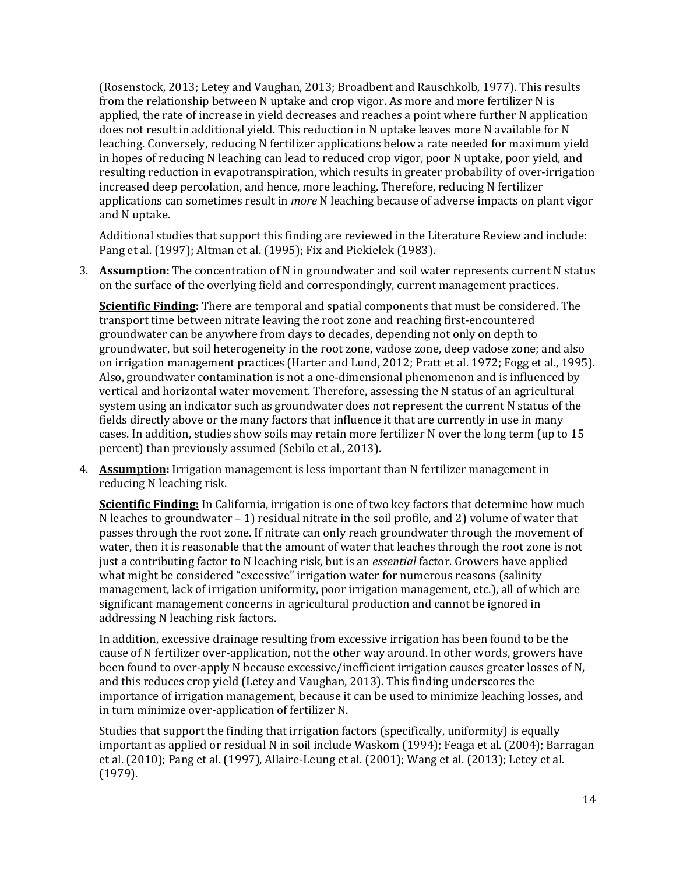(Rosenstock, 2013; Letey and Vaughan, 2013; Broadbent and Rauschkolb, 1977). This results from the relationship between N uptake and crop vigor. As more and more fertilizer N is applied, the rate of increase in yield decreases and reaches a point where further N application does not result in additional yield. This reduction in N uptake leaves more N available for N leaching. Conversely, reducing N fertilizer applications below a rate needed for maximum yield in hopes of reducing N leaching can lead to reduced crop vigor, poor N uptake, poor yield, and resulting reduction in evapotranspiration, which results in greater probability of over-irrigation increased deep percolation, and hence, more leaching. Therefore, reducing N fertilizer applications can sometimes result in *more* N leaching because of adverse impacts on plant vigor and N uptake.

Additional studies that support this finding are reviewed in the Literature Review and include: Pang et al. (1997); Altman et al. (1995); Fix and Piekielek (1983).

3. **Assumption:** The concentration of N in groundwater and soil water represents current N status on the surface of the overlying field and correspondingly, current management practices.

**Scientific Finding:** There are temporal and spatial components that must be considered. The transport time between nitrate leaving the root zone and reaching first‐encountered groundwater can be anywhere from days to decades, depending not only on depth to groundwater, but soil heterogeneity in the root zone, vadose zone, deep vadose zone; and also on irrigation management practices (Harter and Lund, 2012; Pratt et al. 1972; Fogg et al., 1995). Also, groundwater contamination is not a one‐dimensional phenomenon and is influenced by vertical and horizontal water movement. Therefore, assessing the N status of an agricultural system using an indicator such as groundwater does not represent the current N status of the fields directly above or the many factors that influence it that are currently in use in many cases. In addition, studies show soils may retain more fertilizer N over the long term (up to 15 percent) than previously assumed (Sebilo et al., 2013).

4. **Assumption:** Irrigation management is less important than N fertilizer management in reducing N leaching risk.

**Scientific Finding:** In California, irrigation is one of two key factors that determine how much N leaches to groundwater  $-1$ ) residual nitrate in the soil profile, and 2) volume of water that passes through the root zone. If nitrate can only reach groundwater through the movement of water, then it is reasonable that the amount of water that leaches through the root zone is not just a contributing factor to N leaching risk, but is an *essential* factor. Growers have applied what might be considered "excessive" irrigation water for numerous reasons (salinity management, lack of irrigation uniformity, poor irrigation management, etc.), all of which are significant management concerns in agricultural production and cannot be ignored in addressing N leaching risk factors.

In addition, excessive drainage resulting from excessive irrigation has been found to be the cause of N fertilizer over‐application, not the other way around. In other words, growers have been found to over-apply N because excessive/inefficient irrigation causes greater losses of N, and this reduces crop yield (Letey and Vaughan, 2013). This finding underscores the importance of irrigation management, because it can be used to minimize leaching losses, and in turn minimize over‐application of fertilizer N.

Studies that support the finding that irrigation factors (specifically, uniformity) is equally important as applied or residual N in soil include Waskom (1994); Feaga et al. (2004); Barragan et al. (2010); Pang et al. (1997), Allaire‐Leung et al. (2001); Wang et al. (2013); Letey et al. (1979).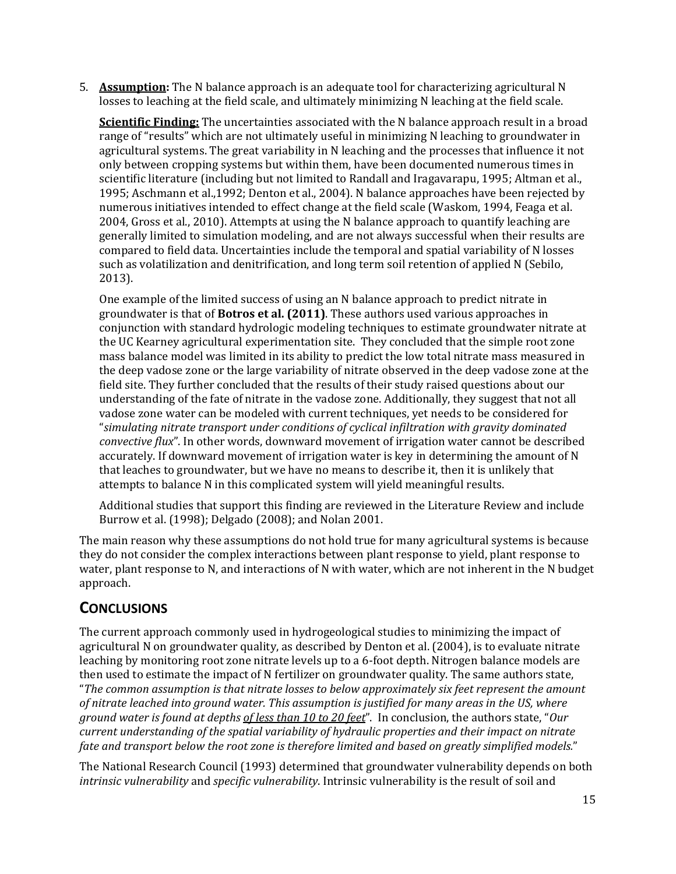5. **Assumption:** The N balance approach is an adequate tool for characterizing agricultural N losses to leaching at the field scale, and ultimately minimizing N leaching at the field scale.

**Scientific Finding:** The uncertainties associated with the N balance approach result in a broad range of "results" which are not ultimately useful in minimizing N leaching to groundwater in agricultural systems. The great variability in N leaching and the processes that influence it not only between cropping systems but within them, have been documented numerous times in scientific literature (including but not limited to Randall and Iragavarapu, 1995; Altman et al., 1995; Aschmann et al.,1992; Denton et al., 2004). N balance approaches have been rejected by numerous initiatives intended to effect change at the field scale (Waskom, 1994, Feaga et al. 2004, Gross et al., 2010). Attempts at using the N balance approach to quantify leaching are generally limited to simulation modeling, and are not always successful when their results are compared to field data. Uncertainties include the temporal and spatial variability of N losses such as volatilization and denitrification, and long term soil retention of applied N (Sebilo, 2013).

One example of the limited success of using an N balance approach to predict nitrate in groundwater is that of **Botros et al. (2011)**. These authors used various approaches in conjunction with standard hydrologic modeling techniques to estimate groundwater nitrate at the UC Kearney agricultural experimentation site. They concluded that the simple root zone mass balance model was limited in its ability to predict the low total nitrate mass measured in the deep vadose zone or the large variability of nitrate observed in the deep vadose zone at the field site. They further concluded that the results of their study raised questions about our understanding of the fate of nitrate in the vadose zone. Additionally, they suggest that not all vadose zone water can be modeled with current techniques, yet needs to be considered for "*simulating nitrate transport under conditions of cyclical infiltration with gravity dominated convective flux*". In other words, downward movement of irrigation water cannot be described accurately. If downward movement of irrigation water is key in determining the amount of N that leaches to groundwater, but we have no means to describe it, then it is unlikely that attempts to balance N in this complicated system will yield meaningful results.

Additional studies that support this finding are reviewed in the Literature Review and include Burrow et al. (1998); Delgado (2008); and Nolan 2001.

The main reason why these assumptions do not hold true for many agricultural systems is because they do not consider the complex interactions between plant response to yield, plant response to water, plant response to N, and interactions of N with water, which are not inherent in the N budget approach.

### **CONCLUSIONS**

The current approach commonly used in hydrogeological studies to minimizing the impact of agricultural N on groundwater quality, as described by Denton et al. (2004), is to evaluate nitrate leaching by monitoring root zone nitrate levels up to a 6‐foot depth. Nitrogen balance models are then used to estimate the impact of N fertilizer on groundwater quality. The same authors state, "*The common assumption is that nitrate losses to below approximately six feet represent the amount of nitrate leached into ground water. This assumption is justified for many areas in the US, where ground water is found at depths of less than 10 to 20 feet*". In conclusion, the authors state, "*Our current understanding of the spatial variability of hydraulic properties and their impact on nitrate fate and transport below the root zone is therefore limited and based on greatly simplified models.*"

The National Research Council (1993) determined that groundwater vulnerability depends on both *intrinsic vulnerability* and *specific vulnerability*. Intrinsic vulnerability is the result of soil and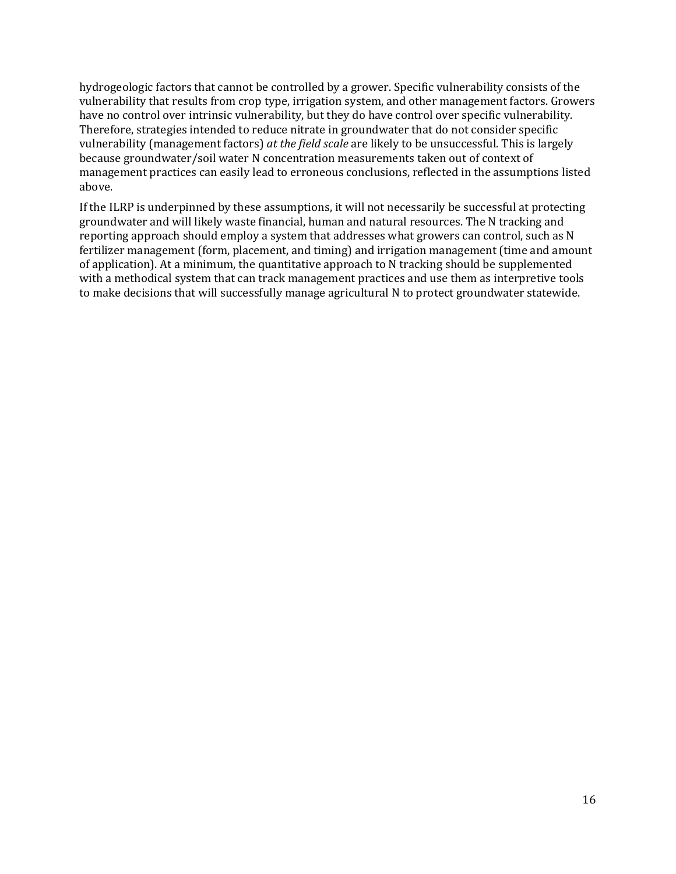hydrogeologic factors that cannot be controlled by a grower. Specific vulnerability consists of the vulnerability that results from crop type, irrigation system, and other management factors. Growers have no control over intrinsic vulnerability, but they do have control over specific vulnerability. Therefore, strategies intended to reduce nitrate in groundwater that do not consider specific vulnerability (management factors) *at the field scale* are likely to be unsuccessful. This is largely because groundwater/soil water N concentration measurements taken out of context of management practices can easily lead to erroneous conclusions, reflected in the assumptions listed above.

If the ILRP is underpinned by these assumptions, it will not necessarily be successful at protecting groundwater and will likely waste financial, human and natural resources. The N tracking and reporting approach should employ a system that addresses what growers can control, such as N fertilizer management (form, placement, and timing) and irrigation management (time and amount of application). At a minimum, the quantitative approach to N tracking should be supplemented with a methodical system that can track management practices and use them as interpretive tools to make decisions that will successfully manage agricultural N to protect groundwater statewide.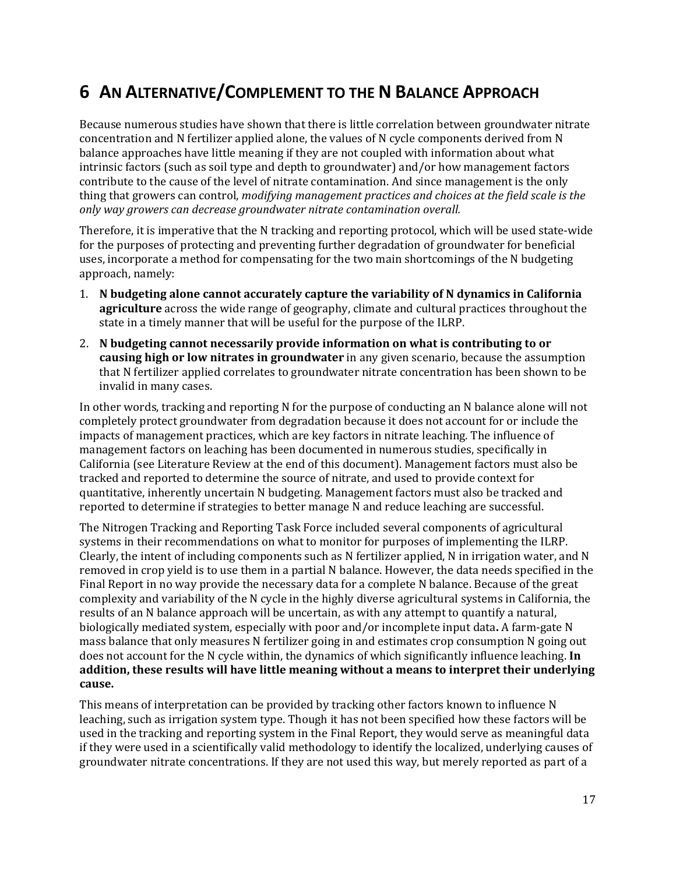# <span id="page-21-0"></span>**6 AN ALTERNATIVE/COMPLEMENT TO THE N BALANCE APPROACH**

Because numerous studies have shown that there is little correlation between groundwater nitrate concentration and N fertilizer applied alone, the values of N cycle components derived from N balance approaches have little meaning if they are not coupled with information about what intrinsic factors (such as soil type and depth to groundwater) and/or how management factors contribute to the cause of the level of nitrate contamination. And since management is the only thing that growers can control, *modifying management practices and choices at the field scale is the only way growers can decrease groundwater nitrate contamination overall.* 

Therefore, it is imperative that the N tracking and reporting protocol, which will be used state‐wide for the purposes of protecting and preventing further degradation of groundwater for beneficial uses, incorporate a method for compensating for the two main shortcomings of the N budgeting approach, namely:

- 1. **N budgeting alone cannot accurately capture the variability of N dynamics in California agriculture** across the wide range of geography, climate and cultural practices throughout the state in a timely manner that will be useful for the purpose of the ILRP.
- 2. **N budgeting cannot necessarily provide information on what is contributing to or causing high or low nitrates in groundwater** in any given scenario, because the assumption that N fertilizer applied correlates to groundwater nitrate concentration has been shown to be invalid in many cases.

In other words, tracking and reporting N for the purpose of conducting an N balance alone will not completely protect groundwater from degradation because it does not account for or include the impacts of management practices, which are key factors in nitrate leaching. The influence of management factors on leaching has been documented in numerous studies, specifically in California (see Literature Review at the end of this document). Management factors must also be tracked and reported to determine the source of nitrate, and used to provide context for quantitative, inherently uncertain N budgeting. Management factors must also be tracked and reported to determine if strategies to better manage N and reduce leaching are successful.

The Nitrogen Tracking and Reporting Task Force included several components of agricultural systems in their recommendations on what to monitor for purposes of implementing the ILRP. Clearly, the intent of including components such as N fertilizer applied, N in irrigation water, and N removed in crop yield is to use them in a partial N balance. However, the data needs specified in the Final Report in no way provide the necessary data for a complete N balance. Because of the great complexity and variability of the N cycle in the highly diverse agricultural systems in California, the results of an N balance approach will be uncertain, as with any attempt to quantify a natural, biologically mediated system, especially with poor and/or incomplete input data**.** A farm‐gate N mass balance that only measures N fertilizer going in and estimates crop consumption N going out does not account for the N cycle within, the dynamics of which significantly influence leaching. **In addition, these results will have little meaning without a means to interpret their underlying cause.**

This means of interpretation can be provided by tracking other factors known to influence N leaching, such as irrigation system type. Though it has not been specified how these factors will be used in the tracking and reporting system in the Final Report, they would serve as meaningful data if they were used in a scientifically valid methodology to identify the localized, underlying causes of groundwater nitrate concentrations. If they are not used this way, but merely reported as part of a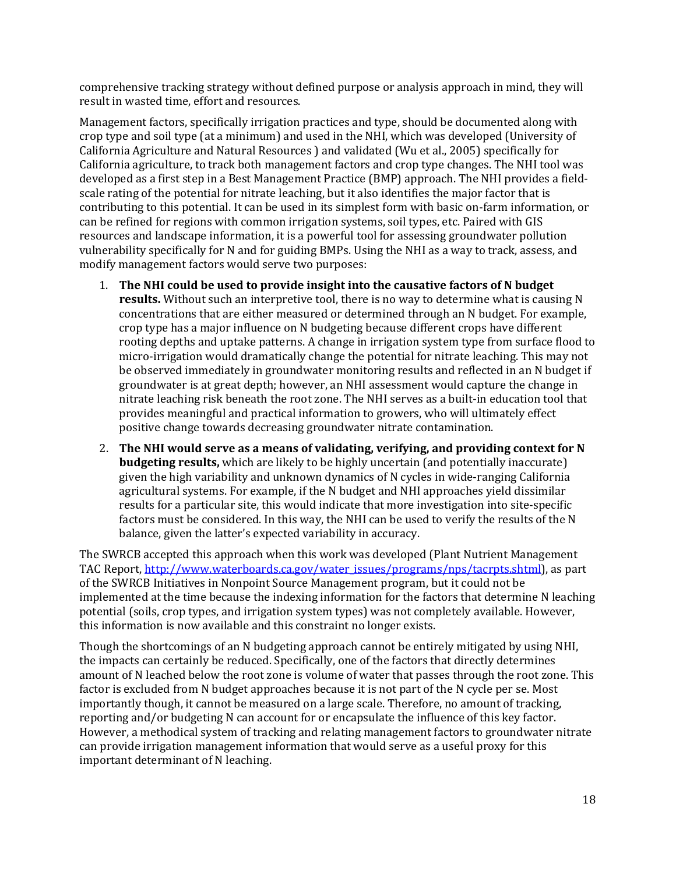comprehensive tracking strategy without defined purpose or analysis approach in mind, they will result in wasted time, effort and resources.

Management factors, specifically irrigation practices and type, should be documented along with crop type and soil type (at a minimum) and used in the NHI, which was developed (University of California Agriculture and Natural Resources ) and validated (Wu et al., 2005) specifically for California agriculture, to track both management factors and crop type changes. The NHI tool was developed as a first step in a Best Management Practice (BMP) approach. The NHI provides a field‐ scale rating of the potential for nitrate leaching, but it also identifies the major factor that is contributing to this potential. It can be used in its simplest form with basic on‐farm information, or can be refined for regions with common irrigation systems, soil types, etc. Paired with GIS resources and landscape information, it is a powerful tool for assessing groundwater pollution vulnerability specifically for N and for guiding BMPs. Using the NHI as a way to track, assess, and modify management factors would serve two purposes:

- 1. **The NHI could be used to provide insight into the causative factors of N budget results.** Without such an interpretive tool, there is no way to determine what is causing N concentrations that are either measured or determined through an N budget. For example, crop type has a major influence on N budgeting because different crops have different rooting depths and uptake patterns. A change in irrigation system type from surface flood to micro‐irrigation would dramatically change the potential for nitrate leaching. This may not be observed immediately in groundwater monitoring results and reflected in an N budget if groundwater is at great depth; however, an NHI assessment would capture the change in nitrate leaching risk beneath the root zone. The NHI serves as a built-in education tool that provides meaningful and practical information to growers, who will ultimately effect positive change towards decreasing groundwater nitrate contamination.
- 2. **The NHI would serve as a means of validating, verifying, and providing context for N budgeting results,** which are likely to be highly uncertain (and potentially inaccurate) given the high variability and unknown dynamics of N cycles in wide‐ranging California agricultural systems. For example, if the N budget and NHI approaches yield dissimilar results for a particular site, this would indicate that more investigation into site‐specific factors must be considered. In this way, the NHI can be used to verify the results of the N balance, given the latter's expected variability in accuracy.

The SWRCB accepted this approach when this work was developed (Plant Nutrient Management TAC Report, [http://www.waterboards.ca.gov/water\\_issues/programs/nps/tacrpts.shtml](http://www.waterboards.ca.gov/water_issues/programs/nps/tacrpts.shtml)), as part of the SWRCB Initiatives in Nonpoint Source Management program, but it could not be implemented at the time because the indexing information for the factors that determine N leaching potential (soils, crop types, and irrigation system types) was not completely available. However, this information is now available and this constraint no longer exists.

Though the shortcomings of an N budgeting approach cannot be entirely mitigated by using NHI, the impacts can certainly be reduced. Specifically, one of the factors that directly determines amount of N leached below the root zone is volume of water that passes through the root zone. This factor is excluded from N budget approaches because it is not part of the N cycle per se. Most importantly though, it cannot be measured on a large scale. Therefore, no amount of tracking, reporting and/or budgeting N can account for or encapsulate the influence of this key factor. However, a methodical system of tracking and relating management factors to groundwater nitrate can provide irrigation management information that would serve as a useful proxy for this important determinant of N leaching.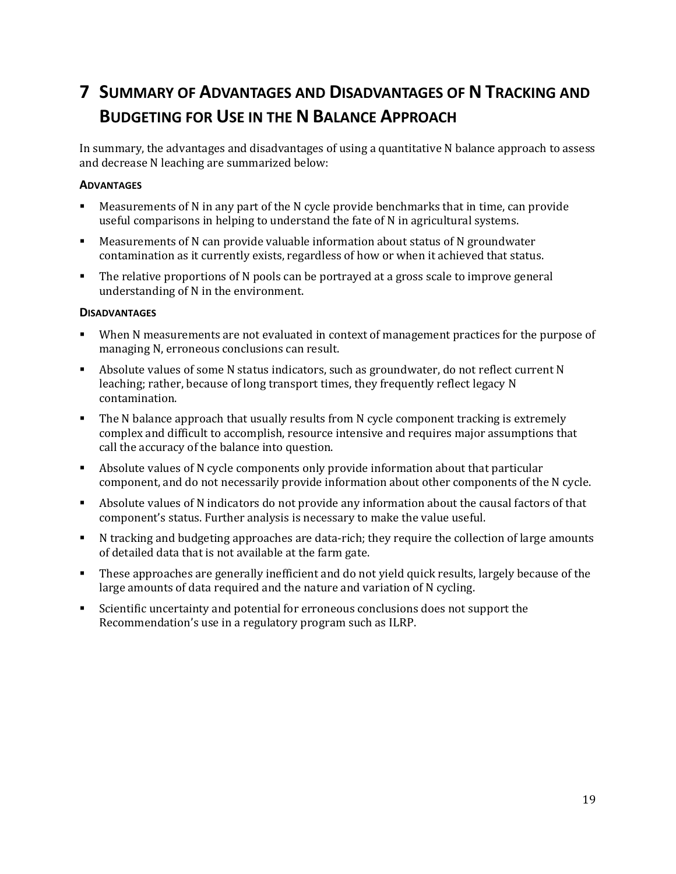# <span id="page-23-0"></span>**7 SUMMARY OF ADVANTAGES AND DISADVANTAGES OF N TRACKING AND BUDGETING FOR USE IN THE N BALANCE APPROACH**

In summary, the advantages and disadvantages of using a quantitative N balance approach to assess and decrease N leaching are summarized below:

#### **ADVANTAGES**

- Measurements of N in any part of the N cycle provide benchmarks that in time, can provide useful comparisons in helping to understand the fate of N in agricultural systems.
- Measurements of N can provide valuable information about status of N groundwater contamination as it currently exists, regardless of how or when it achieved that status.
- The relative proportions of N pools can be portrayed at a gross scale to improve general understanding of N in the environment.

#### **DISADVANTAGES**

- When N measurements are not evaluated in context of management practices for the purpose of managing N, erroneous conclusions can result.
- Absolute values of some N status indicators, such as groundwater, do not reflect current N leaching; rather, because of long transport times, they frequently reflect legacy N contamination.
- The N balance approach that usually results from N cycle component tracking is extremely complex and difficult to accomplish, resource intensive and requires major assumptions that call the accuracy of the balance into question.
- Absolute values of N cycle components only provide information about that particular component, and do not necessarily provide information about other components of the N cycle.
- Absolute values of N indicators do not provide any information about the causal factors of that component's status. Further analysis is necessary to make the value useful.
- N tracking and budgeting approaches are data-rich; they require the collection of large amounts of detailed data that is not available at the farm gate.
- These approaches are generally inefficient and do not yield quick results, largely because of the large amounts of data required and the nature and variation of N cycling.
- Scientific uncertainty and potential for erroneous conclusions does not support the Recommendation's use in a regulatory program such as ILRP.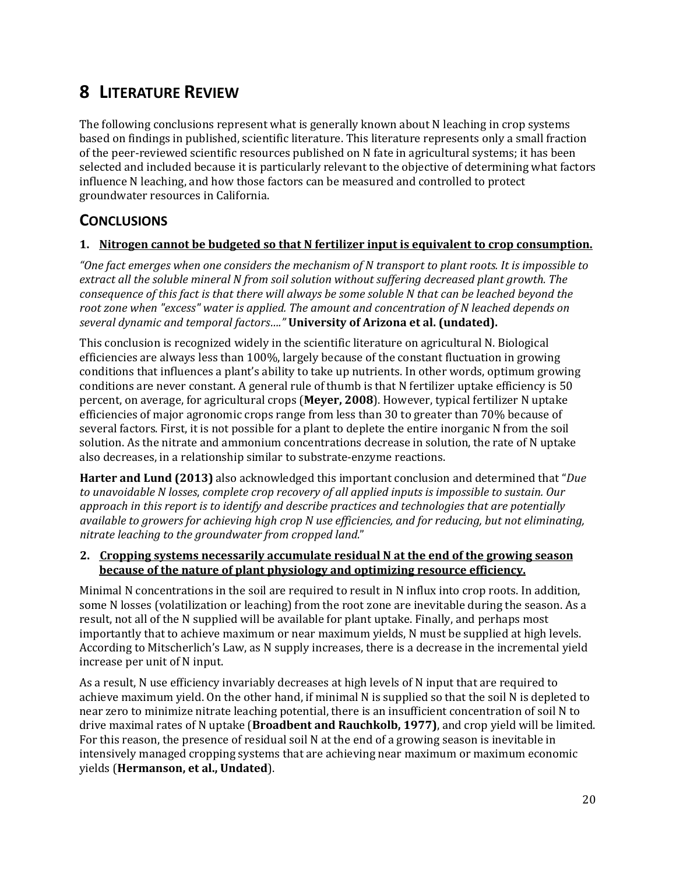## <span id="page-24-0"></span>**8 LITERATURE REVIEW**

The following conclusions represent what is generally known about N leaching in crop systems based on findings in published, scientific literature. This literature represents only a small fraction of the peer-reviewed scientific resources published on N fate in agricultural systems; it has been selected and included because it is particularly relevant to the objective of determining what factors influence N leaching, and how those factors can be measured and controlled to protect groundwater resources in California.

### **CONCLUSIONS**

#### **1. Nitrogen cannot be budgeted so that N fertilizer input is equivalent to crop consumption.**

"One fact emerges when one considers the mechanism of N transport to plant roots. It is impossible to *extract all the soluble mineral N from soil solution without suffering decreased plant growth. The* consequence of this fact is that there will always be some soluble N that can be leached beyond the *root zone when "excess" water is applied. The amount and concentration of N leached depends on several dynamic and temporal factors…."* **University of Arizona et al. (undated).**

This conclusion is recognized widely in the scientific literature on agricultural N. Biological efficiencies are always less than 100%, largely because of the constant fluctuation in growing conditions that influences a plant's ability to take up nutrients. In other words, optimum growing conditions are never constant. A general rule of thumb is that N fertilizer uptake efficiency is 50 percent, on average, for agricultural crops (**Meyer, 2008**). However, typical fertilizer N uptake efficiencies of major agronomic crops range from less than 30 to greater than 70% because of several factors. First, it is not possible for a plant to deplete the entire inorganic N from the soil solution. As the nitrate and ammonium concentrations decrease in solution, the rate of N uptake also decreases, in a relationship similar to substrate‐enzyme reactions.

**Harter and Lund (2013)** also acknowledged this important conclusion and determined that "*Due to unavoidable N losses*, *complete crop recovery of all applied inputs is impossible to sustain. Our approach in this report is to identify and describe practices and technologies that are potentially available to growers for achieving high crop N use efficiencies, and for reducing, but not eliminating, nitrate leaching to the groundwater from cropped land.*"

#### **2. Cropping systems necessarily accumulate residual N at the end of the growing season because of the nature of plant physiology and optimizing resource efficiency.**

Minimal N concentrations in the soil are required to result in N influx into crop roots. In addition, some N losses (volatilization or leaching) from the root zone are inevitable during the season. As a result, not all of the N supplied will be available for plant uptake. Finally, and perhaps most importantly that to achieve maximum or near maximum yields, N must be supplied at high levels. According to Mitscherlich's Law, as N supply increases, there is a decrease in the incremental yield increase per unit of N input.

As a result, N use efficiency invariably decreases at high levels of N input that are required to achieve maximum yield. On the other hand, if minimal N is supplied so that the soil N is depleted to near zero to minimize nitrate leaching potential, there is an insufficient concentration of soil N to drive maximal rates of N uptake (**Broadbent and Rauchkolb, 1977)**, and crop yield will be limited. For this reason, the presence of residual soil N at the end of a growing season is inevitable in intensively managed cropping systems that are achieving near maximum or maximum economic yields (**Hermanson, et al., Undated**).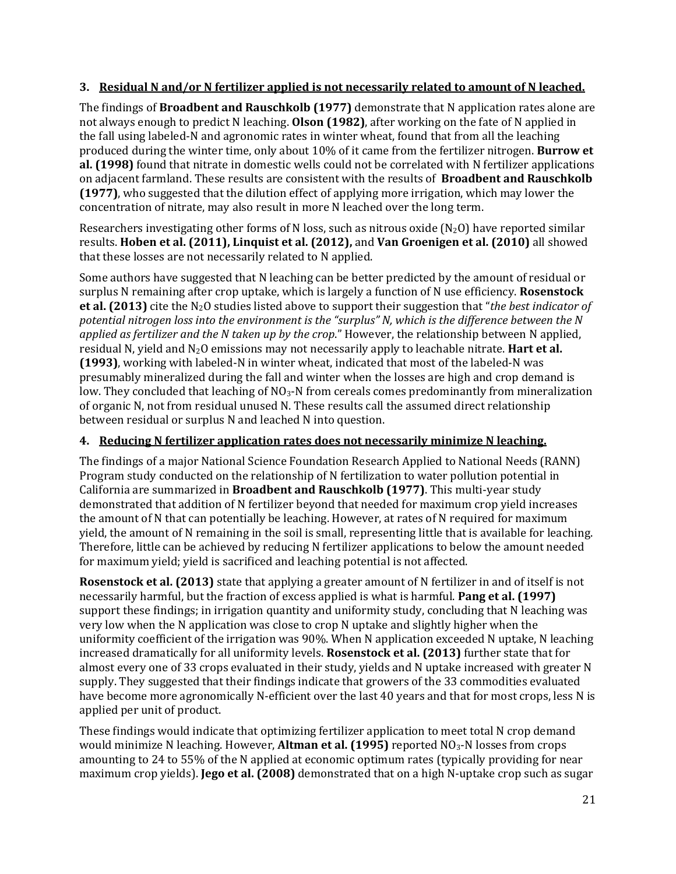### **3. Residual N and/or N fertilizer applied is not necessarily related to amount of N leached.**

The findings of **Broadbent and Rauschkolb (1977)** demonstrate that N application rates alone are not always enough to predict N leaching. **Olson (1982)**, after working on the fate of N applied in the fall using labeled‐N and agronomic rates in winter wheat, found that from all the leaching produced during the winter time, only about 10% of it came from the fertilizer nitrogen. **Burrow et al. (1998)** found that nitrate in domestic wells could not be correlated with N fertilizer applications on adjacent farmland. These results are consistent with the results of **Broadbent and Rauschkolb (1977)**, who suggested that the dilution effect of applying more irrigation, which may lower the concentration of nitrate, may also result in more N leached over the long term.

Researchers investigating other forms of N loss, such as nitrous oxide  $(N_2O)$  have reported similar results. **Hoben et al. (2011), Linquist et al. (2012),** and **Van Groenigen et al. (2010)** all showed that these losses are not necessarily related to N applied.

Some authors have suggested that N leaching can be better predicted by the amount of residual or surplus N remaining after crop uptake, which is largely a function of N use efficiency. **Rosenstock et al. (2013)** cite the N2O studies listed above to support their suggestion that "*the best indicator of potential nitrogen loss into the environment is the "surplus" N, which is the difference between the N applied as fertilizer and the N taken up by the crop*." However, the relationship between N applied, residual N, yield and N2O emissions may not necessarily apply to leachable nitrate. **Hart et al. (1993)**, working with labeled‐N in winter wheat, indicated that most of the labeled‐N was presumably mineralized during the fall and winter when the losses are high and crop demand is low. They concluded that leaching of  $NO<sub>3</sub>$ -N from cereals comes predominantly from mineralization of organic N, not from residual unused N. These results call the assumed direct relationship between residual or surplus N and leached N into question.

### **4. Reducing N fertilizer application rates does not necessarily minimize N leaching.**

The findings of a major National Science Foundation Research Applied to National Needs (RANN) Program study conducted on the relationship of N fertilization to water pollution potential in California are summarized in **Broadbent and Rauschkolb (1977)**. This multi‐year study demonstrated that addition of N fertilizer beyond that needed for maximum crop yield increases the amount of N that can potentially be leaching. However, at rates of N required for maximum yield, the amount of N remaining in the soil is small, representing little that is available for leaching. Therefore, little can be achieved by reducing N fertilizer applications to below the amount needed for maximum yield; yield is sacrificed and leaching potential is not affected.

**Rosenstock et al. (2013)** state that applying a greater amount of N fertilizer in and of itself is not necessarily harmful, but the fraction of excess applied is what is harmful. **Pang et al. (1997)** support these findings; in irrigation quantity and uniformity study, concluding that N leaching was very low when the N application was close to crop N uptake and slightly higher when the uniformity coefficient of the irrigation was 90%. When N application exceeded N uptake, N leaching increased dramatically for all uniformity levels. **Rosenstock et al. (2013)** further state that for almost every one of 33 crops evaluated in their study, yields and N uptake increased with greater N supply. They suggested that their findings indicate that growers of the 33 commodities evaluated have become more agronomically N-efficient over the last 40 years and that for most crops, less N is applied per unit of product.

These findings would indicate that optimizing fertilizer application to meet total N crop demand would minimize N leaching. However, Altman et al. (1995) reported NO<sub>3</sub>-N losses from crops amounting to 24 to 55% of the N applied at economic optimum rates (typically providing for near maximum crop yields). **Jego et al. (2008)** demonstrated that on a high N‐uptake crop such as sugar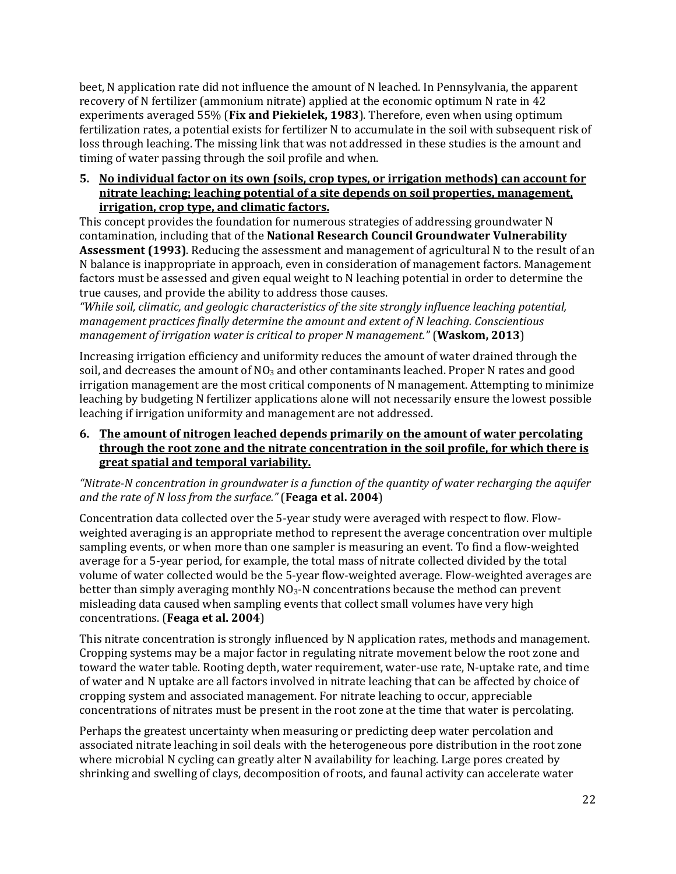beet, N application rate did not influence the amount of N leached. In Pennsylvania, the apparent recovery of N fertilizer (ammonium nitrate) applied at the economic optimum N rate in 42 experiments averaged 55% (**Fix and Piekielek, 1983**). Therefore, even when using optimum fertilization rates, a potential exists for fertilizer N to accumulate in the soil with subsequent risk of loss through leaching. The missing link that was not addressed in these studies is the amount and timing of water passing through the soil profile and when.

#### **5. No individual factor on its own (soils, crop types, or irrigation methods) can account for nitrate leaching; leaching potential of a site depends on soil properties, management, irrigation, crop type, and climatic factors.**

This concept provides the foundation for numerous strategies of addressing groundwater N contamination, including that of the **National Research Council Groundwater Vulnerability Assessment (1993)**. Reducing the assessment and management of agricultural N to the result of an N balance is inappropriate in approach, even in consideration of management factors. Management factors must be assessed and given equal weight to N leaching potential in order to determine the true causes, and provide the ability to address those causes.

*"While soil, climatic, and geologic characteristics of the site strongly influence leaching potential, management practices finally determine the amount and extent of N leaching. Conscientious management of irrigation water is critical to proper N management."* (**Waskom, 2013**)

Increasing irrigation efficiency and uniformity reduces the amount of water drained through the soil, and decreases the amount of  $NO_3$  and other contaminants leached. Proper N rates and good irrigation management are the most critical components of N management. Attempting to minimize leaching by budgeting N fertilizer applications alone will not necessarily ensure the lowest possible leaching if irrigation uniformity and management are not addressed.

#### **6. The amount of nitrogen leached depends primarily on the amount of water percolating through the root zone and the nitrate concentration in the soil profile, for which there is great spatial and temporal variability.**

*"NitrateN concentration in groundwater is a function of the quantity of water recharging the aquifer and the rate of N loss from the surface."* (**Feaga et al. 2004**)

Concentration data collected over the 5‐year study were averaged with respect to flow. Flow‐ weighted averaging is an appropriate method to represent the average concentration over multiple sampling events, or when more than one sampler is measuring an event. To find a flow-weighted average for a 5‐year period, for example, the total mass of nitrate collected divided by the total volume of water collected would be the 5‐year flow‐weighted average. Flow‐weighted averages are better than simply averaging monthly  $NQ_3$ -N concentrations because the method can prevent misleading data caused when sampling events that collect small volumes have very high concentrations. (**Feaga et al. 2004**)

This nitrate concentration is strongly influenced by N application rates, methods and management. Cropping systems may be a major factor in regulating nitrate movement below the root zone and toward the water table. Rooting depth, water requirement, water‐use rate, N‐uptake rate, and time of water and N uptake are all factors involved in nitrate leaching that can be affected by choice of cropping system and associated management. For nitrate leaching to occur, appreciable concentrations of nitrates must be present in the root zone at the time that water is percolating.

Perhaps the greatest uncertainty when measuring or predicting deep water percolation and associated nitrate leaching in soil deals with the heterogeneous pore distribution in the root zone where microbial N cycling can greatly alter N availability for leaching. Large pores created by shrinking and swelling of clays, decomposition of roots, and faunal activity can accelerate water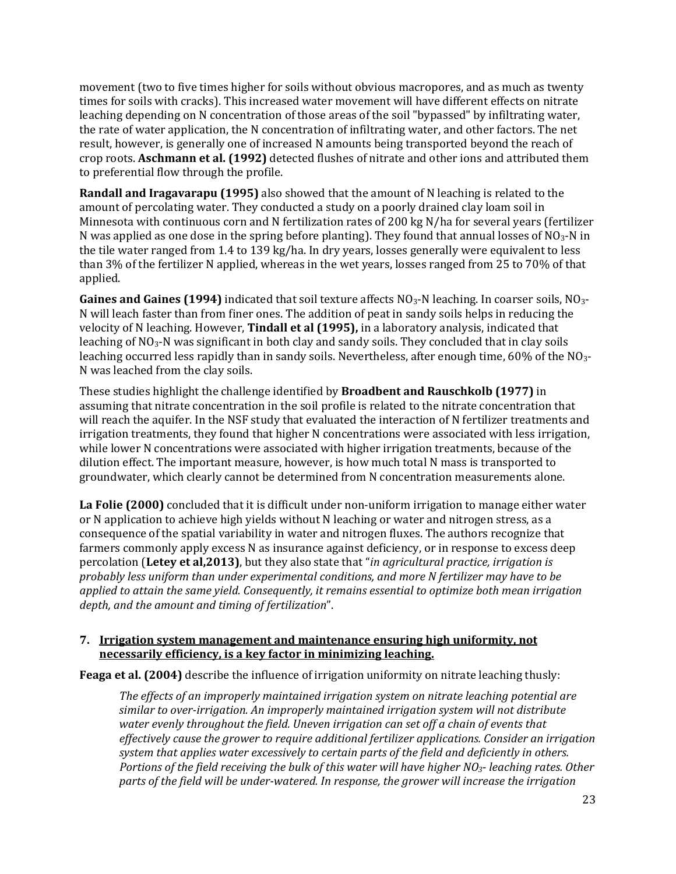movement (two to five times higher for soils without obvious macropores, and as much as twenty times for soils with cracks). This increased water movement will have different effects on nitrate leaching depending on N concentration of those areas of the soil "bypassed" by infiltrating water, the rate of water application, the N concentration of infiltrating water, and other factors. The net result, however, is generally one of increased N amounts being transported beyond the reach of crop roots. **Aschmann et al. (1992)** detected flushes of nitrate and other ions and attributed them to preferential flow through the profile.

**Randall and Iragavarapu (1995)** also showed that the amount of N leaching is related to the amount of percolating water. They conducted a study on a poorly drained clay loam soil in Minnesota with continuous corn and N fertilization rates of 200 kg N/ha for several years (fertilizer N was applied as one dose in the spring before planting). They found that annual losses of  $NO<sub>3</sub>$ -N in the tile water ranged from 1.4 to 139 kg/ha. In dry years, losses generally were equivalent to less than 3% of the fertilizer N applied, whereas in the wet years, losses ranged from 25 to 70% of that applied.

**Gaines and Gaines (1994)** indicated that soil texture affects NO3‐N leaching. In coarser soils, NO3‐ N will leach faster than from finer ones. The addition of peat in sandy soils helps in reducing the velocity of N leaching. However, **Tindall et al (1995),** in a laboratory analysis, indicated that leaching of  $NO<sub>3</sub>$ -N was significant in both clay and sandy soils. They concluded that in clay soils leaching occurred less rapidly than in sandy soils. Nevertheless, after enough time, 60% of the NO<sub>3</sub>-N was leached from the clay soils.

These studies highlight the challenge identified by **Broadbent and Rauschkolb (1977)** in assuming that nitrate concentration in the soil profile is related to the nitrate concentration that will reach the aquifer. In the NSF study that evaluated the interaction of N fertilizer treatments and irrigation treatments, they found that higher N concentrations were associated with less irrigation, while lower N concentrations were associated with higher irrigation treatments, because of the dilution effect. The important measure, however, is how much total N mass is transported to groundwater, which clearly cannot be determined from N concentration measurements alone.

**La Folie (2000)** concluded that it is difficult under non‐uniform irrigation to manage either water or N application to achieve high yields without N leaching or water and nitrogen stress, as a consequence of the spatial variability in water and nitrogen fluxes. The authors recognize that farmers commonly apply excess N as insurance against deficiency, or in response to excess deep percolation (**Letey et al,2013)**, but they also state that "*in agricultural practice, irrigation is probably less uniform than under experimental conditions, and more N fertilizer may have to be applied to attain the same yield. Consequently, it remains essential to optimize both mean irrigation depth, and the amount and timing of fertilization*".

#### **7. Irrigation system management and maintenance ensuring high uniformity, not necessarily efficiency, is a key factor in minimizing leaching.**

**Feaga et al. (2004)** describe the influence of irrigation uniformity on nitrate leaching thusly:

*The effects of an improperly maintained irrigation system on nitrate leaching potential are similar to overirrigation. An improperly maintained irrigation system will not distribute water evenly throughout the field. Uneven irrigation can set off a chain of events that effectively cause the grower to require additional fertilizer applications. Consider an irrigation system that applies water excessively to certain parts of the field and deficiently in others. Portions of the field receiving the bulk of this water will have higher NO3 leaching rates. Other parts of the field will be underwatered. In response, the grower will increase the irrigation*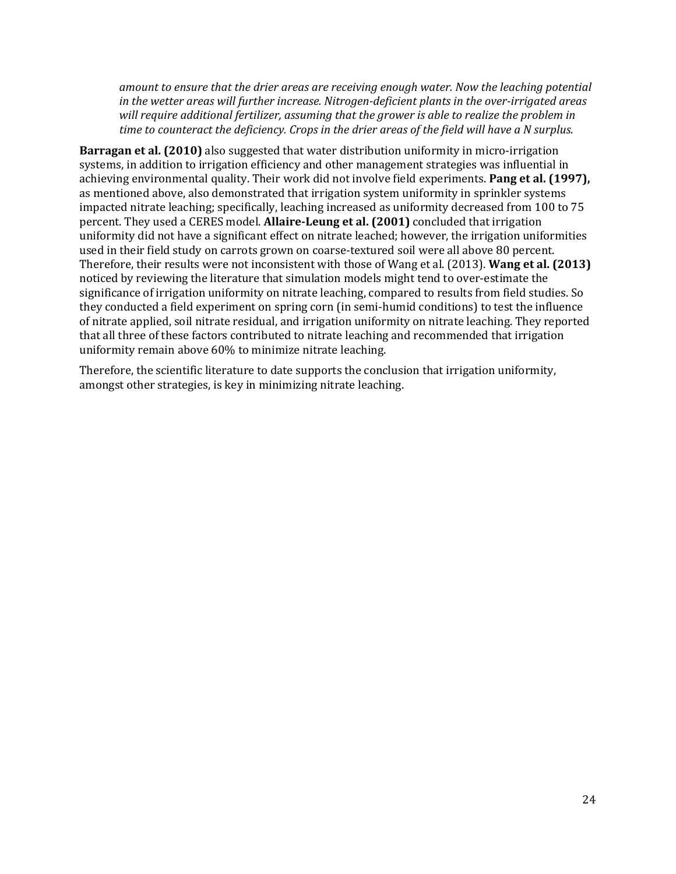*amount to ensure that the drier areas are receiving enough water. Now the leaching potential in the wetter areas will further increase. Nitrogendeficient plants in the overirrigated areas will require additional fertilizer, assuming that the grower is able to realize the problem in time to counteract the deficiency. Crops in the drier areas of the field will have a N surplus.*

**Barragan et al. (2010)** also suggested that water distribution uniformity in micro‐irrigation systems, in addition to irrigation efficiency and other management strategies was influential in achieving environmental quality. Their work did not involve field experiments. **Pang et al. (1997),** as mentioned above, also demonstrated that irrigation system uniformity in sprinkler systems impacted nitrate leaching; specifically, leaching increased as uniformity decreased from 100 to 75 percent. They used a CERES model. **AllaireLeung et al. (2001)** concluded that irrigation uniformity did not have a significant effect on nitrate leached; however, the irrigation uniformities used in their field study on carrots grown on coarse-textured soil were all above 80 percent. Therefore, their results were not inconsistent with those of Wang et al. (2013). **Wang et al. (2013)** noticed by reviewing the literature that simulation models might tend to over‐estimate the significance of irrigation uniformity on nitrate leaching, compared to results from field studies. So they conducted a field experiment on spring corn (in semi‐humid conditions) to test the influence of nitrate applied, soil nitrate residual, and irrigation uniformity on nitrate leaching. They reported that all three of these factors contributed to nitrate leaching and recommended that irrigation uniformity remain above 60% to minimize nitrate leaching.

Therefore, the scientific literature to date supports the conclusion that irrigation uniformity, amongst other strategies, is key in minimizing nitrate leaching.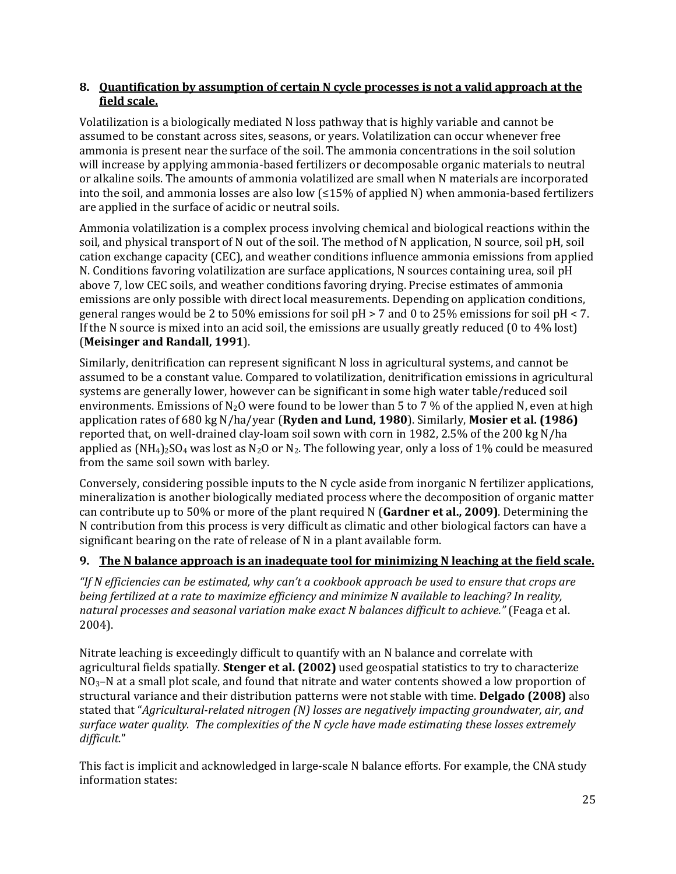#### **8. Quantification by assumption of certain N cycle processes is not a valid approach at the field scale.**

Volatilization is a biologically mediated N loss pathway that is highly variable and cannot be assumed to be constant across sites, seasons, or years. Volatilization can occur whenever free ammonia is present near the surface of the soil. The ammonia concentrations in the soil solution will increase by applying ammonia‐based fertilizers or decomposable organic materials to neutral or alkaline soils. The amounts of ammonia volatilized are small when N materials are incorporated into the soil, and ammonia losses are also low (≤15% of applied N) when ammonia‐based fertilizers are applied in the surface of acidic or neutral soils.

Ammonia volatilization is a complex process involving chemical and biological reactions within the soil, and physical transport of N out of the soil. The method of N application, N source, soil pH, soil cation exchange capacity (CEC), and weather conditions influence ammonia emissions from applied N. Conditions favoring volatilization are surface applications, N sources containing urea, soil pH above 7, low CEC soils, and weather conditions favoring drying. Precise estimates of ammonia emissions are only possible with direct local measurements. Depending on application conditions, general ranges would be 2 to 50% emissions for soil pH > 7 and 0 to 25% emissions for soil pH < 7. If the N source is mixed into an acid soil, the emissions are usually greatly reduced (0 to 4% lost) (**Meisinger and Randall, 1991**).

Similarly, denitrification can represent significant N loss in agricultural systems, and cannot be assumed to be a constant value. Compared to volatilization, denitrification emissions in agricultural systems are generally lower, however can be significant in some high water table/reduced soil environments. Emissions of  $N_2O$  were found to be lower than 5 to 7 % of the applied N, even at high application rates of 680 kg N/ha/year (**Ryden and Lund, 1980**). Similarly, **Mosier et al. (1986)** reported that, on well-drained clay-loam soil sown with corn in 1982, 2.5% of the 200 kg N/ha applied as  $(NH_4)_2SO_4$  was lost as N<sub>2</sub>O or N<sub>2</sub>. The following year, only a loss of 1% could be measured from the same soil sown with barley.

Conversely, considering possible inputs to the N cycle aside from inorganic N fertilizer applications, mineralization is another biologically mediated process where the decomposition of organic matter can contribute up to 50% or more of the plant required N (**Gardner et al., 2009)**. Determining the N contribution from this process is very difficult as climatic and other biological factors can have a significant bearing on the rate of release of N in a plant available form.

### **9. The N balance approach is an inadequate tool for minimizing N leaching at the field scale.**

"If N efficiencies can be estimated, why can't a cookbook approach be used to ensure that crops are *being fertilized at a rate to maximize efficiency and minimize N available to leaching? In reality, natural processes and seasonal variation make exact N balances difficult to achieve."* (Feaga et al. 2004).

Nitrate leaching is exceedingly difficult to quantify with an N balance and correlate with agricultural fields spatially. **Stenger et al. (2002)** used geospatial statistics to try to characterize  $NO<sub>3</sub>–N$  at a small plot scale, and found that nitrate and water contents showed a low proportion of structural variance and their distribution patterns were not stable with time. **Delgado (2008)** also stated that "*Agriculturalrelated nitrogen (N) losses are negatively impacting groundwater, air, and surface water quality. The complexities of the N cycle have made estimating these losses extremely difficult*."

This fact is implicit and acknowledged in large-scale N balance efforts. For example, the CNA study information states: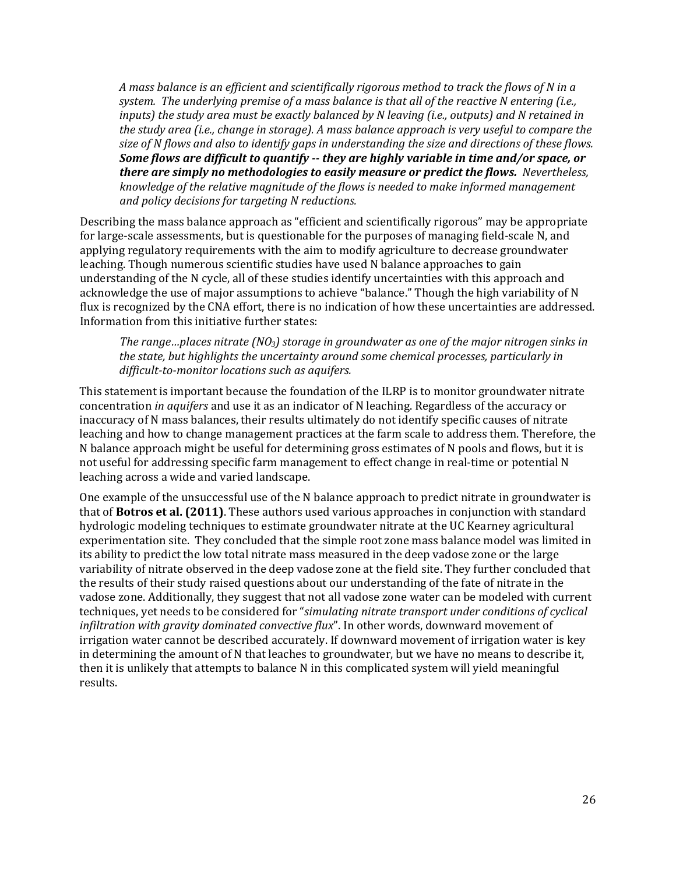*A mass balance is an efficient and scientifically rigorous method to track the flows of N in a system. The underlying premise of a mass balance is that all of the reactive N entering (i.e., inputs) the study area must be exactly balanced by N leaving (i.e., outputs) and N retained in the study area (i.e., change in storage). A mass balance approach is very useful to compare the* size of N flows and also to identify gaps in understanding the size and directions of these flows. *Some flows are difficult to quantify they are highly variable in time and/or space, or there are simply no methodologies to easily measure or predict the flows. Nevertheless, knowledge of the relative magnitude of the flows is needed to make informed management and policy decisions for targeting N reductions.* 

Describing the mass balance approach as "efficient and scientifically rigorous" may be appropriate for large-scale assessments, but is questionable for the purposes of managing field-scale N, and applying regulatory requirements with the aim to modify agriculture to decrease groundwater leaching. Though numerous scientific studies have used N balance approaches to gain understanding of the N cycle, all of these studies identify uncertainties with this approach and acknowledge the use of major assumptions to achieve "balance." Though the high variability of N flux is recognized by the CNA effort, there is no indication of how these uncertainties are addressed. Information from this initiative further states:

*The range…places nitrate (NO3) storage in groundwater as one of the major nitrogen sinks in the state, but highlights the uncertainty around some chemical processes, particularly in difficulttomonitor locations such as aquifers.*

This statement is important because the foundation of the ILRP is to monitor groundwater nitrate concentration *in aquifers* and use it as an indicator of N leaching. Regardless of the accuracy or inaccuracy of N mass balances, their results ultimately do not identify specific causes of nitrate leaching and how to change management practices at the farm scale to address them. Therefore, the N balance approach might be useful for determining gross estimates of N pools and flows, but it is not useful for addressing specific farm management to effect change in real-time or potential N leaching across a wide and varied landscape.

One example of the unsuccessful use of the N balance approach to predict nitrate in groundwater is that of **Botros et al. (2011)**. These authors used various approaches in conjunction with standard hydrologic modeling techniques to estimate groundwater nitrate at the UC Kearney agricultural experimentation site. They concluded that the simple root zone mass balance model was limited in its ability to predict the low total nitrate mass measured in the deep vadose zone or the large variability of nitrate observed in the deep vadose zone at the field site. They further concluded that the results of their study raised questions about our understanding of the fate of nitrate in the vadose zone. Additionally, they suggest that not all vadose zone water can be modeled with current techniques, yet needs to be considered for "*simulating nitrate transport under conditions of cyclical infiltration with gravity dominated convective flux*". In other words, downward movement of irrigation water cannot be described accurately. If downward movement of irrigation water is key in determining the amount of N that leaches to groundwater, but we have no means to describe it, then it is unlikely that attempts to balance N in this complicated system will yield meaningful results.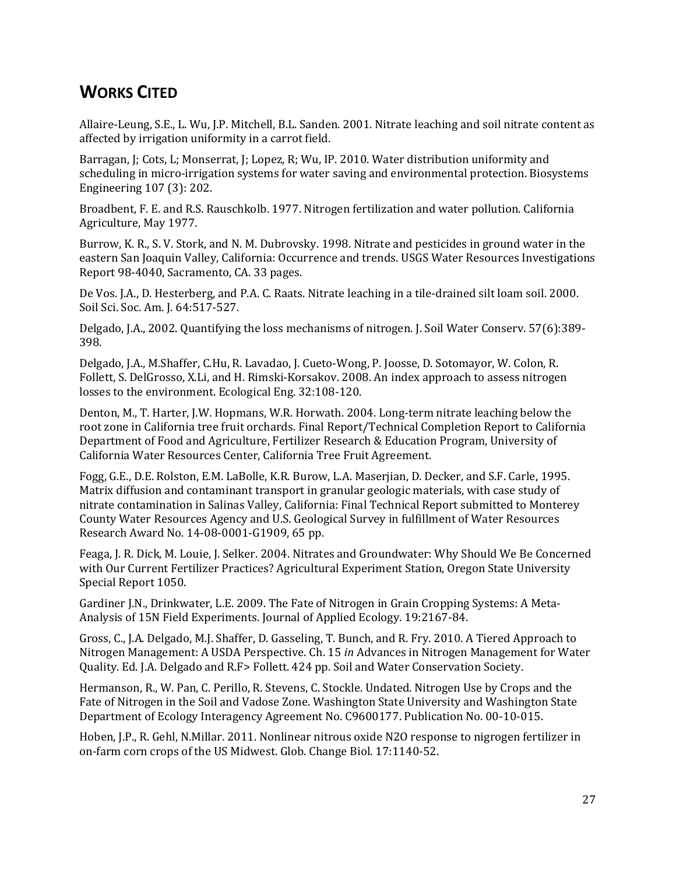### <span id="page-31-0"></span>**WORKS CITED**

Allaire‐Leung, S.E., L. Wu, J.P. Mitchell, B.L. Sanden. 2001. Nitrate leaching and soil nitrate content as affected by irrigation uniformity in a carrot field.

Barragan, J; Cots, L; Monserrat, J; Lopez, R; Wu, IP. 2010. Water distribution uniformity and scheduling in micro-irrigation systems for water saving and environmental protection. Biosystems Engineering 107 (3): 202.

Broadbent, F. E. and R.S. Rauschkolb. 1977. Nitrogen fertilization and water pollution. California Agriculture, May 1977.

Burrow, K. R., S. V. Stork, and N. M. Dubrovsky. 1998. Nitrate and pesticides in ground water in the eastern San Joaquin Valley, California: Occurrence and trends. USGS Water Resources Investigations Report 98‐4040, Sacramento, CA. 33 pages.

De Vos. J.A., D. Hesterberg, and P.A. C. Raats. Nitrate leaching in a tile‐drained silt loam soil. 2000. Soil Sci. Soc. Am. J. 64:517‐527.

Delgado, J.A., 2002. Quantifying the loss mechanisms of nitrogen. J. Soil Water Conserv. 57(6):389‐ 398.

Delgado, J.A., M.Shaffer, C.Hu, R. Lavadao, J. Cueto‐Wong, P. Joosse, D. Sotomayor, W. Colon, R. Follett, S. DelGrosso, X.Li, and H. Rimski‐Korsakov. 2008. An index approach to assess nitrogen losses to the environment. Ecological Eng. 32:108‐120.

Denton, M., T. Harter, J.W. Hopmans, W.R. Horwath. 2004. Long‐term nitrate leaching below the root zone in California tree fruit orchards. Final Report/Technical Completion Report to California Department of Food and Agriculture, Fertilizer Research & Education Program, University of California Water Resources Center, California Tree Fruit Agreement.

Fogg, G.E., D.E. Rolston, E.M. LaBolle, K.R. Burow, L.A. Maserjian, D. Decker, and S.F. Carle, 1995. Matrix diffusion and contaminant transport in granular geologic materials, with case study of nitrate contamination in Salinas Valley, California: Final Technical Report submitted to Monterey County Water Resources Agency and U.S. Geological Survey in fulfillment of Water Resources Research Award No. 14‐08‐0001‐G1909, 65 pp.

Feaga, J. R. Dick, M. Louie, J. Selker. 2004. Nitrates and Groundwater: Why Should We Be Concerned with Our Current Fertilizer Practices? Agricultural Experiment Station, Oregon State University Special Report 1050.

Gardiner J.N., Drinkwater, L.E. 2009. The Fate of Nitrogen in Grain Cropping Systems: A Meta‐ Analysis of 15N Field Experiments. Journal of Applied Ecology. 19:2167‐84.

Gross, C., J.A. Delgado, M.J. Shaffer, D. Gasseling, T. Bunch, and R. Fry. 2010. A Tiered Approach to Nitrogen Management: A USDA Perspective. Ch. 15 *in* Advances in Nitrogen Management for Water Quality. Ed. J.A. Delgado and R.F> Follett. 424 pp. Soil and Water Conservation Society.

Hermanson, R., W. Pan, C. Perillo, R. Stevens, C. Stockle. Undated. Nitrogen Use by Crops and the Fate of Nitrogen in the Soil and Vadose Zone. Washington State University and Washington State Department of Ecology Interagency Agreement No. C9600177. Publication No. 00‐10‐015.

Hoben, J.P., R. Gehl, N.Millar. 2011. Nonlinear nitrous oxide N2O response to nigrogen fertilizer in on‐farm corn crops of the US Midwest. Glob. Change Biol. 17:1140‐52.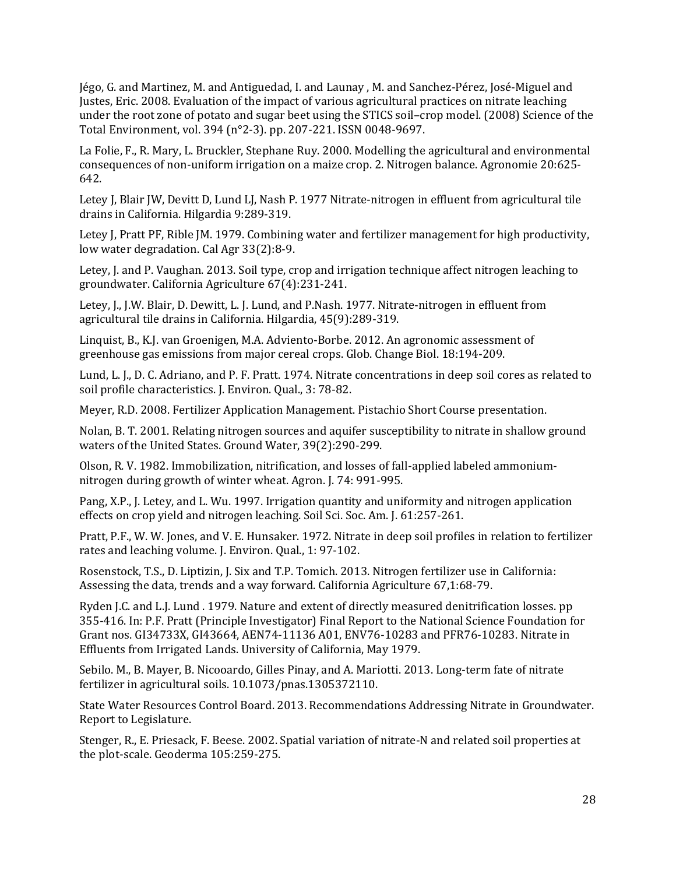Jégo, G. and Martinez, M. and Antiguedad, I. and Launay , M. and Sanchez‐Pérez, José‐Miguel and Justes, Eric. 2008. Evaluation of the impact of various agricultural practices on nitrate leaching under the root zone of potato and sugar beet using the STICS soil–crop model. (2008) Science of the Total Environment, vol. 394 (n°2‐3). pp. 207‐221. ISSN 0048‐9697.

La Folie, F., R. Mary, L. Bruckler, Stephane Ruy. 2000. Modelling the agricultural and environmental consequences of non‐uniform irrigation on a maize crop. 2. Nitrogen balance. Agronomie 20:625‐ 642.

Letey J, Blair JW, Devitt D, Lund LJ, Nash P. 1977 Nitrate-nitrogen in effluent from agricultural tile drains in California. Hilgardia 9:289‐319.

Letey J, Pratt PF, Rible JM. 1979. Combining water and fertilizer management for high productivity, low water degradation. Cal Agr 33(2):8‐9.

Letey, J. and P. Vaughan. 2013. Soil type, crop and irrigation technique affect nitrogen leaching to groundwater. California Agriculture 67(4):231‐241.

Letey, J., J.W. Blair, D. Dewitt, L. J. Lund, and P.Nash. 1977. Nitrate‐nitrogen in effluent from agricultural tile drains in California. Hilgardia, 45(9):289‐319.

Linquist, B., K.J. van Groenigen, M.A. Adviento‐Borbe. 2012. An agronomic assessment of greenhouse gas emissions from major cereal crops. Glob. Change Biol. 18:194‐209.

Lund, L. J., D. C. Adriano, and P. F. Pratt. 1974. Nitrate concentrations in deep soil cores as related to soil profile characteristics. J. Environ. Qual., 3: 78‐82.

Meyer, R.D. 2008. Fertilizer Application Management. Pistachio Short Course presentation.

Nolan, B. T. 2001. Relating nitrogen sources and aquifer susceptibility to nitrate in shallow ground waters of the United States. Ground Water, 39(2):290‐299.

Olson, R. V. 1982. Immobilization, nitrification, and losses of fall‐applied labeled ammonium‐ nitrogen during growth of winter wheat. Agron. J. 74: 991‐995.

Pang, X.P., J. Letey, and L. Wu. 1997. Irrigation quantity and uniformity and nitrogen application effects on crop yield and nitrogen leaching. Soil Sci. Soc. Am. J. 61:257‐261.

Pratt, P.F., W. W. Jones, and V. E. Hunsaker. 1972. Nitrate in deep soil profiles in relation to fertilizer rates and leaching volume. J. Environ. Qual., 1: 97‐102.

Rosenstock, T.S., D. Liptizin, J. Six and T.P. Tomich. 2013. Nitrogen fertilizer use in California: Assessing the data, trends and a way forward. California Agriculture 67,1:68‐79.

Ryden J.C. and L.J. Lund . 1979. Nature and extent of directly measured denitrification losses. pp 355‐416. In: P.F. Pratt (Principle Investigator) Final Report to the National Science Foundation for Grant nos. GI34733X, GI43664, AEN74‐11136 A01, ENV76‐10283 and PFR76‐10283. Nitrate in Effluents from Irrigated Lands. University of California, May 1979.

Sebilo. M., B. Mayer, B. Nicooardo, Gilles Pinay, and A. Mariotti. 2013. Long‐term fate of nitrate fertilizer in agricultural soils. 10.1073/pnas.1305372110.

State Water Resources Control Board. 2013. Recommendations Addressing Nitrate in Groundwater. Report to Legislature.

Stenger, R., E. Priesack, F. Beese. 2002. Spatial variation of nitrate‐N and related soil properties at the plot‐scale. Geoderma 105:259‐275.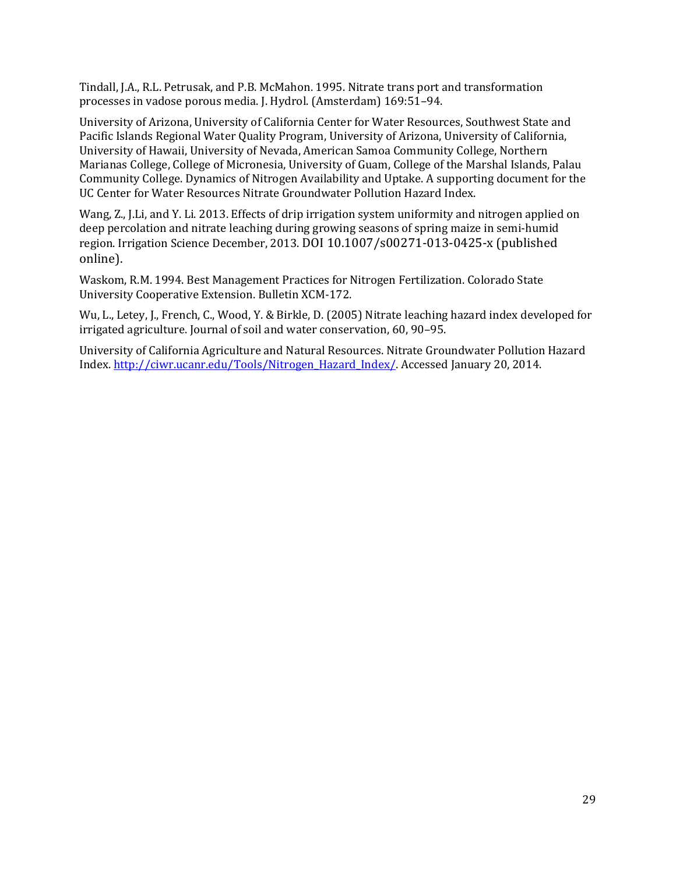Tindall, J.A., R.L. Petrusak, and P.B. McMahon. 1995. Nitrate trans port and transformation processes in vadose porous media. J. Hydrol. (Amsterdam) 169:51–94.

University of Arizona, University of California Center for Water Resources, Southwest State and Pacific Islands Regional Water Quality Program, University of Arizona, University of California, University of Hawaii, University of Nevada, American Samoa Community College, Northern Marianas College, College of Micronesia, University of Guam, College of the Marshal Islands, Palau Community College. Dynamics of Nitrogen Availability and Uptake. A supporting document for the UC Center for Water Resources Nitrate Groundwater Pollution Hazard Index.

Wang, Z., J.Li, and Y. Li. 2013. Effects of drip irrigation system uniformity and nitrogen applied on deep percolation and nitrate leaching during growing seasons of spring maize in semi‐humid region. Irrigation Science December, 2013. DOI 10.1007/s00271‐013‐0425‐x (published online).

Waskom, R.M. 1994. Best Management Practices for Nitrogen Fertilization. Colorado State University Cooperative Extension. Bulletin XCM‐172.

Wu, L., Letey, J., French, C., Wood, Y. & Birkle, D. (2005) Nitrate leaching hazard index developed for irrigated agriculture. Journal of soil and water conservation, 60, 90–95.

University of California Agriculture and Natural Resources. Nitrate Groundwater Pollution Hazard Index. [http://ciwr.ucanr.edu/Tools/Nitrogen\\_Hazard\\_Index/.](http://ciwr.ucanr.edu/Tools/Nitrogen_Hazard_Index/) Accessed January 20, 2014.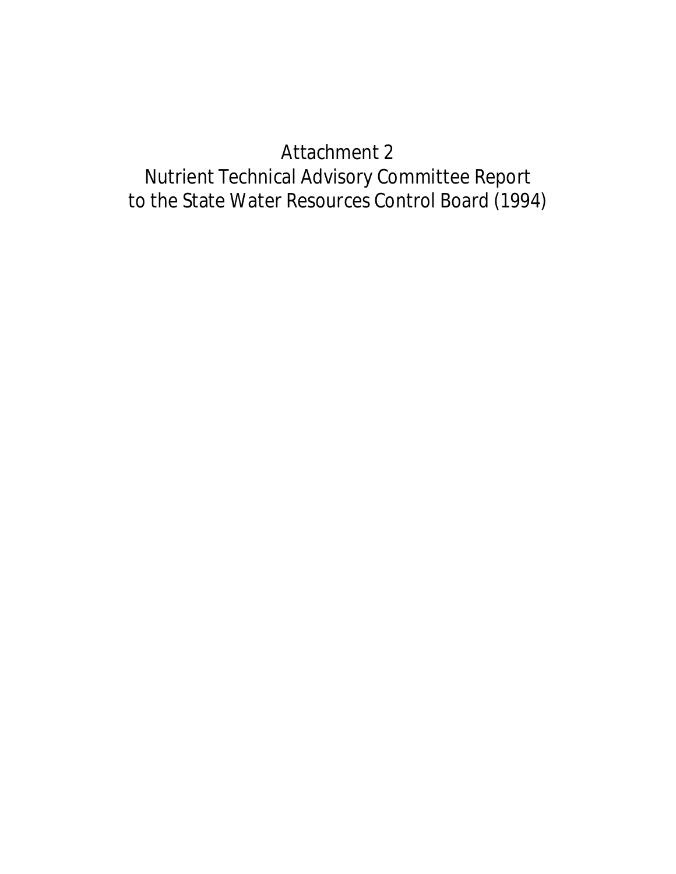# Attachment 2

# Nutrient Technical Advisory Committee Report to the State Water Resources Control Board (1994)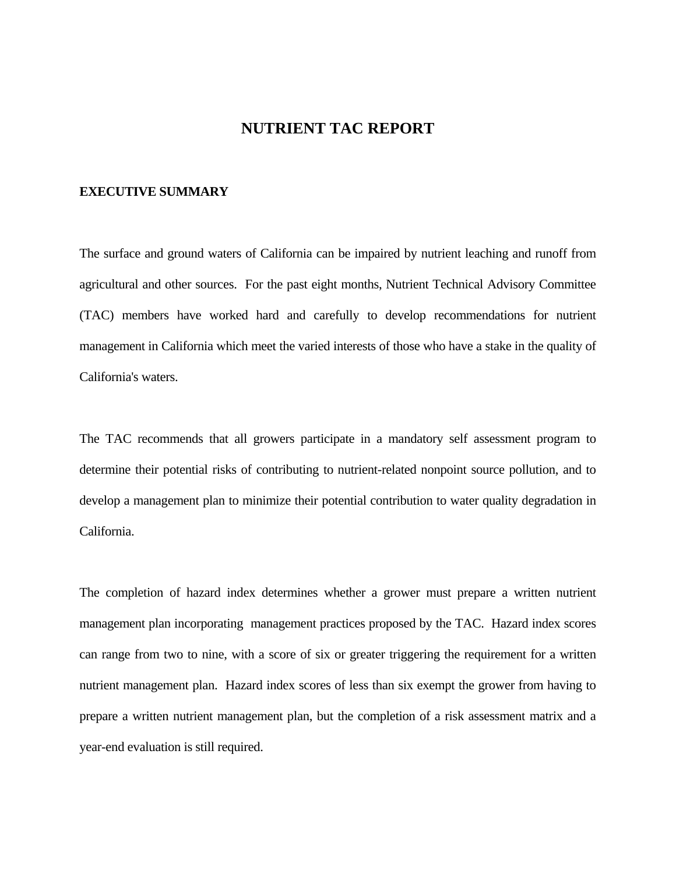### **NUTRIENT TAC REPORT**

#### **EXECUTIVE SUMMARY**

The surface and ground waters of California can be impaired by nutrient leaching and runoff from agricultural and other sources. For the past eight months, Nutrient Technical Advisory Committee (TAC) members have worked hard and carefully to develop recommendations for nutrient management in California which meet the varied interests of those who have a stake in the quality of California's waters.

The TAC recommends that all growers participate in a mandatory self assessment program to determine their potential risks of contributing to nutrient-related nonpoint source pollution, and to develop a management plan to minimize their potential contribution to water quality degradation in California.

The completion of hazard index determines whether a grower must prepare a written nutrient management plan incorporating management practices proposed by the TAC. Hazard index scores can range from two to nine, with a score of six or greater triggering the requirement for a written nutrient management plan. Hazard index scores of less than six exempt the grower from having to prepare a written nutrient management plan, but the completion of a risk assessment matrix and a year-end evaluation is still required.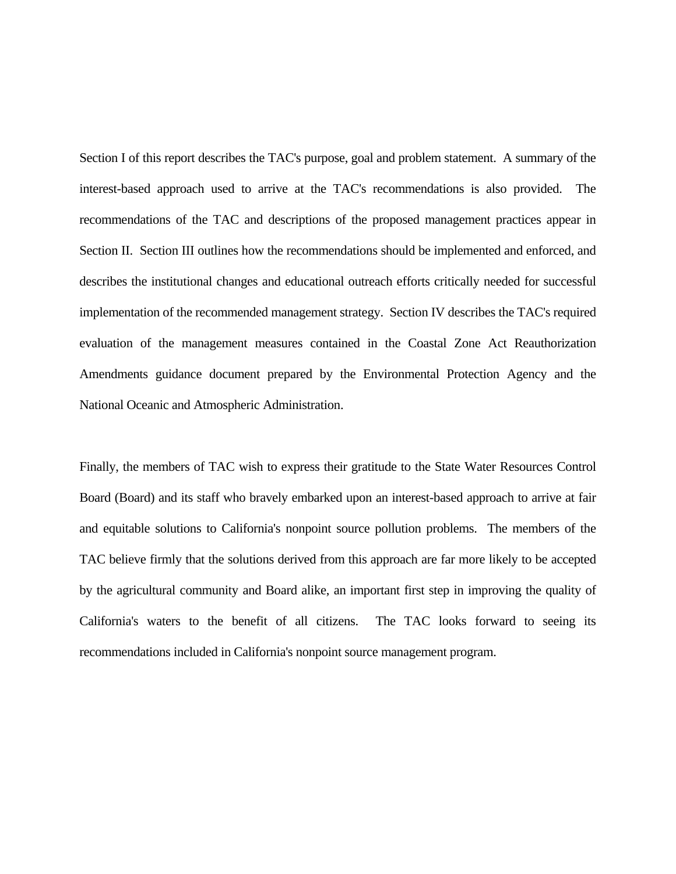Section I of this report describes the TAC's purpose, goal and problem statement. A summary of the interest-based approach used to arrive at the TAC's recommendations is also provided. The recommendations of the TAC and descriptions of the proposed management practices appear in Section II. Section III outlines how the recommendations should be implemented and enforced, and describes the institutional changes and educational outreach efforts critically needed for successful implementation of the recommended management strategy. Section IV describes the TAC's required evaluation of the management measures contained in the Coastal Zone Act Reauthorization Amendments guidance document prepared by the Environmental Protection Agency and the National Oceanic and Atmospheric Administration.

Finally, the members of TAC wish to express their gratitude to the State Water Resources Control Board (Board) and its staff who bravely embarked upon an interest-based approach to arrive at fair and equitable solutions to California's nonpoint source pollution problems. The members of the TAC believe firmly that the solutions derived from this approach are far more likely to be accepted by the agricultural community and Board alike, an important first step in improving the quality of California's waters to the benefit of all citizens. The TAC looks forward to seeing its recommendations included in California's nonpoint source management program.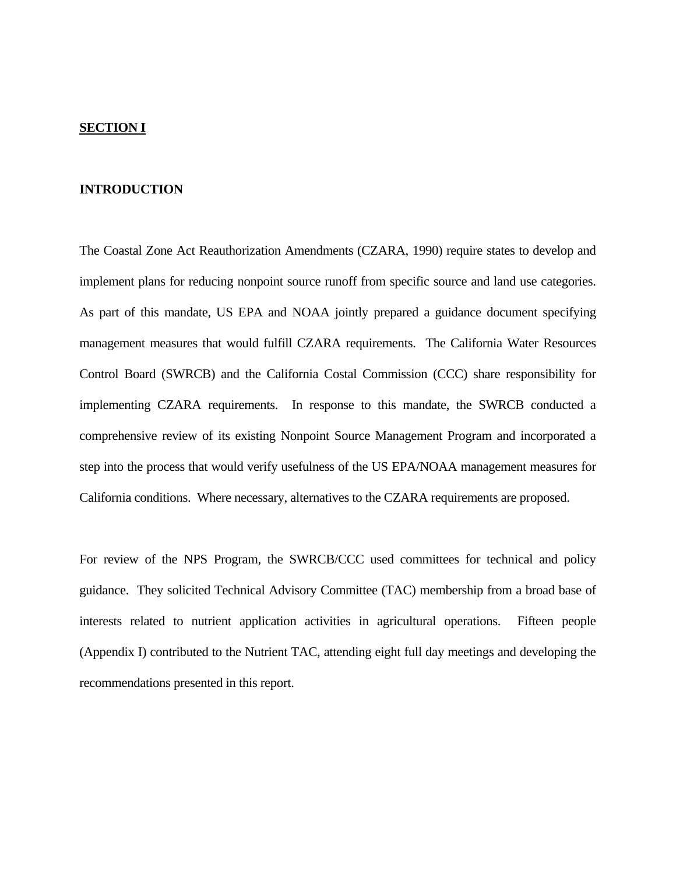### **SECTION I**

### **INTRODUCTION**

The Coastal Zone Act Reauthorization Amendments (CZARA, 1990) require states to develop and implement plans for reducing nonpoint source runoff from specific source and land use categories. As part of this mandate, US EPA and NOAA jointly prepared a guidance document specifying management measures that would fulfill CZARA requirements. The California Water Resources Control Board (SWRCB) and the California Costal Commission (CCC) share responsibility for implementing CZARA requirements. In response to this mandate, the SWRCB conducted a comprehensive review of its existing Nonpoint Source Management Program and incorporated a step into the process that would verify usefulness of the US EPA/NOAA management measures for California conditions. Where necessary, alternatives to the CZARA requirements are proposed.

For review of the NPS Program, the SWRCB/CCC used committees for technical and policy guidance. They solicited Technical Advisory Committee (TAC) membership from a broad base of interests related to nutrient application activities in agricultural operations. Fifteen people (Appendix I) contributed to the Nutrient TAC, attending eight full day meetings and developing the recommendations presented in this report.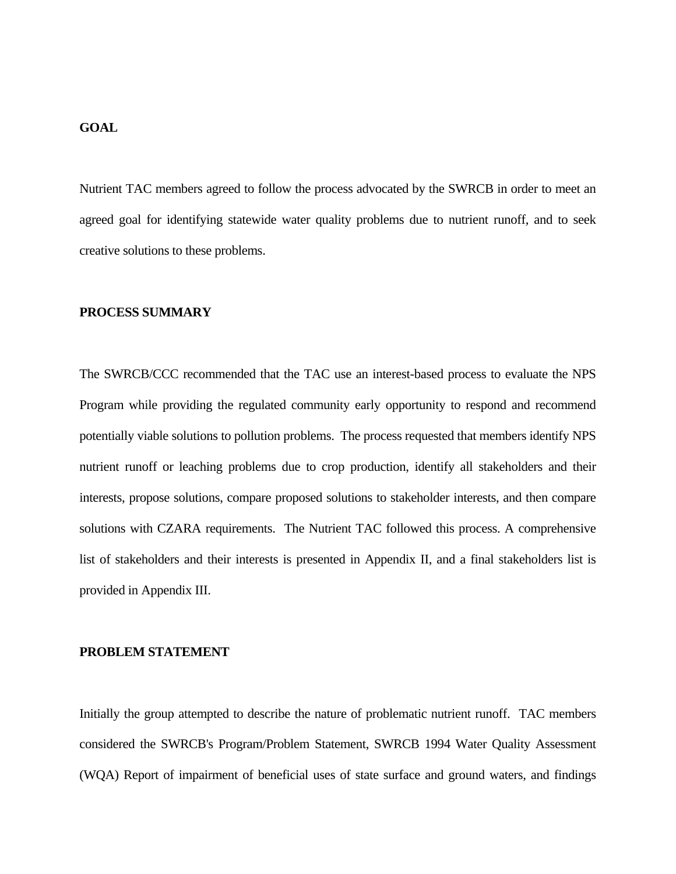## **GOAL**

Nutrient TAC members agreed to follow the process advocated by the SWRCB in order to meet an agreed goal for identifying statewide water quality problems due to nutrient runoff, and to seek creative solutions to these problems.

### **PROCESS SUMMARY**

The SWRCB/CCC recommended that the TAC use an interest-based process to evaluate the NPS Program while providing the regulated community early opportunity to respond and recommend potentially viable solutions to pollution problems. The process requested that members identify NPS nutrient runoff or leaching problems due to crop production, identify all stakeholders and their interests, propose solutions, compare proposed solutions to stakeholder interests, and then compare solutions with CZARA requirements. The Nutrient TAC followed this process. A comprehensive list of stakeholders and their interests is presented in Appendix II, and a final stakeholders list is provided in Appendix III.

### **PROBLEM STATEMENT**

Initially the group attempted to describe the nature of problematic nutrient runoff. TAC members considered the SWRCB's Program/Problem Statement, SWRCB 1994 Water Quality Assessment (WQA) Report of impairment of beneficial uses of state surface and ground waters, and findings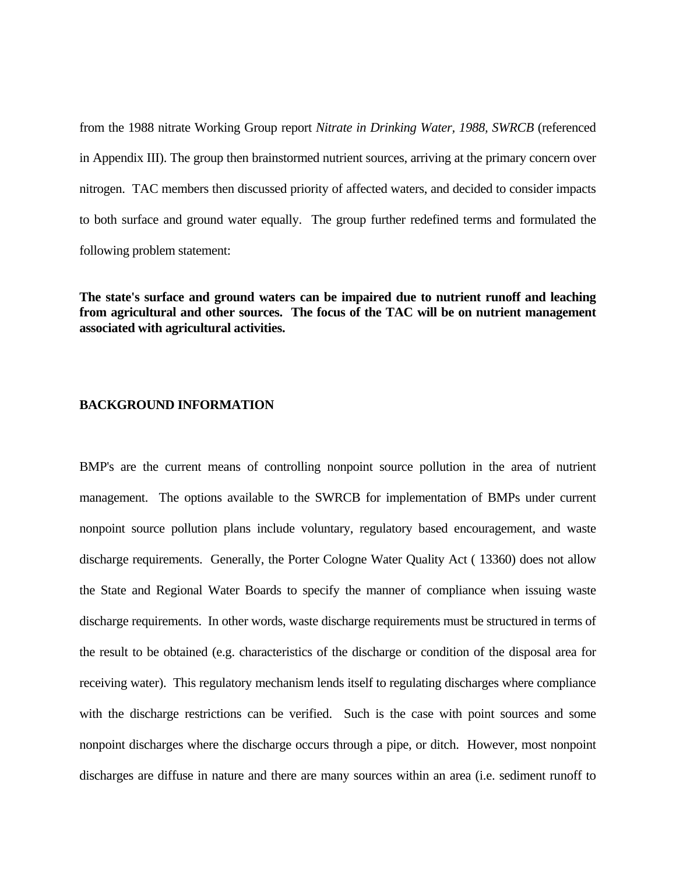from the 1988 nitrate Working Group report *Nitrate in Drinking Water, 1988, SWRCB* (referenced in Appendix III). The group then brainstormed nutrient sources, arriving at the primary concern over nitrogen. TAC members then discussed priority of affected waters, and decided to consider impacts to both surface and ground water equally. The group further redefined terms and formulated the following problem statement:

**The state's surface and ground waters can be impaired due to nutrient runoff and leaching from agricultural and other sources. The focus of the TAC will be on nutrient management associated with agricultural activities.**

### **BACKGROUND INFORMATION**

BMP's are the current means of controlling nonpoint source pollution in the area of nutrient management. The options available to the SWRCB for implementation of BMPs under current nonpoint source pollution plans include voluntary, regulatory based encouragement, and waste discharge requirements. Generally, the Porter Cologne Water Quality Act ( 13360) does not allow the State and Regional Water Boards to specify the manner of compliance when issuing waste discharge requirements. In other words, waste discharge requirements must be structured in terms of the result to be obtained (e.g. characteristics of the discharge or condition of the disposal area for receiving water). This regulatory mechanism lends itself to regulating discharges where compliance with the discharge restrictions can be verified. Such is the case with point sources and some nonpoint discharges where the discharge occurs through a pipe, or ditch. However, most nonpoint discharges are diffuse in nature and there are many sources within an area (i.e. sediment runoff to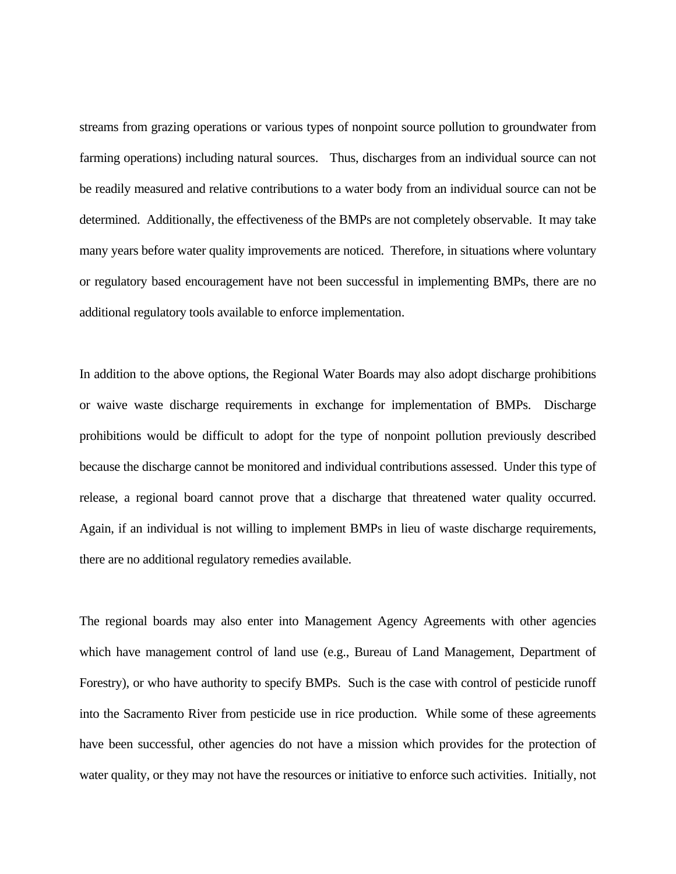streams from grazing operations or various types of nonpoint source pollution to groundwater from farming operations) including natural sources. Thus, discharges from an individual source can not be readily measured and relative contributions to a water body from an individual source can not be determined. Additionally, the effectiveness of the BMPs are not completely observable. It may take many years before water quality improvements are noticed. Therefore, in situations where voluntary or regulatory based encouragement have not been successful in implementing BMPs, there are no additional regulatory tools available to enforce implementation.

In addition to the above options, the Regional Water Boards may also adopt discharge prohibitions or waive waste discharge requirements in exchange for implementation of BMPs. Discharge prohibitions would be difficult to adopt for the type of nonpoint pollution previously described because the discharge cannot be monitored and individual contributions assessed. Under this type of release, a regional board cannot prove that a discharge that threatened water quality occurred. Again, if an individual is not willing to implement BMPs in lieu of waste discharge requirements, there are no additional regulatory remedies available.

The regional boards may also enter into Management Agency Agreements with other agencies which have management control of land use (e.g., Bureau of Land Management, Department of Forestry), or who have authority to specify BMPs. Such is the case with control of pesticide runoff into the Sacramento River from pesticide use in rice production. While some of these agreements have been successful, other agencies do not have a mission which provides for the protection of water quality, or they may not have the resources or initiative to enforce such activities. Initially, not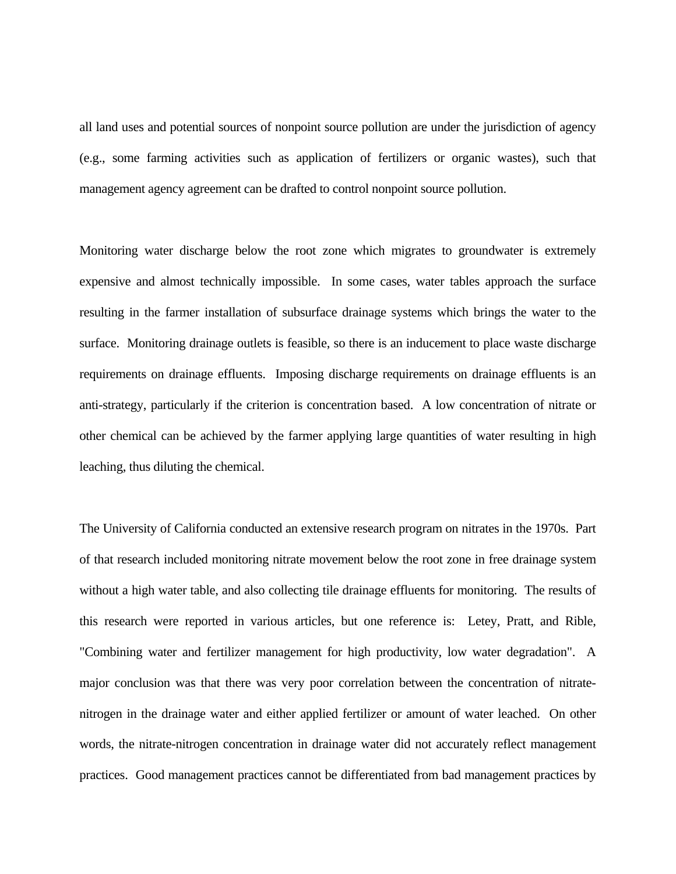all land uses and potential sources of nonpoint source pollution are under the jurisdiction of agency (e.g., some farming activities such as application of fertilizers or organic wastes), such that management agency agreement can be drafted to control nonpoint source pollution.

Monitoring water discharge below the root zone which migrates to groundwater is extremely expensive and almost technically impossible. In some cases, water tables approach the surface resulting in the farmer installation of subsurface drainage systems which brings the water to the surface. Monitoring drainage outlets is feasible, so there is an inducement to place waste discharge requirements on drainage effluents. Imposing discharge requirements on drainage effluents is an anti-strategy, particularly if the criterion is concentration based. A low concentration of nitrate or other chemical can be achieved by the farmer applying large quantities of water resulting in high leaching, thus diluting the chemical.

The University of California conducted an extensive research program on nitrates in the 1970s. Part of that research included monitoring nitrate movement below the root zone in free drainage system without a high water table, and also collecting tile drainage effluents for monitoring. The results of this research were reported in various articles, but one reference is: Letey, Pratt, and Rible, "Combining water and fertilizer management for high productivity, low water degradation". A major conclusion was that there was very poor correlation between the concentration of nitratenitrogen in the drainage water and either applied fertilizer or amount of water leached. On other words, the nitrate-nitrogen concentration in drainage water did not accurately reflect management practices. Good management practices cannot be differentiated from bad management practices by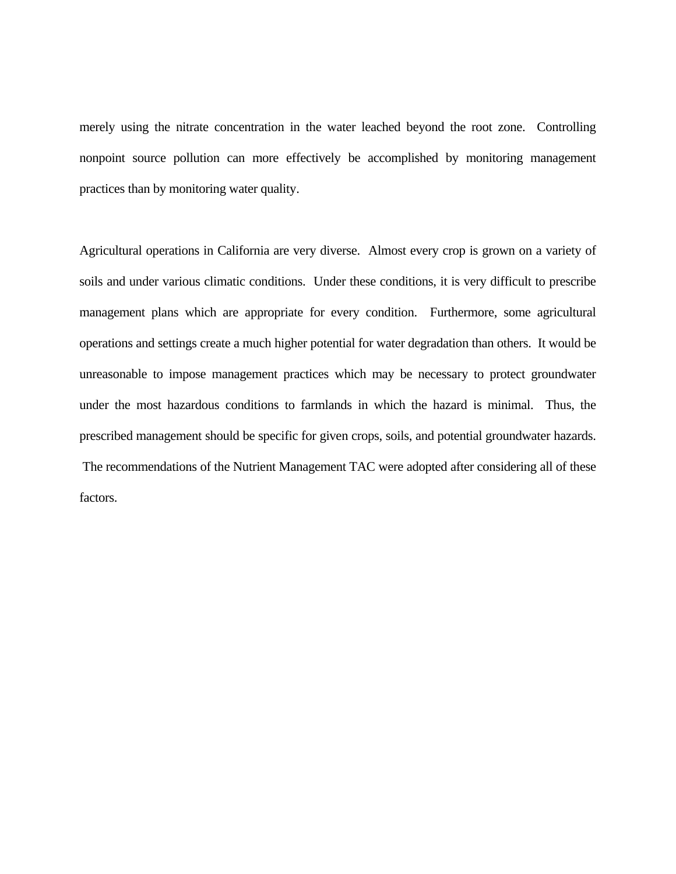merely using the nitrate concentration in the water leached beyond the root zone. Controlling nonpoint source pollution can more effectively be accomplished by monitoring management practices than by monitoring water quality.

Agricultural operations in California are very diverse. Almost every crop is grown on a variety of soils and under various climatic conditions. Under these conditions, it is very difficult to prescribe management plans which are appropriate for every condition. Furthermore, some agricultural operations and settings create a much higher potential for water degradation than others. It would be unreasonable to impose management practices which may be necessary to protect groundwater under the most hazardous conditions to farmlands in which the hazard is minimal. Thus, the prescribed management should be specific for given crops, soils, and potential groundwater hazards. The recommendations of the Nutrient Management TAC were adopted after considering all of these factors.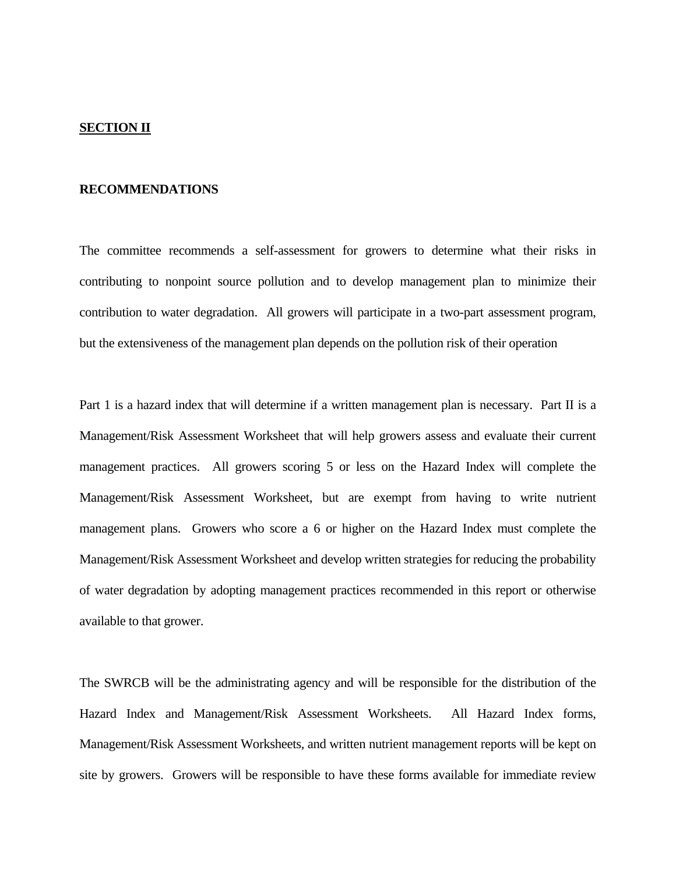### **SECTION II**

### **RECOMMENDATIONS**

The committee recommends a self-assessment for growers to determine what their risks in contributing to nonpoint source pollution and to develop management plan to minimize their contribution to water degradation. All growers will participate in a two-part assessment program, but the extensiveness of the management plan depends on the pollution risk of their operation

Part 1 is a hazard index that will determine if a written management plan is necessary. Part II is a Management/Risk Assessment Worksheet that will help growers assess and evaluate their current management practices. All growers scoring 5 or less on the Hazard Index will complete the Management/Risk Assessment Worksheet, but are exempt from having to write nutrient management plans. Growers who score a 6 or higher on the Hazard Index must complete the Management/Risk Assessment Worksheet and develop written strategies for reducing the probability of water degradation by adopting management practices recommended in this report or otherwise available to that grower.

The SWRCB will be the administrating agency and will be responsible for the distribution of the Hazard Index and Management/Risk Assessment Worksheets. All Hazard Index forms, Management/Risk Assessment Worksheets, and written nutrient management reports will be kept on site by growers. Growers will be responsible to have these forms available for immediate review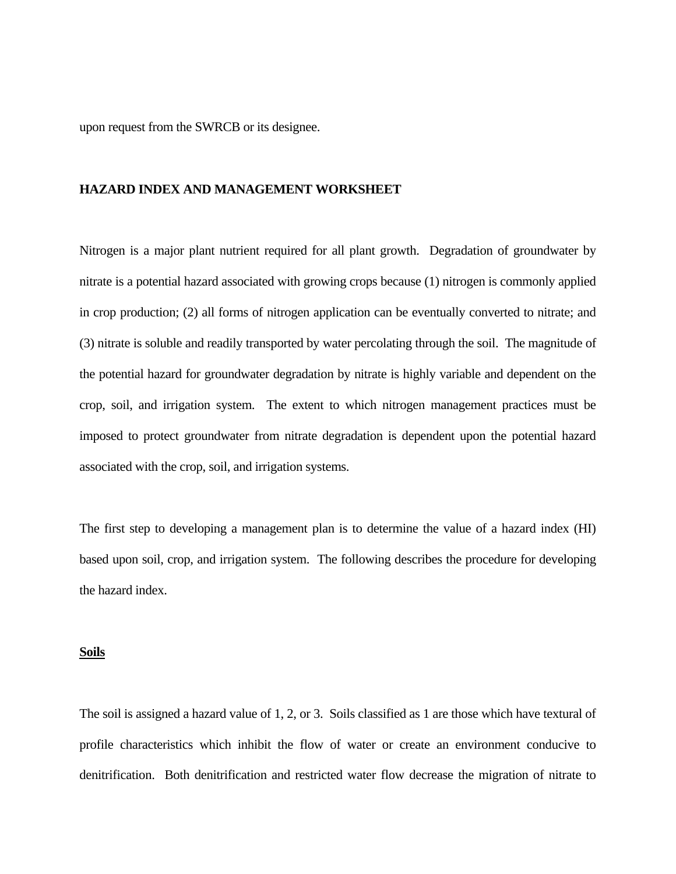upon request from the SWRCB or its designee.

### **HAZARD INDEX AND MANAGEMENT WORKSHEET**

Nitrogen is a major plant nutrient required for all plant growth. Degradation of groundwater by nitrate is a potential hazard associated with growing crops because (1) nitrogen is commonly applied in crop production; (2) all forms of nitrogen application can be eventually converted to nitrate; and (3) nitrate is soluble and readily transported by water percolating through the soil. The magnitude of the potential hazard for groundwater degradation by nitrate is highly variable and dependent on the crop, soil, and irrigation system. The extent to which nitrogen management practices must be imposed to protect groundwater from nitrate degradation is dependent upon the potential hazard associated with the crop, soil, and irrigation systems.

The first step to developing a management plan is to determine the value of a hazard index (HI) based upon soil, crop, and irrigation system. The following describes the procedure for developing the hazard index.

#### **Soils**

The soil is assigned a hazard value of 1, 2, or 3. Soils classified as 1 are those which have textural of profile characteristics which inhibit the flow of water or create an environment conducive to denitrification. Both denitrification and restricted water flow decrease the migration of nitrate to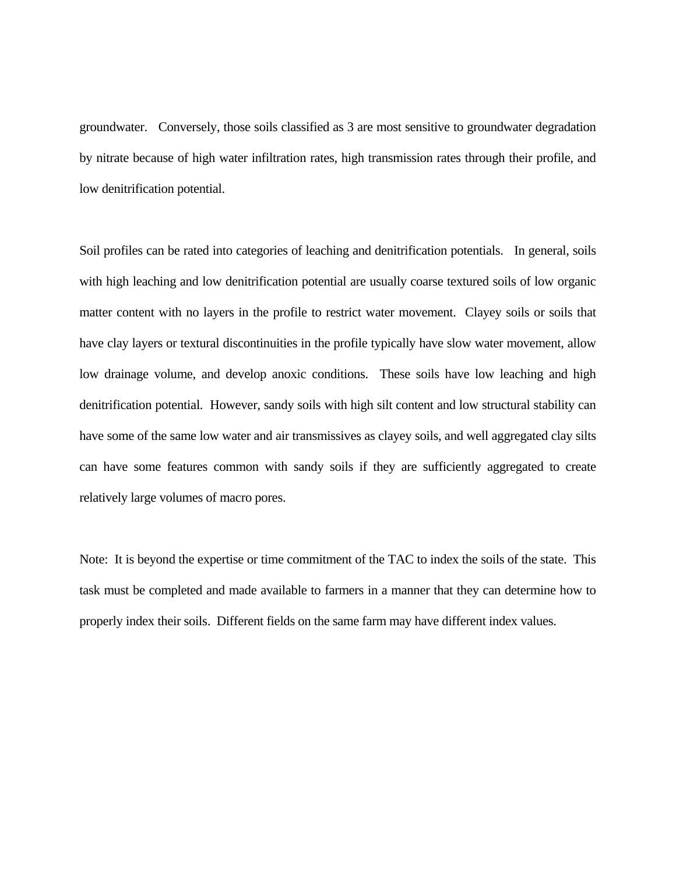groundwater. Conversely, those soils classified as 3 are most sensitive to groundwater degradation by nitrate because of high water infiltration rates, high transmission rates through their profile, and low denitrification potential.

Soil profiles can be rated into categories of leaching and denitrification potentials. In general, soils with high leaching and low denitrification potential are usually coarse textured soils of low organic matter content with no layers in the profile to restrict water movement. Clayey soils or soils that have clay layers or textural discontinuities in the profile typically have slow water movement, allow low drainage volume, and develop anoxic conditions. These soils have low leaching and high denitrification potential. However, sandy soils with high silt content and low structural stability can have some of the same low water and air transmissives as clayey soils, and well aggregated clay silts can have some features common with sandy soils if they are sufficiently aggregated to create relatively large volumes of macro pores.

Note: It is beyond the expertise or time commitment of the TAC to index the soils of the state. This task must be completed and made available to farmers in a manner that they can determine how to properly index their soils. Different fields on the same farm may have different index values.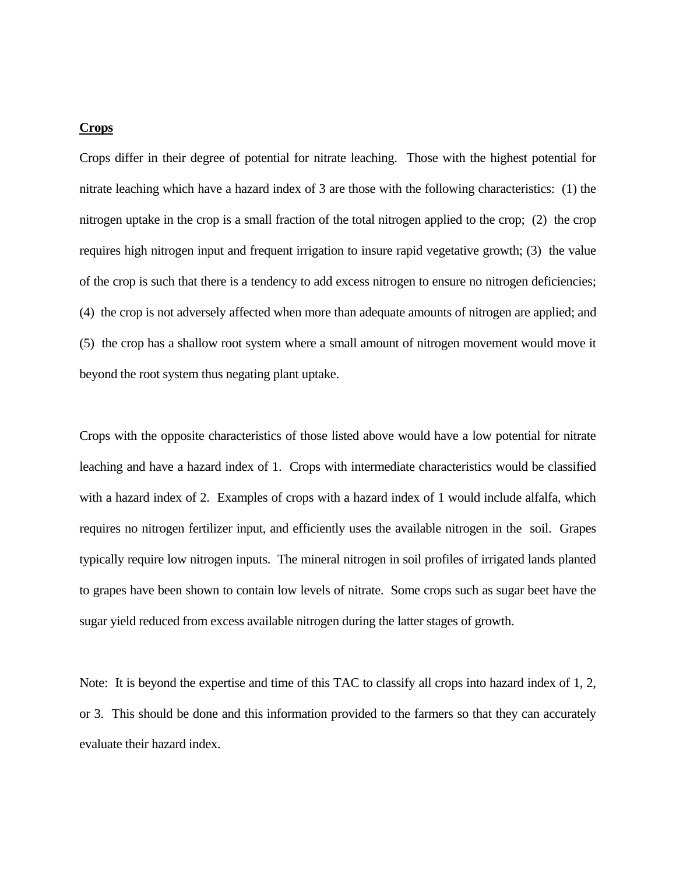### **Crops**

Crops differ in their degree of potential for nitrate leaching. Those with the highest potential for nitrate leaching which have a hazard index of 3 are those with the following characteristics: (1) the nitrogen uptake in the crop is a small fraction of the total nitrogen applied to the crop; (2) the crop requires high nitrogen input and frequent irrigation to insure rapid vegetative growth; (3) the value of the crop is such that there is a tendency to add excess nitrogen to ensure no nitrogen deficiencies; (4) the crop is not adversely affected when more than adequate amounts of nitrogen are applied; and (5) the crop has a shallow root system where a small amount of nitrogen movement would move it beyond the root system thus negating plant uptake.

Crops with the opposite characteristics of those listed above would have a low potential for nitrate leaching and have a hazard index of 1. Crops with intermediate characteristics would be classified with a hazard index of 2. Examples of crops with a hazard index of 1 would include alfalfa, which requires no nitrogen fertilizer input, and efficiently uses the available nitrogen in the soil. Grapes typically require low nitrogen inputs. The mineral nitrogen in soil profiles of irrigated lands planted to grapes have been shown to contain low levels of nitrate. Some crops such as sugar beet have the sugar yield reduced from excess available nitrogen during the latter stages of growth.

Note: It is beyond the expertise and time of this TAC to classify all crops into hazard index of 1, 2, or 3. This should be done and this information provided to the farmers so that they can accurately evaluate their hazard index.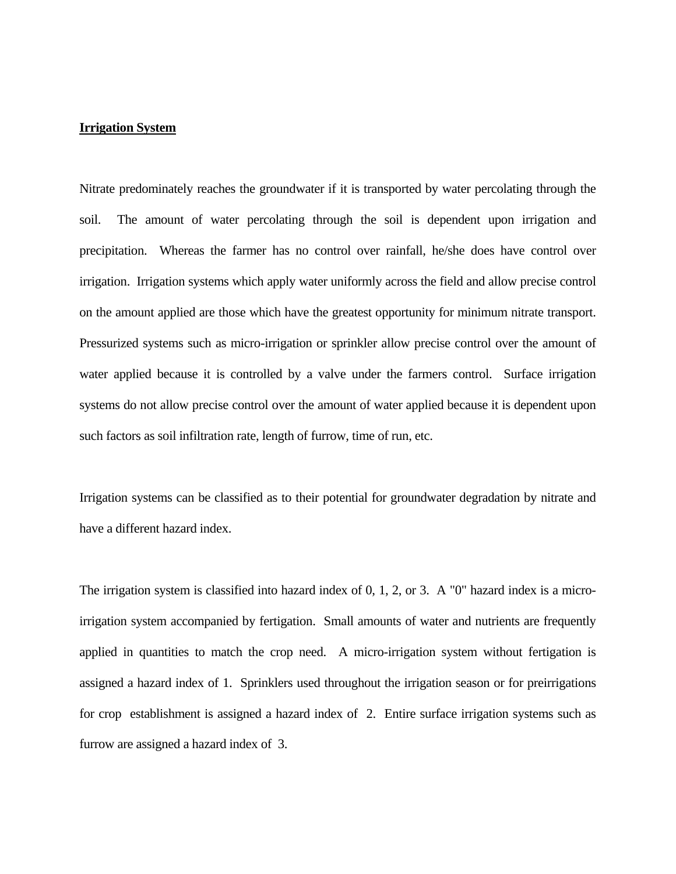### **Irrigation System**

Nitrate predominately reaches the groundwater if it is transported by water percolating through the soil. The amount of water percolating through the soil is dependent upon irrigation and precipitation. Whereas the farmer has no control over rainfall, he/she does have control over irrigation. Irrigation systems which apply water uniformly across the field and allow precise control on the amount applied are those which have the greatest opportunity for minimum nitrate transport. Pressurized systems such as micro-irrigation or sprinkler allow precise control over the amount of water applied because it is controlled by a valve under the farmers control. Surface irrigation systems do not allow precise control over the amount of water applied because it is dependent upon such factors as soil infiltration rate, length of furrow, time of run, etc.

Irrigation systems can be classified as to their potential for groundwater degradation by nitrate and have a different hazard index.

The irrigation system is classified into hazard index of 0, 1, 2, or 3. A "0" hazard index is a microirrigation system accompanied by fertigation. Small amounts of water and nutrients are frequently applied in quantities to match the crop need. A micro-irrigation system without fertigation is assigned a hazard index of 1. Sprinklers used throughout the irrigation season or for preirrigations for crop establishment is assigned a hazard index of 2. Entire surface irrigation systems such as furrow are assigned a hazard index of 3.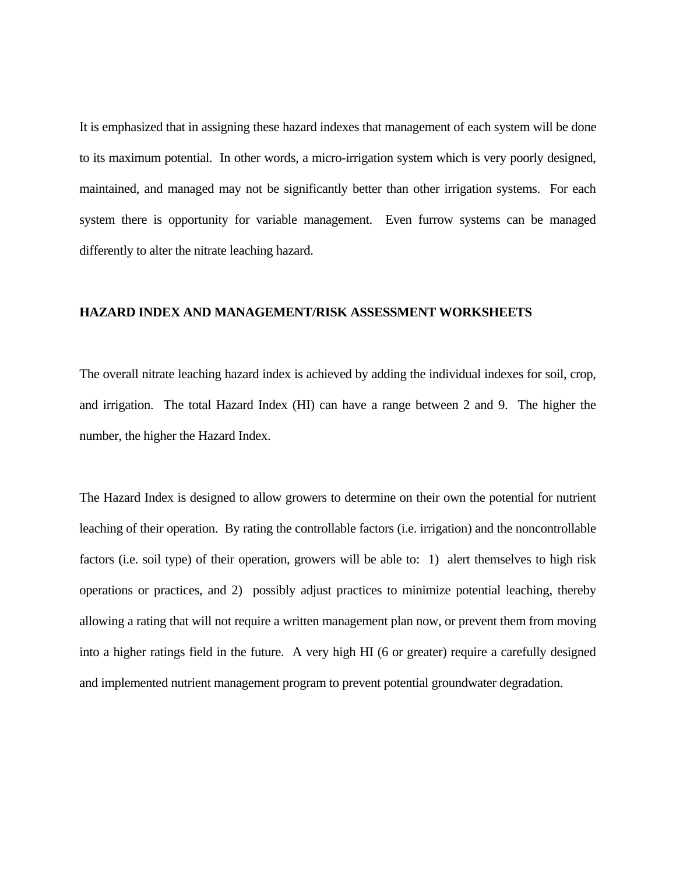It is emphasized that in assigning these hazard indexes that management of each system will be done to its maximum potential. In other words, a micro-irrigation system which is very poorly designed, maintained, and managed may not be significantly better than other irrigation systems. For each system there is opportunity for variable management. Even furrow systems can be managed differently to alter the nitrate leaching hazard.

### **HAZARD INDEX AND MANAGEMENT/RISK ASSESSMENT WORKSHEETS**

The overall nitrate leaching hazard index is achieved by adding the individual indexes for soil, crop, and irrigation. The total Hazard Index (HI) can have a range between 2 and 9. The higher the number, the higher the Hazard Index.

The Hazard Index is designed to allow growers to determine on their own the potential for nutrient leaching of their operation. By rating the controllable factors (i.e. irrigation) and the noncontrollable factors (i.e. soil type) of their operation, growers will be able to: 1) alert themselves to high risk operations or practices, and 2) possibly adjust practices to minimize potential leaching, thereby allowing a rating that will not require a written management plan now, or prevent them from moving into a higher ratings field in the future. A very high HI (6 or greater) require a carefully designed and implemented nutrient management program to prevent potential groundwater degradation.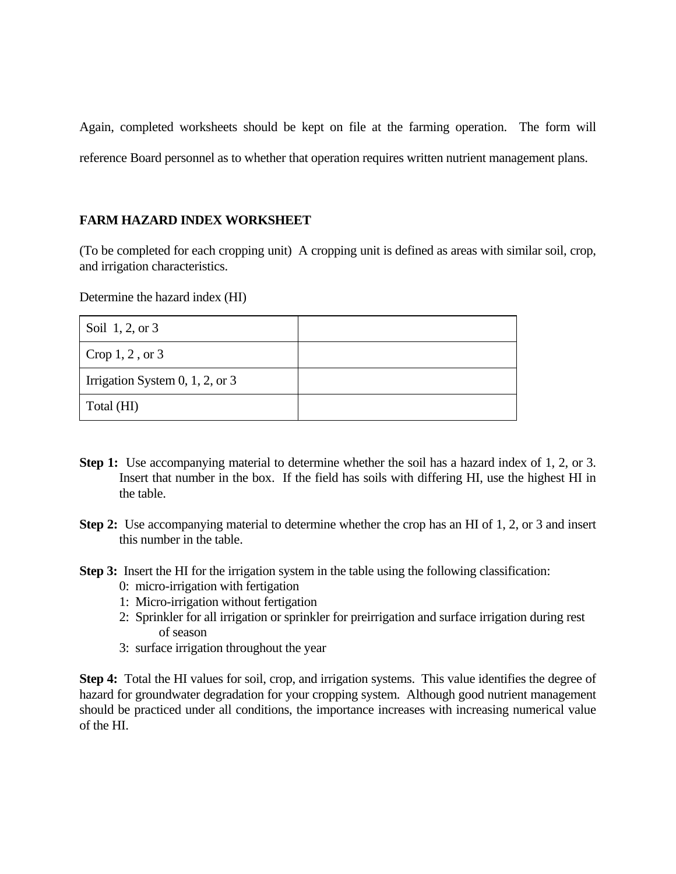Again, completed worksheets should be kept on file at the farming operation. The form will reference Board personnel as to whether that operation requires written nutrient management plans.

## **FARM HAZARD INDEX WORKSHEET**

(To be completed for each cropping unit) A cropping unit is defined as areas with similar soil, crop, and irrigation characteristics.

Determine the hazard index (HI)

| Soil 1, 2, or 3                 |  |
|---------------------------------|--|
| Crop $1, 2$ , or $3$            |  |
| Irrigation System 0, 1, 2, or 3 |  |
| Total (HI)                      |  |

- **Step 1:** Use accompanying material to determine whether the soil has a hazard index of 1, 2, or 3. Insert that number in the box. If the field has soils with differing HI, use the highest HI in the table.
- **Step 2:** Use accompanying material to determine whether the crop has an HI of 1, 2, or 3 and insert this number in the table.
- **Step 3:** Insert the HI for the irrigation system in the table using the following classification:
	- 0: micro-irrigation with fertigation
	- 1: Micro-irrigation without fertigation
	- 2: Sprinkler for all irrigation or sprinkler for preirrigation and surface irrigation during rest of season
	- 3: surface irrigation throughout the year

**Step 4:** Total the HI values for soil, crop, and irrigation systems. This value identifies the degree of hazard for groundwater degradation for your cropping system. Although good nutrient management should be practiced under all conditions, the importance increases with increasing numerical value of the HI.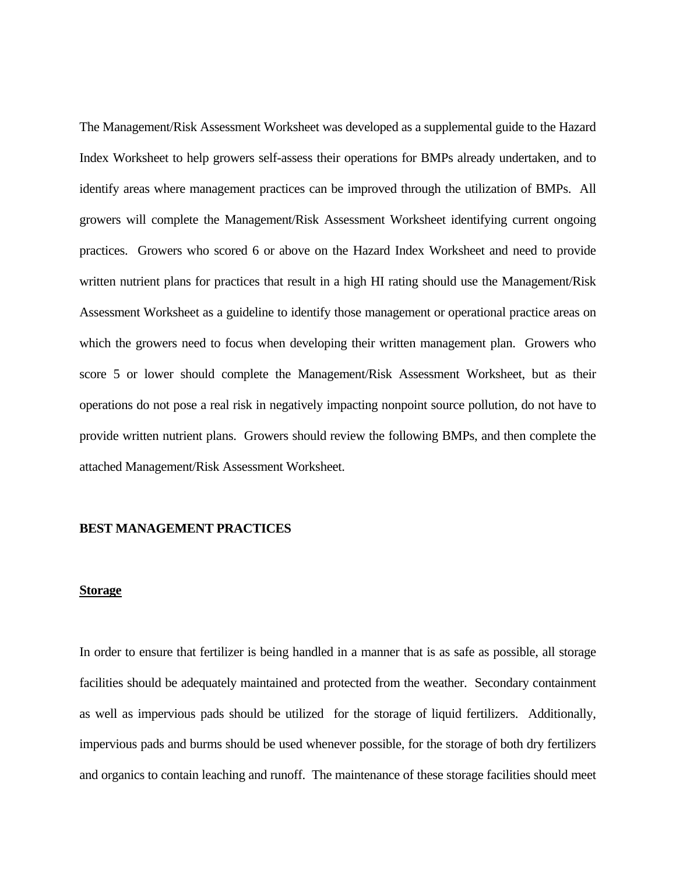The Management/Risk Assessment Worksheet was developed as a supplemental guide to the Hazard Index Worksheet to help growers self-assess their operations for BMPs already undertaken, and to identify areas where management practices can be improved through the utilization of BMPs. All growers will complete the Management/Risk Assessment Worksheet identifying current ongoing practices. Growers who scored 6 or above on the Hazard Index Worksheet and need to provide written nutrient plans for practices that result in a high HI rating should use the Management/Risk Assessment Worksheet as a guideline to identify those management or operational practice areas on which the growers need to focus when developing their written management plan. Growers who score 5 or lower should complete the Management/Risk Assessment Worksheet, but as their operations do not pose a real risk in negatively impacting nonpoint source pollution, do not have to provide written nutrient plans. Growers should review the following BMPs, and then complete the attached Management/Risk Assessment Worksheet.

### **BEST MANAGEMENT PRACTICES**

### **Storage**

In order to ensure that fertilizer is being handled in a manner that is as safe as possible, all storage facilities should be adequately maintained and protected from the weather. Secondary containment as well as impervious pads should be utilized for the storage of liquid fertilizers. Additionally, impervious pads and burms should be used whenever possible, for the storage of both dry fertilizers and organics to contain leaching and runoff. The maintenance of these storage facilities should meet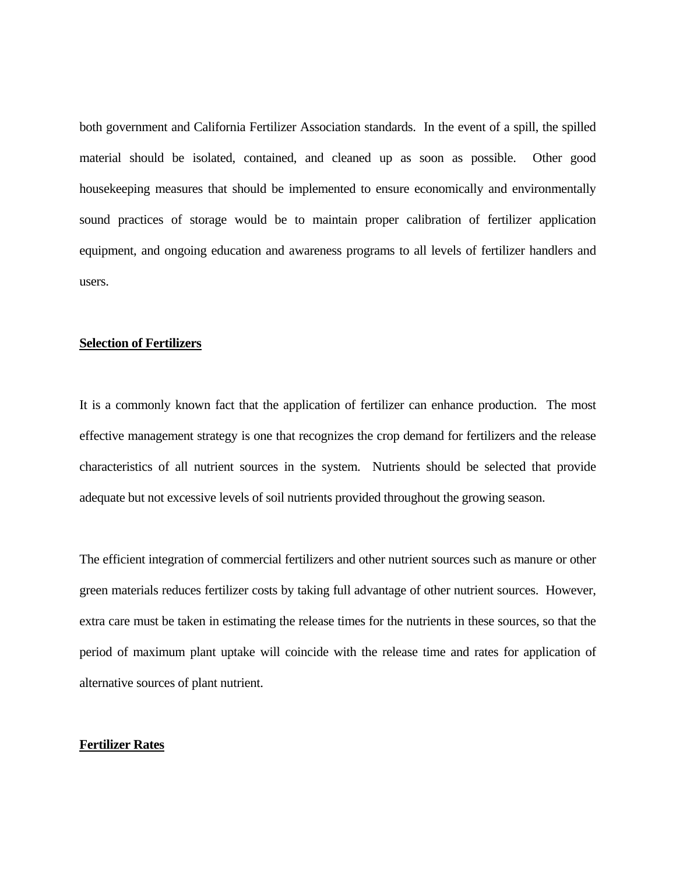both government and California Fertilizer Association standards. In the event of a spill, the spilled material should be isolated, contained, and cleaned up as soon as possible. Other good housekeeping measures that should be implemented to ensure economically and environmentally sound practices of storage would be to maintain proper calibration of fertilizer application equipment, and ongoing education and awareness programs to all levels of fertilizer handlers and users.

#### **Selection of Fertilizers**

It is a commonly known fact that the application of fertilizer can enhance production. The most effective management strategy is one that recognizes the crop demand for fertilizers and the release characteristics of all nutrient sources in the system. Nutrients should be selected that provide adequate but not excessive levels of soil nutrients provided throughout the growing season.

The efficient integration of commercial fertilizers and other nutrient sources such as manure or other green materials reduces fertilizer costs by taking full advantage of other nutrient sources. However, extra care must be taken in estimating the release times for the nutrients in these sources, so that the period of maximum plant uptake will coincide with the release time and rates for application of alternative sources of plant nutrient.

#### **Fertilizer Rates**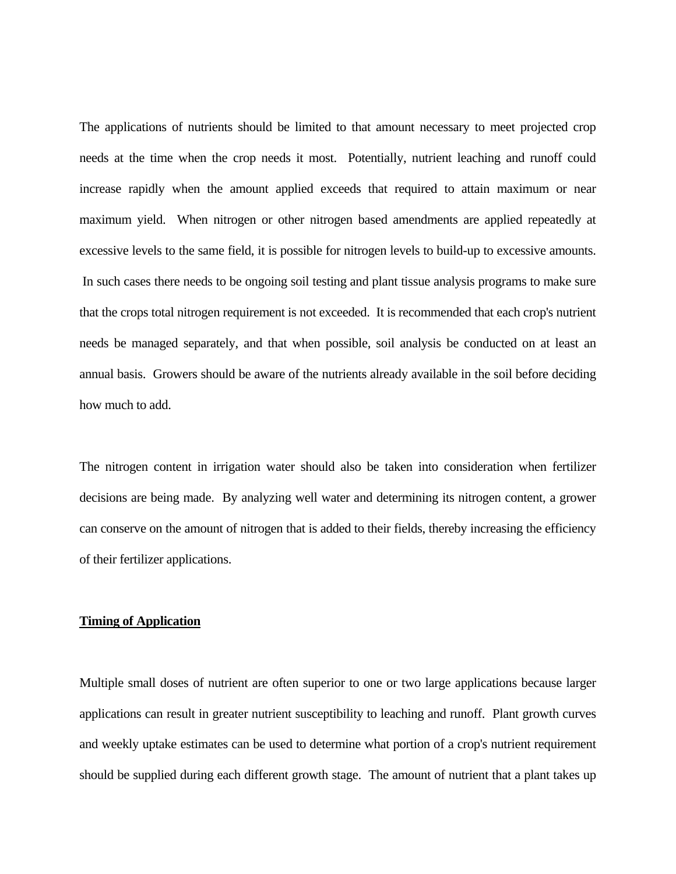The applications of nutrients should be limited to that amount necessary to meet projected crop needs at the time when the crop needs it most. Potentially, nutrient leaching and runoff could increase rapidly when the amount applied exceeds that required to attain maximum or near maximum yield. When nitrogen or other nitrogen based amendments are applied repeatedly at excessive levels to the same field, it is possible for nitrogen levels to build-up to excessive amounts. In such cases there needs to be ongoing soil testing and plant tissue analysis programs to make sure that the crops total nitrogen requirement is not exceeded. It is recommended that each crop's nutrient needs be managed separately, and that when possible, soil analysis be conducted on at least an annual basis. Growers should be aware of the nutrients already available in the soil before deciding how much to add.

The nitrogen content in irrigation water should also be taken into consideration when fertilizer decisions are being made. By analyzing well water and determining its nitrogen content, a grower can conserve on the amount of nitrogen that is added to their fields, thereby increasing the efficiency of their fertilizer applications.

### **Timing of Application**

Multiple small doses of nutrient are often superior to one or two large applications because larger applications can result in greater nutrient susceptibility to leaching and runoff. Plant growth curves and weekly uptake estimates can be used to determine what portion of a crop's nutrient requirement should be supplied during each different growth stage. The amount of nutrient that a plant takes up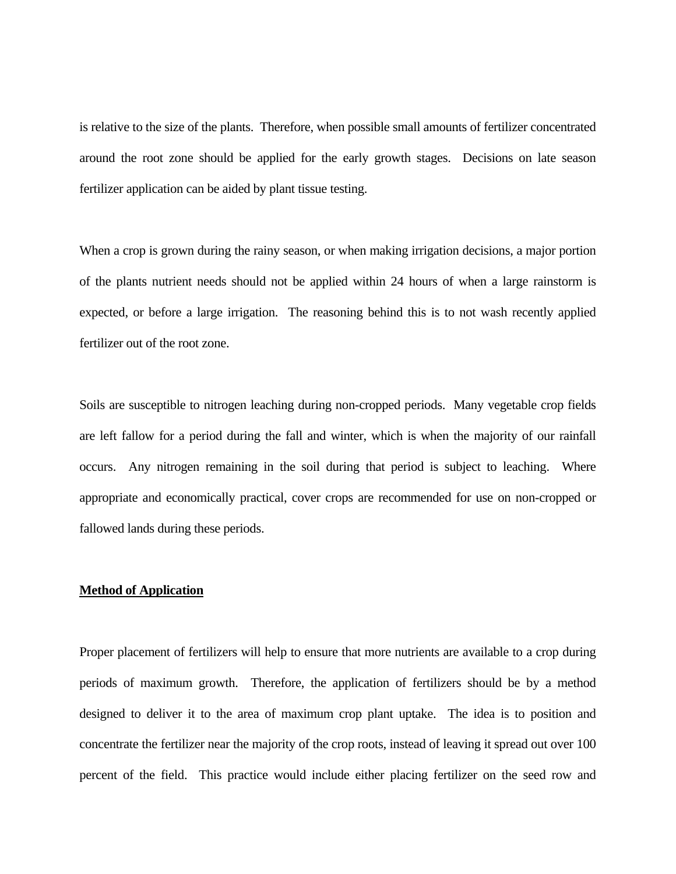is relative to the size of the plants. Therefore, when possible small amounts of fertilizer concentrated around the root zone should be applied for the early growth stages. Decisions on late season fertilizer application can be aided by plant tissue testing.

When a crop is grown during the rainy season, or when making irrigation decisions, a major portion of the plants nutrient needs should not be applied within 24 hours of when a large rainstorm is expected, or before a large irrigation. The reasoning behind this is to not wash recently applied fertilizer out of the root zone.

Soils are susceptible to nitrogen leaching during non-cropped periods. Many vegetable crop fields are left fallow for a period during the fall and winter, which is when the majority of our rainfall occurs. Any nitrogen remaining in the soil during that period is subject to leaching. Where appropriate and economically practical, cover crops are recommended for use on non-cropped or fallowed lands during these periods.

## **Method of Application**

Proper placement of fertilizers will help to ensure that more nutrients are available to a crop during periods of maximum growth. Therefore, the application of fertilizers should be by a method designed to deliver it to the area of maximum crop plant uptake. The idea is to position and concentrate the fertilizer near the majority of the crop roots, instead of leaving it spread out over 100 percent of the field. This practice would include either placing fertilizer on the seed row and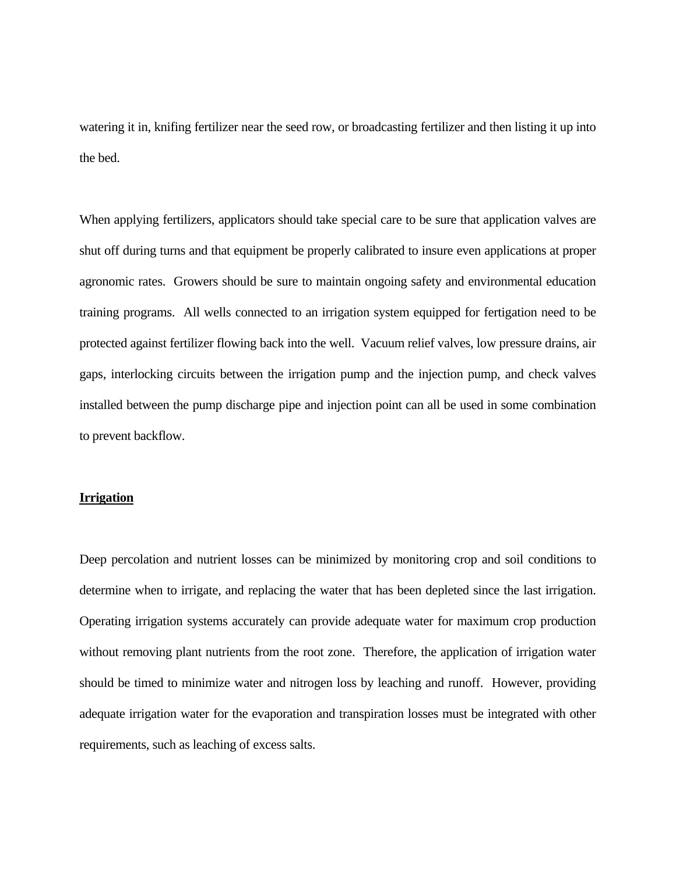watering it in, knifing fertilizer near the seed row, or broadcasting fertilizer and then listing it up into the bed.

When applying fertilizers, applicators should take special care to be sure that application valves are shut off during turns and that equipment be properly calibrated to insure even applications at proper agronomic rates. Growers should be sure to maintain ongoing safety and environmental education training programs. All wells connected to an irrigation system equipped for fertigation need to be protected against fertilizer flowing back into the well. Vacuum relief valves, low pressure drains, air gaps, interlocking circuits between the irrigation pump and the injection pump, and check valves installed between the pump discharge pipe and injection point can all be used in some combination to prevent backflow.

### **Irrigation**

Deep percolation and nutrient losses can be minimized by monitoring crop and soil conditions to determine when to irrigate, and replacing the water that has been depleted since the last irrigation. Operating irrigation systems accurately can provide adequate water for maximum crop production without removing plant nutrients from the root zone. Therefore, the application of irrigation water should be timed to minimize water and nitrogen loss by leaching and runoff. However, providing adequate irrigation water for the evaporation and transpiration losses must be integrated with other requirements, such as leaching of excess salts.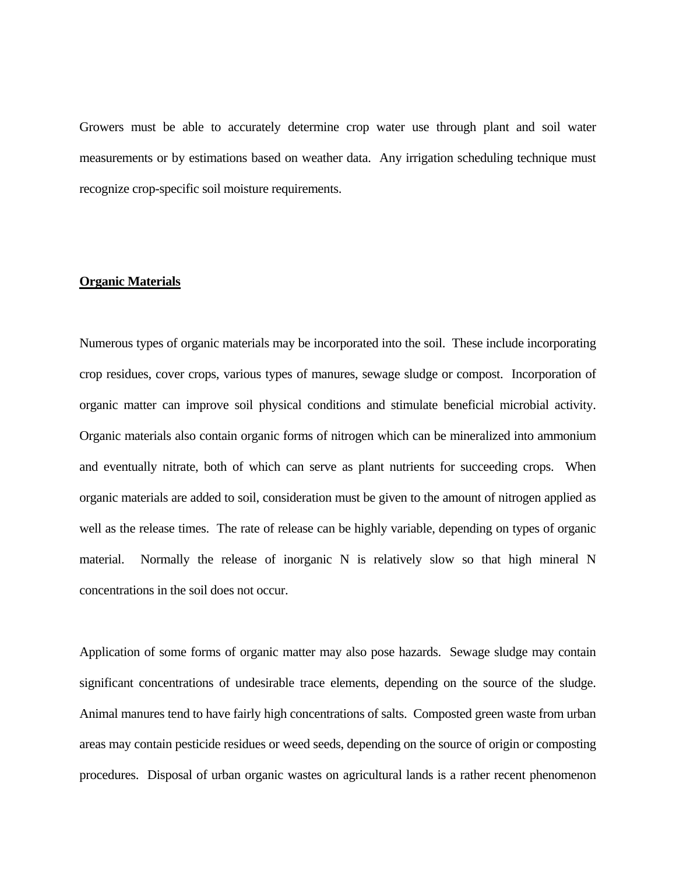Growers must be able to accurately determine crop water use through plant and soil water measurements or by estimations based on weather data. Any irrigation scheduling technique must recognize crop-specific soil moisture requirements.

### **Organic Materials**

Numerous types of organic materials may be incorporated into the soil. These include incorporating crop residues, cover crops, various types of manures, sewage sludge or compost. Incorporation of organic matter can improve soil physical conditions and stimulate beneficial microbial activity. Organic materials also contain organic forms of nitrogen which can be mineralized into ammonium and eventually nitrate, both of which can serve as plant nutrients for succeeding crops. When organic materials are added to soil, consideration must be given to the amount of nitrogen applied as well as the release times. The rate of release can be highly variable, depending on types of organic material. Normally the release of inorganic N is relatively slow so that high mineral N concentrations in the soil does not occur.

Application of some forms of organic matter may also pose hazards. Sewage sludge may contain significant concentrations of undesirable trace elements, depending on the source of the sludge. Animal manures tend to have fairly high concentrations of salts. Composted green waste from urban areas may contain pesticide residues or weed seeds, depending on the source of origin or composting procedures. Disposal of urban organic wastes on agricultural lands is a rather recent phenomenon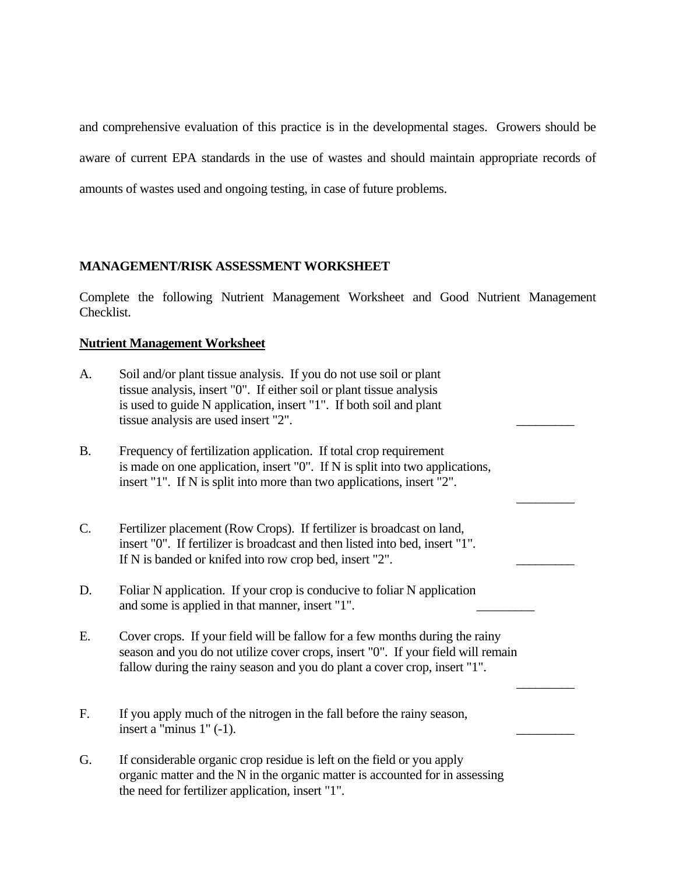and comprehensive evaluation of this practice is in the developmental stages. Growers should be aware of current EPA standards in the use of wastes and should maintain appropriate records of amounts of wastes used and ongoing testing, in case of future problems.

# **MANAGEMENT/RISK ASSESSMENT WORKSHEET**

Complete the following Nutrient Management Worksheet and Good Nutrient Management Checklist.

# **Nutrient Management Worksheet**

| A.        | Soil and/or plant tissue analysis. If you do not use soil or plant<br>tissue analysis, insert "0". If either soil or plant tissue analysis<br>is used to guide N application, insert "1". If both soil and plant<br>tissue analysis are used insert "2". |
|-----------|----------------------------------------------------------------------------------------------------------------------------------------------------------------------------------------------------------------------------------------------------------|
| <b>B.</b> | Frequency of fertilization application. If total crop requirement<br>is made on one application, insert "0". If N is split into two applications,<br>insert "1". If N is split into more than two applications, insert "2".                              |
| C.        | Fertilizer placement (Row Crops). If fertilizer is broadcast on land,<br>insert "0". If fertilizer is broadcast and then listed into bed, insert "1".<br>If N is banded or knifed into row crop bed, insert "2".                                         |
| D.        | Foliar N application. If your crop is conducive to foliar N application<br>and some is applied in that manner, insert "1".                                                                                                                               |
| Ε.        | Cover crops. If your field will be fallow for a few months during the rainy<br>season and you do not utilize cover crops, insert "0". If your field will remain<br>fallow during the rainy season and you do plant a cover crop, insert "1".             |
| F.        | If you apply much of the nitrogen in the fall before the rainy season,<br>insert a "minus $1$ " $(-1)$ .                                                                                                                                                 |
| G.        | If considerable organic crop residue is left on the field or you apply<br>organic matter and the N in the organic matter is accounted for in assessing<br>the need for fertilizer application, insert "1".                                               |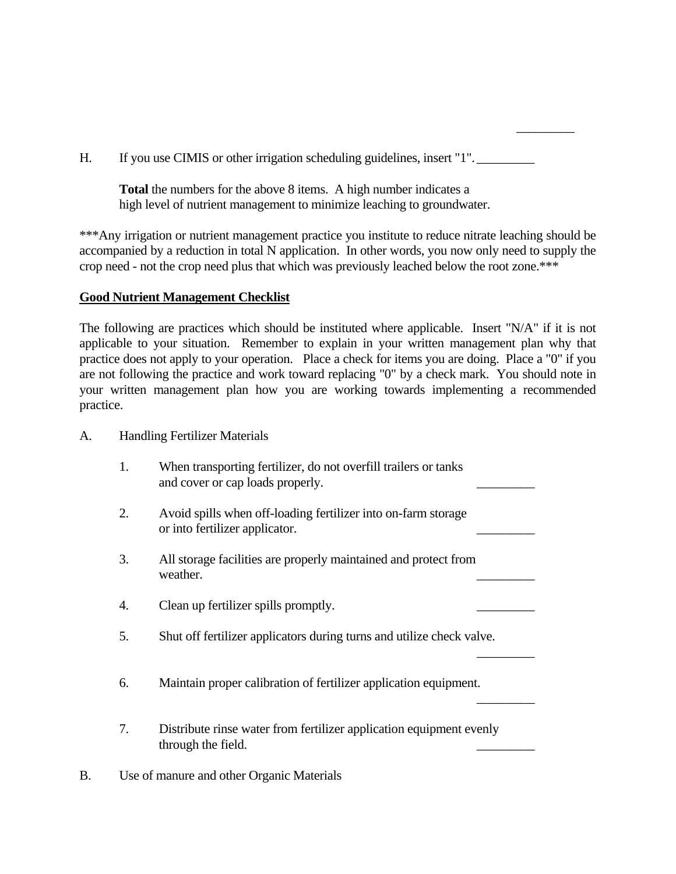H. If you use CIMIS or other irrigation scheduling guidelines, insert "1".

 $\mathcal{L}_\text{max}$  and  $\mathcal{L}_\text{max}$  are the set of the set of the set of the set of the set of the set of the set of the set of the set of the set of the set of the set of the set of the set of the set of the set of the set o

 **Total** the numbers for the above 8 items. A high number indicates a high level of nutrient management to minimize leaching to groundwater.

\*\*\*Any irrigation or nutrient management practice you institute to reduce nitrate leaching should be accompanied by a reduction in total N application. In other words, you now only need to supply the crop need - not the crop need plus that which was previously leached below the root zone.\*\*\*

## **Good Nutrient Management Checklist**

The following are practices which should be instituted where applicable. Insert "N/A" if it is not applicable to your situation. Remember to explain in your written management plan why that practice does not apply to your operation. Place a check for items you are doing. Place a "0" if you are not following the practice and work toward replacing "0" by a check mark. You should note in your written management plan how you are working towards implementing a recommended practice.

- A. Handling Fertilizer Materials
	- 1. When transporting fertilizer, do not overfill trailers or tanks and cover or cap loads properly.
	- 2. Avoid spills when off-loading fertilizer into on-farm storage or into fertilizer applicator.
- 3. All storage facilities are properly maintained and protect from weather.
	- 4. Clean up fertilizer spills promptly.
- 5. Shut off fertilizer applicators during turns and utilize check valve.  $\mathcal{L}_\text{max}$  and  $\mathcal{L}_\text{max}$  are the set of the set of the set of the set of the set of the set of the set of the set of the set of the set of the set of the set of the set of the set of the set of the set of the set o
	- 6. Maintain proper calibration of fertilizer application equipment.
	- 7. Distribute rinse water from fertilizer application equipment evenly through the field.

 $\mathcal{L}_\text{max}$  and  $\mathcal{L}_\text{max}$  are the set of the set of the set of the set of the set of the set of the set of the set of the set of the set of the set of the set of the set of the set of the set of the set of the set o

B. Use of manure and other Organic Materials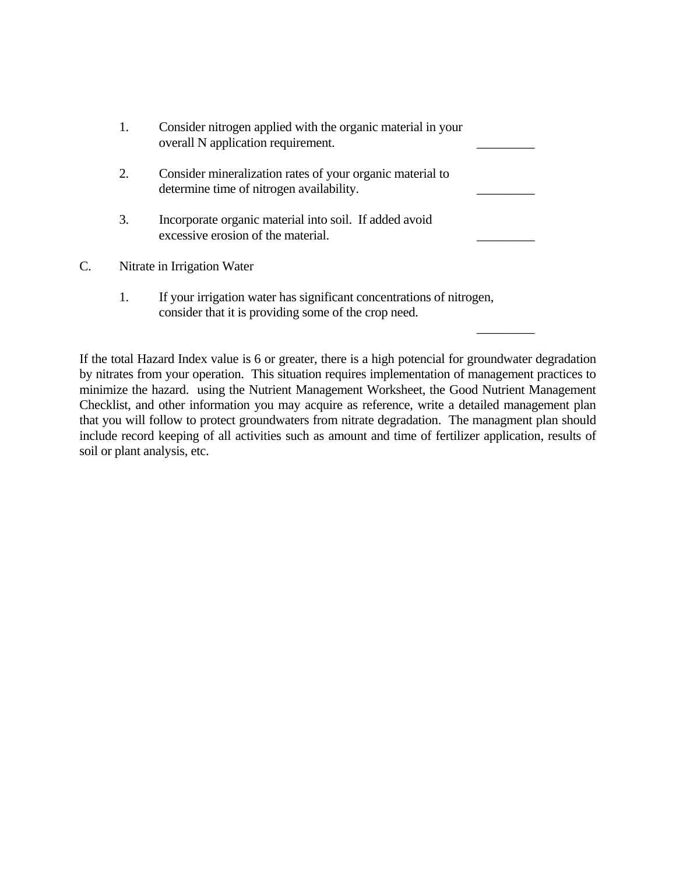|    | 1. | Consider nitrogen applied with the organic material in your<br>overall N application requirement.                            |  |
|----|----|------------------------------------------------------------------------------------------------------------------------------|--|
|    | 2. | Consider mineralization rates of your organic material to<br>determine time of nitrogen availability.                        |  |
|    | 3. | Incorporate organic material into soil. If added avoid<br>excessive erosion of the material.                                 |  |
| C. |    | Nitrate in Irrigation Water                                                                                                  |  |
|    | 1. | If your irrigation water has significant concentrations of nitrogen,<br>consider that it is providing some of the crop need. |  |

 $\mathcal{L}_\text{max}$  and  $\mathcal{L}_\text{max}$  are the set of the set of the set of the set of the set of the set of the set of the set of the set of the set of the set of the set of the set of the set of the set of the set of the set o

If the total Hazard Index value is 6 or greater, there is a high potencial for groundwater degradation by nitrates from your operation. This situation requires implementation of management practices to minimize the hazard. using the Nutrient Management Worksheet, the Good Nutrient Management Checklist, and other information you may acquire as reference, write a detailed management plan that you will follow to protect groundwaters from nitrate degradation. The managment plan should include record keeping of all activities such as amount and time of fertilizer application, results of soil or plant analysis, etc.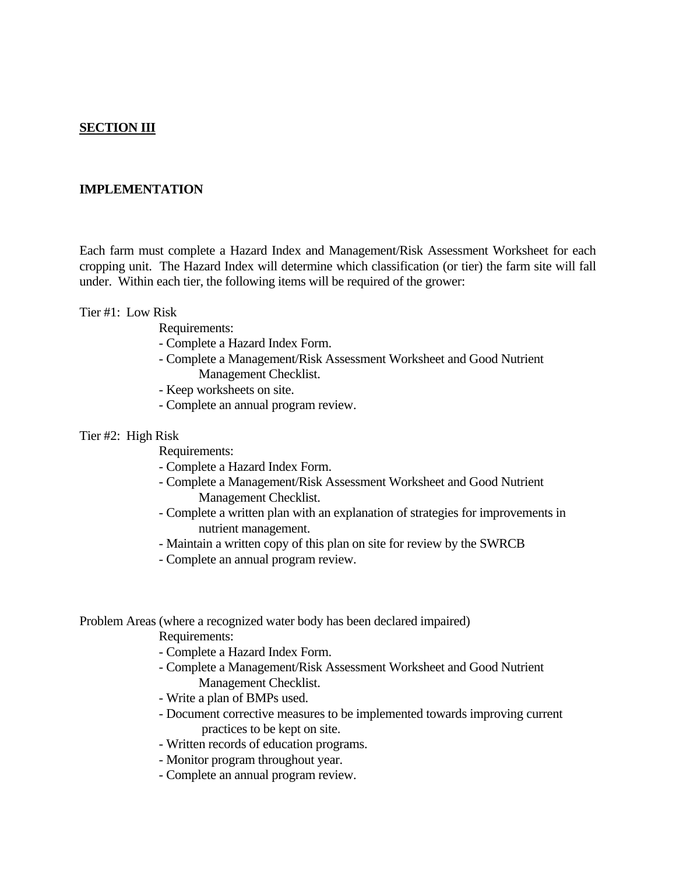## **SECTION III**

## **IMPLEMENTATION**

Each farm must complete a Hazard Index and Management/Risk Assessment Worksheet for each cropping unit. The Hazard Index will determine which classification (or tier) the farm site will fall under. Within each tier, the following items will be required of the grower:

### Tier #1: Low Risk

Requirements:

- Complete a Hazard Index Form.
- Complete a Management/Risk Assessment Worksheet and Good Nutrient Management Checklist.
- Keep worksheets on site.
- Complete an annual program review.

### Tier #2: High Risk

Requirements:

- Complete a Hazard Index Form.
- Complete a Management/Risk Assessment Worksheet and Good Nutrient Management Checklist.
- Complete a written plan with an explanation of strategies for improvements in nutrient management.
- Maintain a written copy of this plan on site for review by the SWRCB
- Complete an annual program review.

Problem Areas (where a recognized water body has been declared impaired)

Requirements:

- Complete a Hazard Index Form.
- Complete a Management/Risk Assessment Worksheet and Good Nutrient Management Checklist.
- Write a plan of BMPs used.
- Document corrective measures to be implemented towards improving current practices to be kept on site.
- Written records of education programs.
- Monitor program throughout year.
- Complete an annual program review.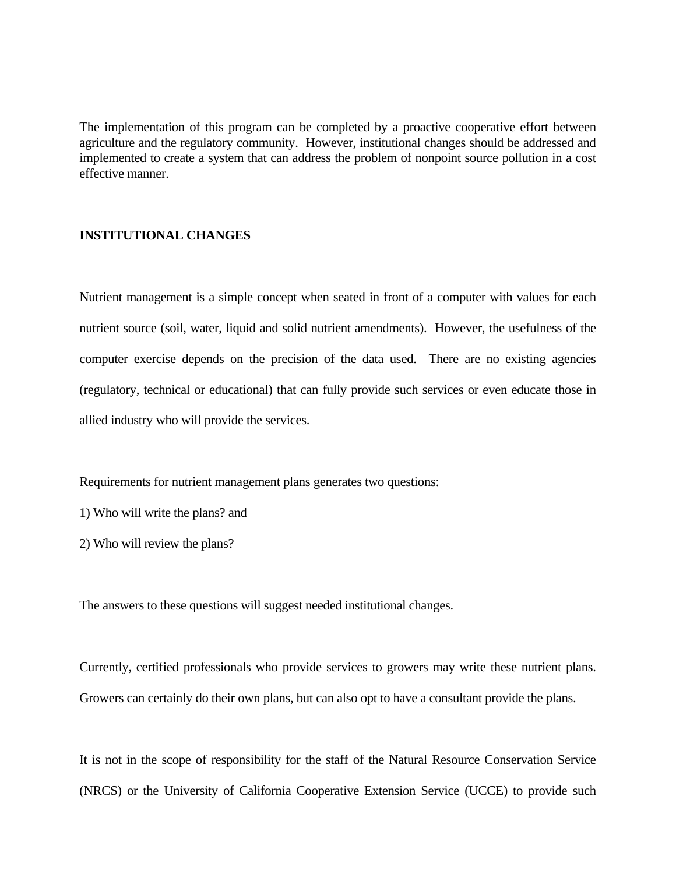The implementation of this program can be completed by a proactive cooperative effort between agriculture and the regulatory community. However, institutional changes should be addressed and implemented to create a system that can address the problem of nonpoint source pollution in a cost effective manner.

## **INSTITUTIONAL CHANGES**

Nutrient management is a simple concept when seated in front of a computer with values for each nutrient source (soil, water, liquid and solid nutrient amendments). However, the usefulness of the computer exercise depends on the precision of the data used. There are no existing agencies (regulatory, technical or educational) that can fully provide such services or even educate those in allied industry who will provide the services.

Requirements for nutrient management plans generates two questions:

1) Who will write the plans? and

2) Who will review the plans?

The answers to these questions will suggest needed institutional changes.

Currently, certified professionals who provide services to growers may write these nutrient plans. Growers can certainly do their own plans, but can also opt to have a consultant provide the plans.

It is not in the scope of responsibility for the staff of the Natural Resource Conservation Service (NRCS) or the University of California Cooperative Extension Service (UCCE) to provide such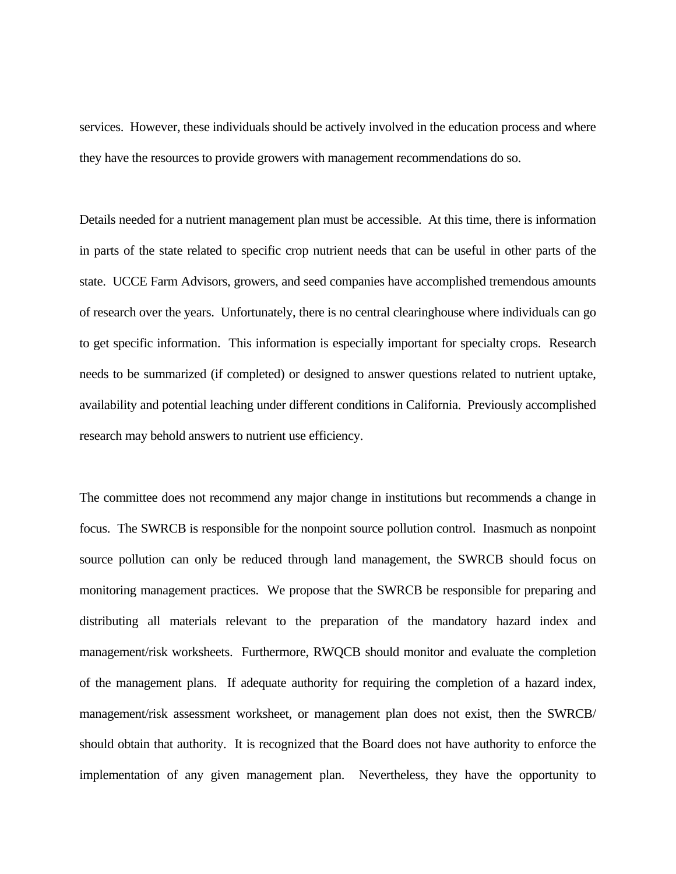services. However, these individuals should be actively involved in the education process and where they have the resources to provide growers with management recommendations do so.

Details needed for a nutrient management plan must be accessible. At this time, there is information in parts of the state related to specific crop nutrient needs that can be useful in other parts of the state. UCCE Farm Advisors, growers, and seed companies have accomplished tremendous amounts of research over the years. Unfortunately, there is no central clearinghouse where individuals can go to get specific information. This information is especially important for specialty crops. Research needs to be summarized (if completed) or designed to answer questions related to nutrient uptake, availability and potential leaching under different conditions in California. Previously accomplished research may behold answers to nutrient use efficiency.

The committee does not recommend any major change in institutions but recommends a change in focus. The SWRCB is responsible for the nonpoint source pollution control. Inasmuch as nonpoint source pollution can only be reduced through land management, the SWRCB should focus on monitoring management practices. We propose that the SWRCB be responsible for preparing and distributing all materials relevant to the preparation of the mandatory hazard index and management/risk worksheets. Furthermore, RWQCB should monitor and evaluate the completion of the management plans. If adequate authority for requiring the completion of a hazard index, management/risk assessment worksheet, or management plan does not exist, then the SWRCB/ should obtain that authority. It is recognized that the Board does not have authority to enforce the implementation of any given management plan. Nevertheless, they have the opportunity to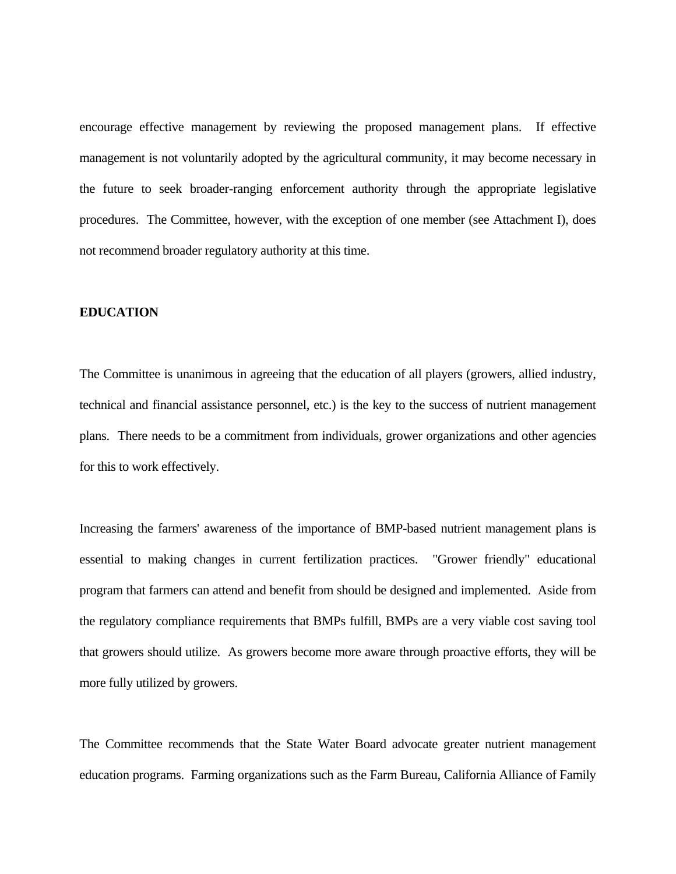encourage effective management by reviewing the proposed management plans. If effective management is not voluntarily adopted by the agricultural community, it may become necessary in the future to seek broader-ranging enforcement authority through the appropriate legislative procedures. The Committee, however, with the exception of one member (see Attachment I), does not recommend broader regulatory authority at this time.

### **EDUCATION**

The Committee is unanimous in agreeing that the education of all players (growers, allied industry, technical and financial assistance personnel, etc.) is the key to the success of nutrient management plans. There needs to be a commitment from individuals, grower organizations and other agencies for this to work effectively.

Increasing the farmers' awareness of the importance of BMP-based nutrient management plans is essential to making changes in current fertilization practices. "Grower friendly" educational program that farmers can attend and benefit from should be designed and implemented. Aside from the regulatory compliance requirements that BMPs fulfill, BMPs are a very viable cost saving tool that growers should utilize. As growers become more aware through proactive efforts, they will be more fully utilized by growers.

The Committee recommends that the State Water Board advocate greater nutrient management education programs. Farming organizations such as the Farm Bureau, California Alliance of Family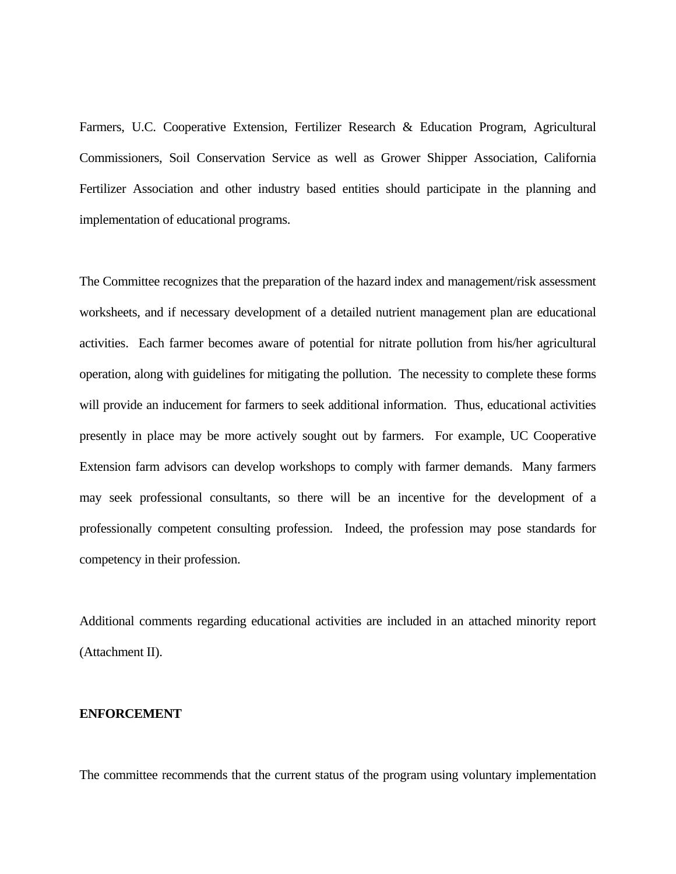Farmers, U.C. Cooperative Extension, Fertilizer Research & Education Program, Agricultural Commissioners, Soil Conservation Service as well as Grower Shipper Association, California Fertilizer Association and other industry based entities should participate in the planning and implementation of educational programs.

The Committee recognizes that the preparation of the hazard index and management/risk assessment worksheets, and if necessary development of a detailed nutrient management plan are educational activities. Each farmer becomes aware of potential for nitrate pollution from his/her agricultural operation, along with guidelines for mitigating the pollution. The necessity to complete these forms will provide an inducement for farmers to seek additional information. Thus, educational activities presently in place may be more actively sought out by farmers. For example, UC Cooperative Extension farm advisors can develop workshops to comply with farmer demands. Many farmers may seek professional consultants, so there will be an incentive for the development of a professionally competent consulting profession. Indeed, the profession may pose standards for competency in their profession.

Additional comments regarding educational activities are included in an attached minority report (Attachment II).

### **ENFORCEMENT**

The committee recommends that the current status of the program using voluntary implementation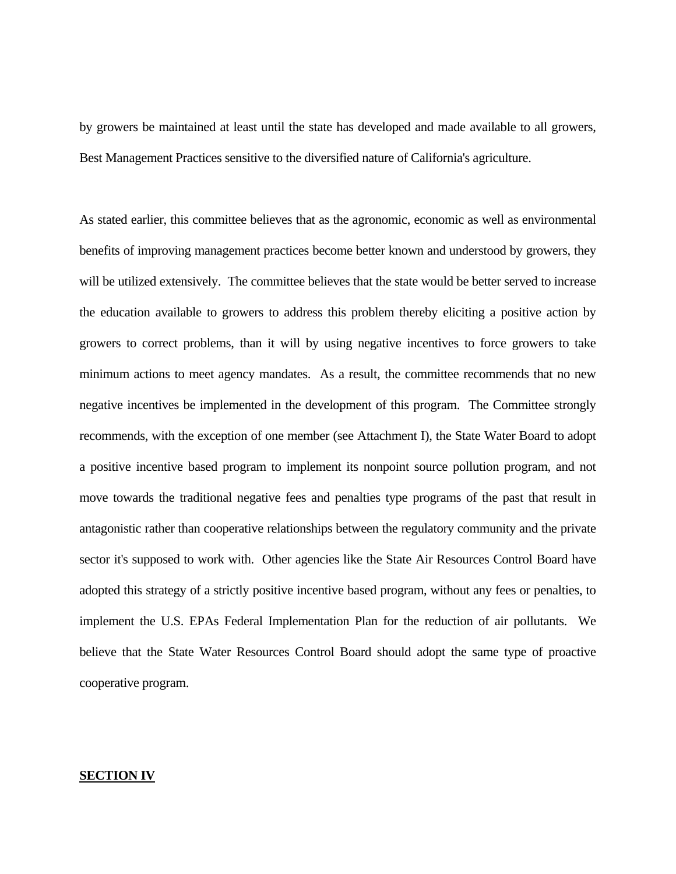by growers be maintained at least until the state has developed and made available to all growers, Best Management Practices sensitive to the diversified nature of California's agriculture.

As stated earlier, this committee believes that as the agronomic, economic as well as environmental benefits of improving management practices become better known and understood by growers, they will be utilized extensively. The committee believes that the state would be better served to increase the education available to growers to address this problem thereby eliciting a positive action by growers to correct problems, than it will by using negative incentives to force growers to take minimum actions to meet agency mandates. As a result, the committee recommends that no new negative incentives be implemented in the development of this program. The Committee strongly recommends, with the exception of one member (see Attachment I), the State Water Board to adopt a positive incentive based program to implement its nonpoint source pollution program, and not move towards the traditional negative fees and penalties type programs of the past that result in antagonistic rather than cooperative relationships between the regulatory community and the private sector it's supposed to work with. Other agencies like the State Air Resources Control Board have adopted this strategy of a strictly positive incentive based program, without any fees or penalties, to implement the U.S. EPAs Federal Implementation Plan for the reduction of air pollutants. We believe that the State Water Resources Control Board should adopt the same type of proactive cooperative program.

### **SECTION IV**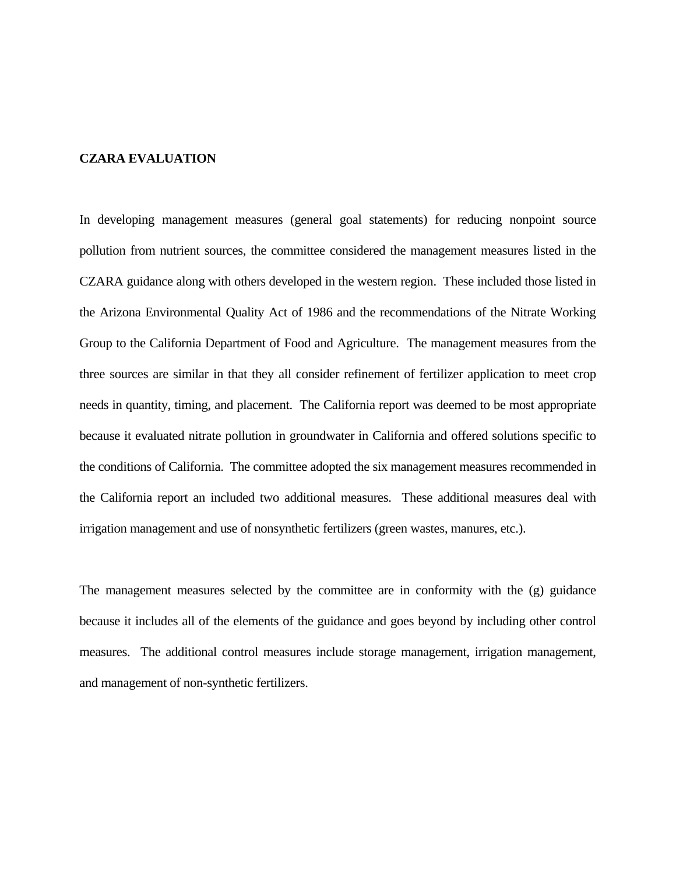### **CZARA EVALUATION**

In developing management measures (general goal statements) for reducing nonpoint source pollution from nutrient sources, the committee considered the management measures listed in the CZARA guidance along with others developed in the western region. These included those listed in the Arizona Environmental Quality Act of 1986 and the recommendations of the Nitrate Working Group to the California Department of Food and Agriculture. The management measures from the three sources are similar in that they all consider refinement of fertilizer application to meet crop needs in quantity, timing, and placement. The California report was deemed to be most appropriate because it evaluated nitrate pollution in groundwater in California and offered solutions specific to the conditions of California. The committee adopted the six management measures recommended in the California report an included two additional measures. These additional measures deal with irrigation management and use of nonsynthetic fertilizers (green wastes, manures, etc.).

The management measures selected by the committee are in conformity with the (g) guidance because it includes all of the elements of the guidance and goes beyond by including other control measures. The additional control measures include storage management, irrigation management, and management of non-synthetic fertilizers.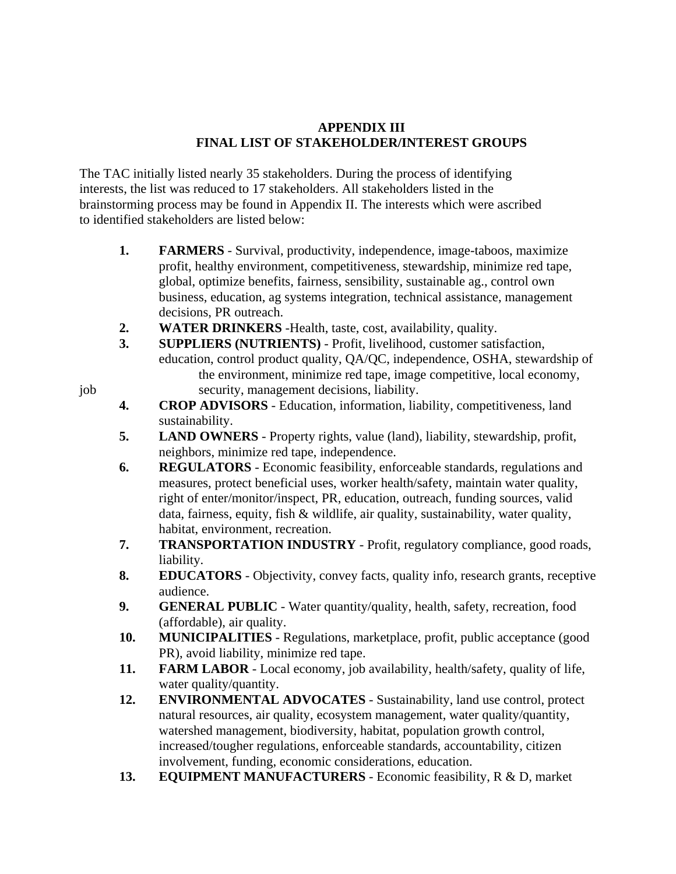# **APPENDIX III FINAL LIST OF STAKEHOLDER/INTEREST GROUPS**

The TAC initially listed nearly 35 stakeholders. During the process of identifying interests, the list was reduced to 17 stakeholders. All stakeholders listed in the brainstorming process may be found in Appendix II. The interests which were ascribed to identified stakeholders are listed below:

- **1. FARMERS** Survival, productivity, independence, image-taboos, maximize profit, healthy environment, competitiveness, stewardship, minimize red tape, global, optimize benefits, fairness, sensibility, sustainable ag., control own business, education, ag systems integration, technical assistance, management decisions, PR outreach.
- **2. WATER DRINKERS** -Health, taste, cost, availability, quality.
- **3. SUPPLIERS (NUTRIENTS)** Profit, livelihood, customer satisfaction, education, control product quality, QA/QC, independence, OSHA, stewardship of the environment, minimize red tape, image competitive, local economy, job security, management decisions, liability.
	- **4. CROP ADVISORS** Education, information, liability, competitiveness, land sustainability.
	- **5. LAND OWNERS** Property rights, value (land), liability, stewardship, profit, neighbors, minimize red tape, independence.
	- **6. REGULATORS** Economic feasibility, enforceable standards, regulations and measures, protect beneficial uses, worker health/safety, maintain water quality, right of enter/monitor/inspect, PR, education, outreach, funding sources, valid data, fairness, equity, fish & wildlife, air quality, sustainability, water quality, habitat, environment, recreation.
	- **7. TRANSPORTATION INDUSTRY** Profit, regulatory compliance, good roads, liability.
	- **8. EDUCATORS** Objectivity, convey facts, quality info, research grants, receptive audience.
	- **9.** GENERAL PUBLIC Water quantity/quality, health, safety, recreation, food (affordable), air quality.
	- **10. MUNICIPALITIES** Regulations, marketplace, profit, public acceptance (good PR), avoid liability, minimize red tape.
	- **11. FARM LABOR** Local economy, job availability, health/safety, quality of life, water quality/quantity.
	- 12. **ENVIRONMENTAL ADVOCATES** Sustainability, land use control, protect natural resources, air quality, ecosystem management, water quality/quantity, watershed management, biodiversity, habitat, population growth control, increased/tougher regulations, enforceable standards, accountability, citizen involvement, funding, economic considerations, education.
	- **13. EQUIPMENT MANUFACTURERS** Economic feasibility, R & D, market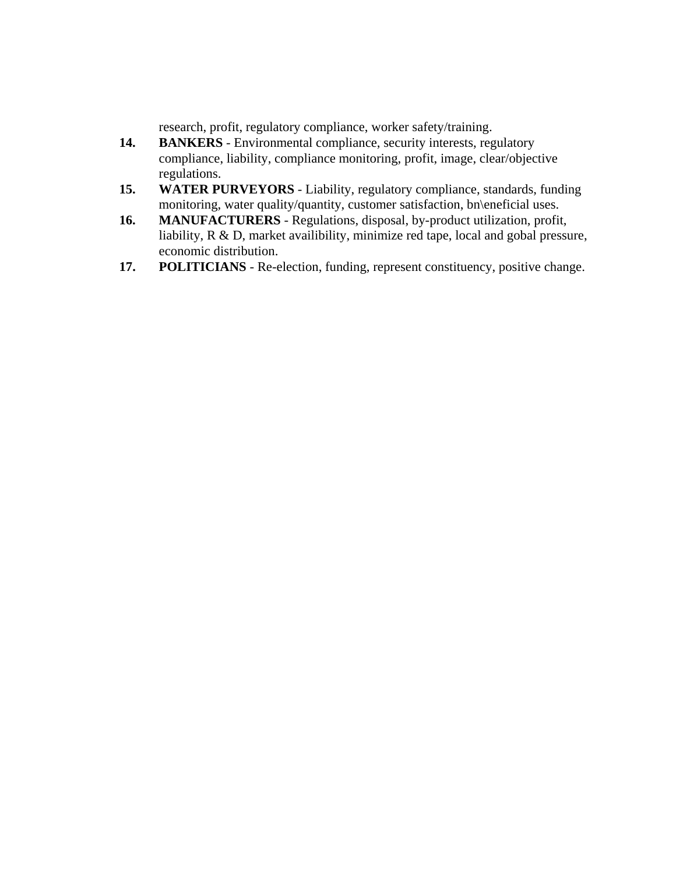research, profit, regulatory compliance, worker safety/training.

- 14. **BANKERS** Environmental compliance, security interests, regulatory compliance, liability, compliance monitoring, profit, image, clear/objective regulations.
- **15. WATER PURVEYORS** Liability, regulatory compliance, standards, funding monitoring, water quality/quantity, customer satisfaction, bn\eneficial uses.
- **16. MANUFACTURERS** Regulations, disposal, by-product utilization, profit, liability, R & D, market availibility, minimize red tape, local and gobal pressure, economic distribution.
- **17. POLITICIANS**  Re-election, funding, represent constituency, positive change.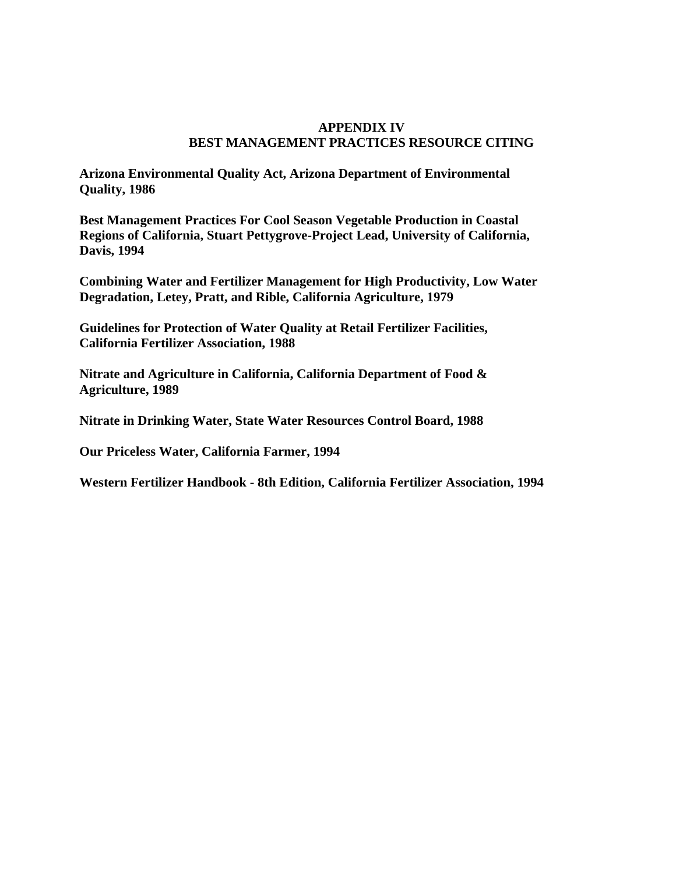## **APPENDIX IV BEST MANAGEMENT PRACTICES RESOURCE CITING**

**Arizona Environmental Quality Act, Arizona Department of Environmental Quality, 1986** 

**Best Management Practices For Cool Season Vegetable Production in Coastal Regions of California, Stuart Pettygrove-Project Lead, University of California, Davis, 1994** 

**Combining Water and Fertilizer Management for High Productivity, Low Water Degradation, Letey, Pratt, and Rible, California Agriculture, 1979** 

**Guidelines for Protection of Water Quality at Retail Fertilizer Facilities, California Fertilizer Association, 1988** 

**Nitrate and Agriculture in California, California Department of Food & Agriculture, 1989** 

**Nitrate in Drinking Water, State Water Resources Control Board, 1988** 

**Our Priceless Water, California Farmer, 1994** 

**Western Fertilizer Handbook - 8th Edition, California Fertilizer Association, 1994**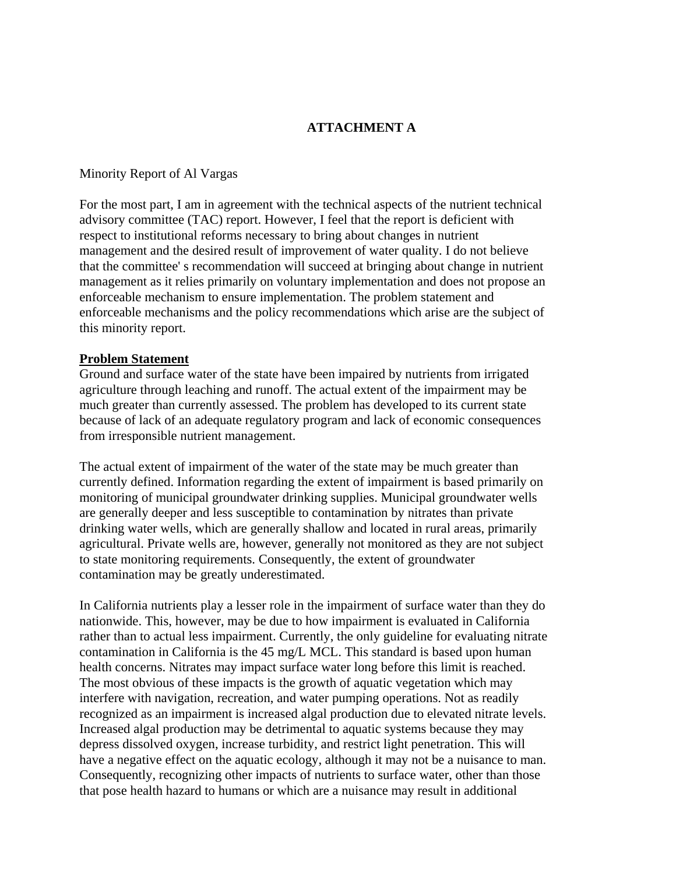# **ATTACHMENT A**

### Minority Report of Al Vargas

For the most part, I am in agreement with the technical aspects of the nutrient technical advisory committee (TAC) report. However, I feel that the report is deficient with respect to institutional reforms necessary to bring about changes in nutrient management and the desired result of improvement of water quality. I do not believe that the committee' s recommendation will succeed at bringing about change in nutrient management as it relies primarily on voluntary implementation and does not propose an enforceable mechanism to ensure implementation. The problem statement and enforceable mechanisms and the policy recommendations which arise are the subject of this minority report.

### **Problem Statement**

Ground and surface water of the state have been impaired by nutrients from irrigated agriculture through leaching and runoff. The actual extent of the impairment may be much greater than currently assessed. The problem has developed to its current state because of lack of an adequate regulatory program and lack of economic consequences from irresponsible nutrient management.

The actual extent of impairment of the water of the state may be much greater than currently defined. Information regarding the extent of impairment is based primarily on monitoring of municipal groundwater drinking supplies. Municipal groundwater wells are generally deeper and less susceptible to contamination by nitrates than private drinking water wells, which are generally shallow and located in rural areas, primarily agricultural. Private wells are, however, generally not monitored as they are not subject to state monitoring requirements. Consequently, the extent of groundwater contamination may be greatly underestimated.

In California nutrients play a lesser role in the impairment of surface water than they do nationwide. This, however, may be due to how impairment is evaluated in California rather than to actual less impairment. Currently, the only guideline for evaluating nitrate contamination in California is the 45 mg/L MCL. This standard is based upon human health concerns. Nitrates may impact surface water long before this limit is reached. The most obvious of these impacts is the growth of aquatic vegetation which may interfere with navigation, recreation, and water pumping operations. Not as readily recognized as an impairment is increased algal production due to elevated nitrate levels. Increased algal production may be detrimental to aquatic systems because they may depress dissolved oxygen, increase turbidity, and restrict light penetration. This will have a negative effect on the aquatic ecology, although it may not be a nuisance to man. Consequently, recognizing other impacts of nutrients to surface water, other than those that pose health hazard to humans or which are a nuisance may result in additional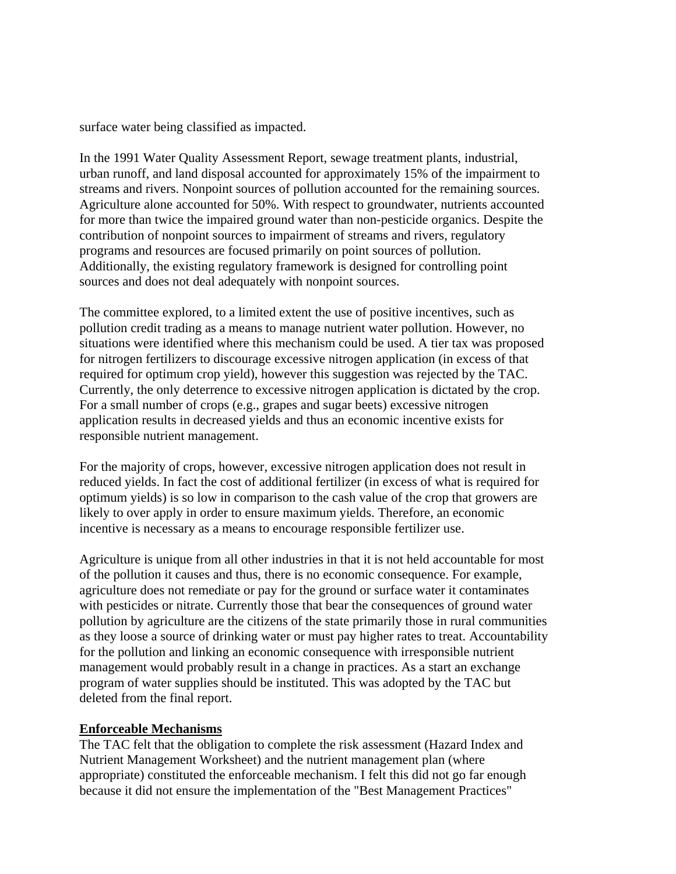surface water being classified as impacted.

In the 1991 Water Quality Assessment Report, sewage treatment plants, industrial, urban runoff, and land disposal accounted for approximately 15% of the impairment to streams and rivers. Nonpoint sources of pollution accounted for the remaining sources. Agriculture alone accounted for 50%. With respect to groundwater, nutrients accounted for more than twice the impaired ground water than non-pesticide organics. Despite the contribution of nonpoint sources to impairment of streams and rivers, regulatory programs and resources are focused primarily on point sources of pollution. Additionally, the existing regulatory framework is designed for controlling point sources and does not deal adequately with nonpoint sources.

The committee explored, to a limited extent the use of positive incentives, such as pollution credit trading as a means to manage nutrient water pollution. However, no situations were identified where this mechanism could be used. A tier tax was proposed for nitrogen fertilizers to discourage excessive nitrogen application (in excess of that required for optimum crop yield), however this suggestion was rejected by the TAC. Currently, the only deterrence to excessive nitrogen application is dictated by the crop. For a small number of crops (e.g., grapes and sugar beets) excessive nitrogen application results in decreased yields and thus an economic incentive exists for responsible nutrient management.

For the majority of crops, however, excessive nitrogen application does not result in reduced yields. In fact the cost of additional fertilizer (in excess of what is required for optimum yields) is so low in comparison to the cash value of the crop that growers are likely to over apply in order to ensure maximum yields. Therefore, an economic incentive is necessary as a means to encourage responsible fertilizer use.

Agriculture is unique from all other industries in that it is not held accountable for most of the pollution it causes and thus, there is no economic consequence. For example, agriculture does not remediate or pay for the ground or surface water it contaminates with pesticides or nitrate. Currently those that bear the consequences of ground water pollution by agriculture are the citizens of the state primarily those in rural communities as they loose a source of drinking water or must pay higher rates to treat. Accountability for the pollution and linking an economic consequence with irresponsible nutrient management would probably result in a change in practices. As a start an exchange program of water supplies should be instituted. This was adopted by the TAC but deleted from the final report.

### **Enforceable Mechanisms**

The TAC felt that the obligation to complete the risk assessment (Hazard Index and Nutrient Management Worksheet) and the nutrient management plan (where appropriate) constituted the enforceable mechanism. I felt this did not go far enough because it did not ensure the implementation of the "Best Management Practices"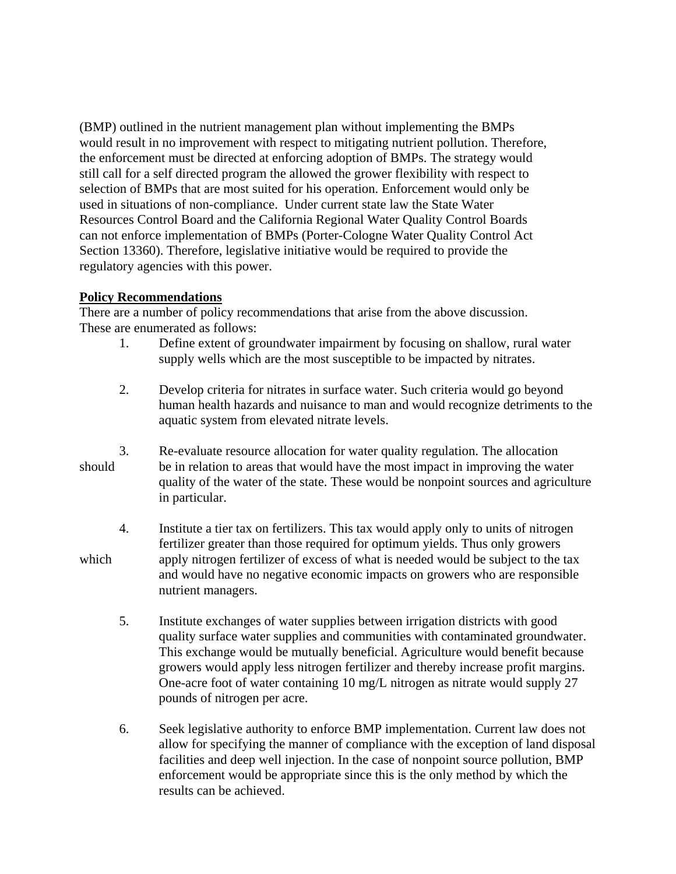(BMP) outlined in the nutrient management plan without implementing the BMPs would result in no improvement with respect to mitigating nutrient pollution. Therefore, the enforcement must be directed at enforcing adoption of BMPs. The strategy would still call for a self directed program the allowed the grower flexibility with respect to selection of BMPs that are most suited for his operation. Enforcement would only be used in situations of non-compliance. Under current state law the State Water Resources Control Board and the California Regional Water Quality Control Boards can not enforce implementation of BMPs (Porter-Cologne Water Quality Control Act Section 13360). Therefore, legislative initiative would be required to provide the regulatory agencies with this power.

# **Policy Recommendations**

There are a number of policy recommendations that arise from the above discussion. These are enumerated as follows:

- 1. Define extent of groundwater impairment by focusing on shallow, rural water supply wells which are the most susceptible to be impacted by nitrates.
- 2. Develop criteria for nitrates in surface water. Such criteria would go beyond human health hazards and nuisance to man and would recognize detriments to the aquatic system from elevated nitrate levels.
- 3. Re-evaluate resource allocation for water quality regulation. The allocation should be in relation to areas that would have the most impact in improving the water quality of the water of the state. These would be nonpoint sources and agriculture in particular.
- 4. Institute a tier tax on fertilizers. This tax would apply only to units of nitrogen fertilizer greater than those required for optimum yields. Thus only growers which apply nitrogen fertilizer of excess of what is needed would be subject to the tax and would have no negative economic impacts on growers who are responsible nutrient managers.
	- 5. Institute exchanges of water supplies between irrigation districts with good quality surface water supplies and communities with contaminated groundwater. This exchange would be mutually beneficial. Agriculture would benefit because growers would apply less nitrogen fertilizer and thereby increase profit margins. One-acre foot of water containing 10 mg/L nitrogen as nitrate would supply 27 pounds of nitrogen per acre.
	- 6. Seek legislative authority to enforce BMP implementation. Current law does not allow for specifying the manner of compliance with the exception of land disposal facilities and deep well injection. In the case of nonpoint source pollution, BMP enforcement would be appropriate since this is the only method by which the results can be achieved.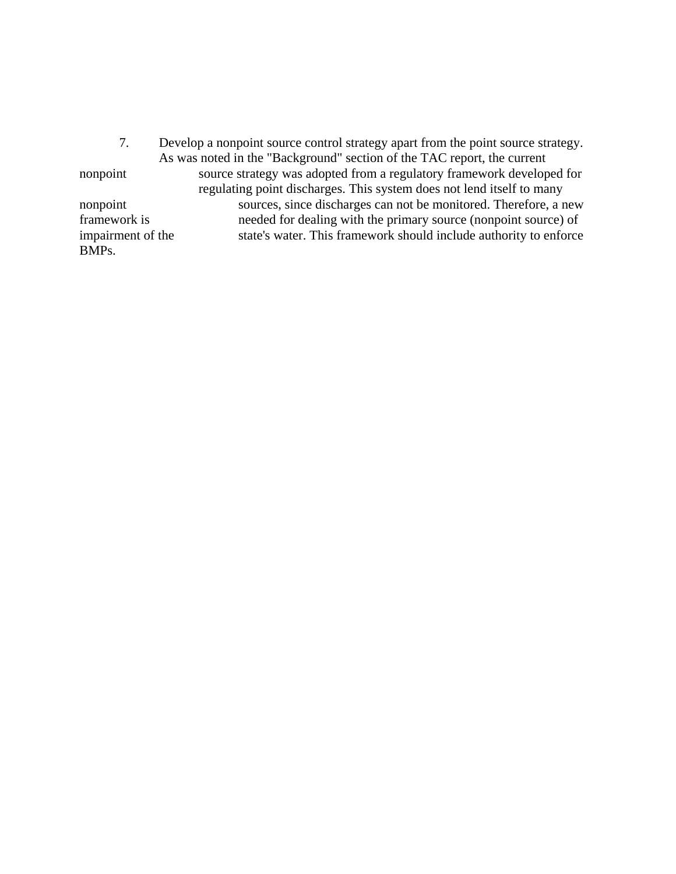7. Develop a nonpoint source control strategy apart from the point source strategy. As was noted in the "Background" section of the TAC report, the current nonpoint source strategy was adopted from a regulatory framework developed for regulating point discharges. This system does not lend itself to many nonpoint sources, since discharges can not be monitored. Therefore, a new framework is needed for dealing with the primary source (nonpoint source) of impairment of the state's water. This framework should include authority to enforce BMPs.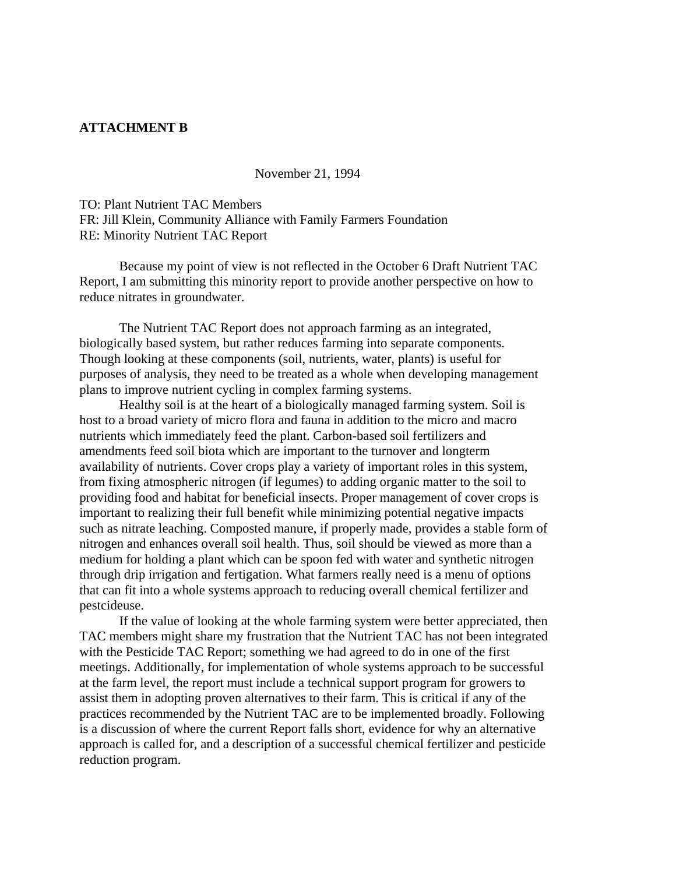## **ATTACHMENT B**

November 21, 1994

TO: Plant Nutrient TAC Members FR: Jill Klein, Community Alliance with Family Farmers Foundation RE: Minority Nutrient TAC Report

 Because my point of view is not reflected in the October 6 Draft Nutrient TAC Report, I am submitting this minority report to provide another perspective on how to reduce nitrates in groundwater.

 The Nutrient TAC Report does not approach farming as an integrated, biologically based system, but rather reduces farming into separate components. Though looking at these components (soil, nutrients, water, plants) is useful for purposes of analysis, they need to be treated as a whole when developing management plans to improve nutrient cycling in complex farming systems.

 Healthy soil is at the heart of a biologically managed farming system. Soil is host to a broad variety of micro flora and fauna in addition to the micro and macro nutrients which immediately feed the plant. Carbon-based soil fertilizers and amendments feed soil biota which are important to the turnover and longterm availability of nutrients. Cover crops play a variety of important roles in this system, from fixing atmospheric nitrogen (if legumes) to adding organic matter to the soil to providing food and habitat for beneficial insects. Proper management of cover crops is important to realizing their full benefit while minimizing potential negative impacts such as nitrate leaching. Composted manure, if properly made, provides a stable form of nitrogen and enhances overall soil health. Thus, soil should be viewed as more than a medium for holding a plant which can be spoon fed with water and synthetic nitrogen through drip irrigation and fertigation. What farmers really need is a menu of options that can fit into a whole systems approach to reducing overall chemical fertilizer and pestcideuse.

 If the value of looking at the whole farming system were better appreciated, then TAC members might share my frustration that the Nutrient TAC has not been integrated with the Pesticide TAC Report; something we had agreed to do in one of the first meetings. Additionally, for implementation of whole systems approach to be successful at the farm level, the report must include a technical support program for growers to assist them in adopting proven alternatives to their farm. This is critical if any of the practices recommended by the Nutrient TAC are to be implemented broadly. Following is a discussion of where the current Report falls short, evidence for why an alternative approach is called for, and a description of a successful chemical fertilizer and pesticide reduction program.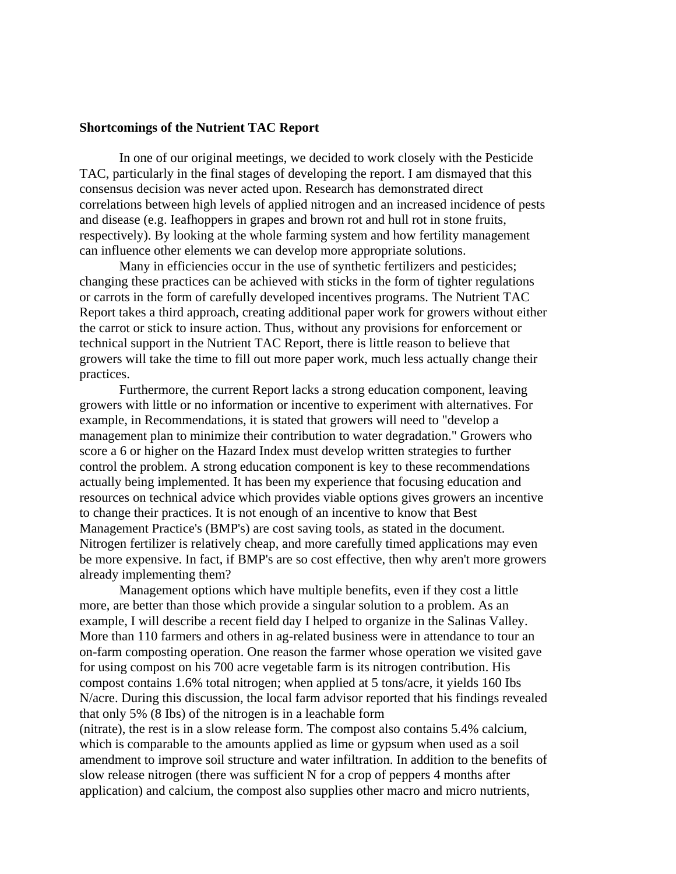## **Shortcomings of the Nutrient TAC Report**

 In one of our original meetings, we decided to work closely with the Pesticide TAC, particularly in the final stages of developing the report. I am dismayed that this consensus decision was never acted upon. Research has demonstrated direct correlations between high levels of applied nitrogen and an increased incidence of pests and disease (e.g. Ieafhoppers in grapes and brown rot and hull rot in stone fruits, respectively). By looking at the whole farming system and how fertility management can influence other elements we can develop more appropriate solutions.

 Many in efficiencies occur in the use of synthetic fertilizers and pesticides; changing these practices can be achieved with sticks in the form of tighter regulations or carrots in the form of carefully developed incentives programs. The Nutrient TAC Report takes a third approach, creating additional paper work for growers without either the carrot or stick to insure action. Thus, without any provisions for enforcement or technical support in the Nutrient TAC Report, there is little reason to believe that growers will take the time to fill out more paper work, much less actually change their practices.

 Furthermore, the current Report lacks a strong education component, leaving growers with little or no information or incentive to experiment with alternatives. For example, in Recommendations, it is stated that growers will need to "develop a management plan to minimize their contribution to water degradation." Growers who score a 6 or higher on the Hazard Index must develop written strategies to further control the problem. A strong education component is key to these recommendations actually being implemented. It has been my experience that focusing education and resources on technical advice which provides viable options gives growers an incentive to change their practices. It is not enough of an incentive to know that Best Management Practice's (BMP's) are cost saving tools, as stated in the document. Nitrogen fertilizer is relatively cheap, and more carefully timed applications may even be more expensive. In fact, if BMP's are so cost effective, then why aren't more growers already implementing them?

 Management options which have multiple benefits, even if they cost a little more, are better than those which provide a singular solution to a problem. As an example, I will describe a recent field day I helped to organize in the Salinas Valley. More than 110 farmers and others in ag-related business were in attendance to tour an on-farm composting operation. One reason the farmer whose operation we visited gave for using compost on his 700 acre vegetable farm is its nitrogen contribution. His compost contains 1.6% total nitrogen; when applied at 5 tons/acre, it yields 160 Ibs N/acre. During this discussion, the local farm advisor reported that his findings revealed that only 5% (8 Ibs) of the nitrogen is in a leachable form (nitrate), the rest is in a slow release form. The compost also contains 5.4% calcium, which is comparable to the amounts applied as lime or gypsum when used as a soil amendment to improve soil structure and water infiltration. In addition to the benefits of slow release nitrogen (there was sufficient N for a crop of peppers 4 months after

application) and calcium, the compost also supplies other macro and micro nutrients,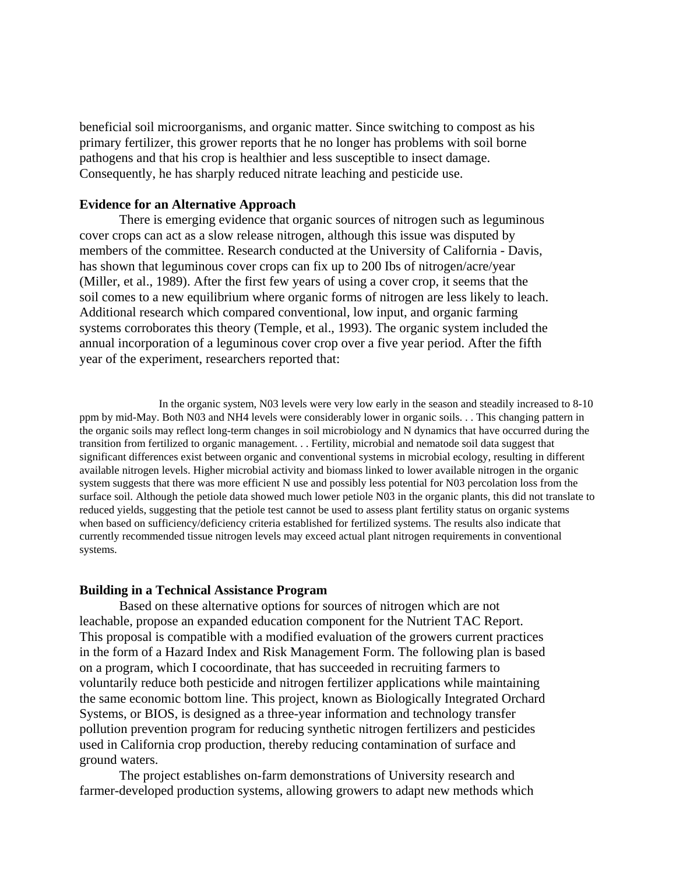beneficial soil microorganisms, and organic matter. Since switching to compost as his primary fertilizer, this grower reports that he no longer has problems with soil borne pathogens and that his crop is healthier and less susceptible to insect damage. Consequently, he has sharply reduced nitrate leaching and pesticide use.

## **Evidence for an Alternative Approach**

 There is emerging evidence that organic sources of nitrogen such as leguminous cover crops can act as a slow release nitrogen, although this issue was disputed by members of the committee. Research conducted at the University of California - Davis, has shown that leguminous cover crops can fix up to 200 Ibs of nitrogen/acre/year (Miller, et al., 1989). After the first few years of using a cover crop, it seems that the soil comes to a new equilibrium where organic forms of nitrogen are less likely to leach. Additional research which compared conventional, low input, and organic farming systems corroborates this theory (Temple, et al., 1993). The organic system included the annual incorporation of a leguminous cover crop over a five year period. After the fifth year of the experiment, researchers reported that:

 In the organic system, N03 levels were very low early in the season and steadily increased to 8-10 ppm by mid-May. Both N03 and NH4 levels were considerably lower in organic soils. . . This changing pattern in the organic soils may reflect long-term changes in soil microbiology and N dynamics that have occurred during the transition from fertilized to organic management. . . Fertility, microbial and nematode soil data suggest that significant differences exist between organic and conventional systems in microbial ecology, resulting in different available nitrogen levels. Higher microbial activity and biomass linked to lower available nitrogen in the organic system suggests that there was more efficient N use and possibly less potential for N03 percolation loss from the surface soil. Although the petiole data showed much lower petiole N03 in the organic plants, this did not translate to reduced yields, suggesting that the petiole test cannot be used to assess plant fertility status on organic systems when based on sufficiency/deficiency criteria established for fertilized systems. The results also indicate that currently recommended tissue nitrogen levels may exceed actual plant nitrogen requirements in conventional systems.

## **Building in a Technical Assistance Program**

 Based on these alternative options for sources of nitrogen which are not leachable, propose an expanded education component for the Nutrient TAC Report. This proposal is compatible with a modified evaluation of the growers current practices in the form of a Hazard Index and Risk Management Form. The following plan is based on a program, which I cocoordinate, that has succeeded in recruiting farmers to voluntarily reduce both pesticide and nitrogen fertilizer applications while maintaining the same economic bottom line. This project, known as Biologically Integrated Orchard Systems, or BIOS, is designed as a three-year information and technology transfer pollution prevention program for reducing synthetic nitrogen fertilizers and pesticides used in California crop production, thereby reducing contamination of surface and ground waters.

 The project establishes on-farm demonstrations of University research and farmer-developed production systems, allowing growers to adapt new methods which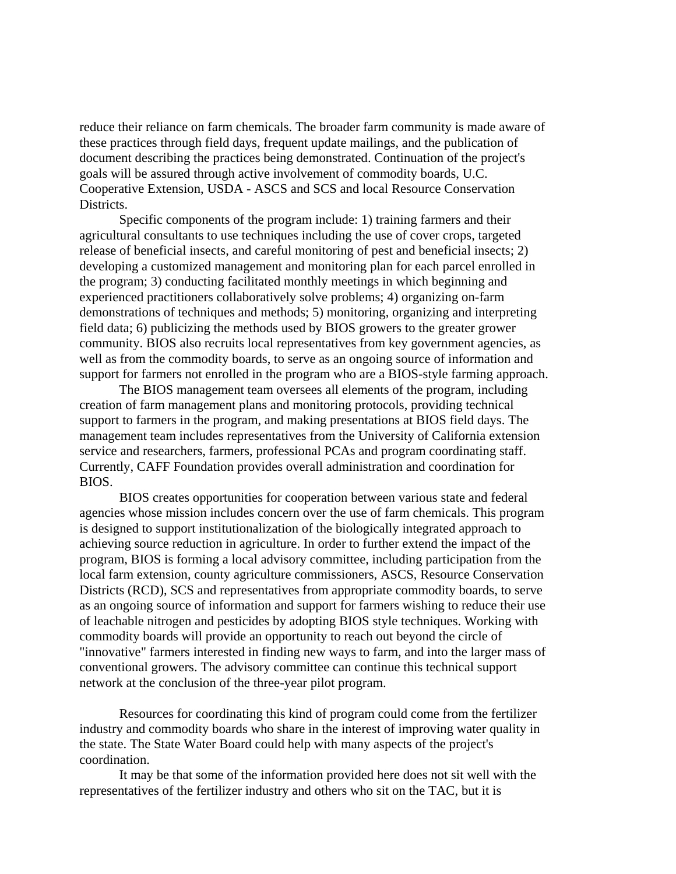reduce their reliance on farm chemicals. The broader farm community is made aware of these practices through field days, frequent update mailings, and the publication of document describing the practices being demonstrated. Continuation of the project's goals will be assured through active involvement of commodity boards, U.C. Cooperative Extension, USDA - ASCS and SCS and local Resource Conservation Districts.

 Specific components of the program include: 1) training farmers and their agricultural consultants to use techniques including the use of cover crops, targeted release of beneficial insects, and careful monitoring of pest and beneficial insects; 2) developing a customized management and monitoring plan for each parcel enrolled in the program; 3) conducting facilitated monthly meetings in which beginning and experienced practitioners collaboratively solve problems; 4) organizing on-farm demonstrations of techniques and methods; 5) monitoring, organizing and interpreting field data; 6) publicizing the methods used by BIOS growers to the greater grower community. BIOS also recruits local representatives from key government agencies, as well as from the commodity boards, to serve as an ongoing source of information and support for farmers not enrolled in the program who are a BIOS-style farming approach.

 The BIOS management team oversees all elements of the program, including creation of farm management plans and monitoring protocols, providing technical support to farmers in the program, and making presentations at BIOS field days. The management team includes representatives from the University of California extension service and researchers, farmers, professional PCAs and program coordinating staff. Currently, CAFF Foundation provides overall administration and coordination for BIOS.

 BIOS creates opportunities for cooperation between various state and federal agencies whose mission includes concern over the use of farm chemicals. This program is designed to support institutionalization of the biologically integrated approach to achieving source reduction in agriculture. In order to further extend the impact of the program, BIOS is forming a local advisory committee, including participation from the local farm extension, county agriculture commissioners, ASCS, Resource Conservation Districts (RCD), SCS and representatives from appropriate commodity boards, to serve as an ongoing source of information and support for farmers wishing to reduce their use of leachable nitrogen and pesticides by adopting BIOS style techniques. Working with commodity boards will provide an opportunity to reach out beyond the circle of "innovative" farmers interested in finding new ways to farm, and into the larger mass of conventional growers. The advisory committee can continue this technical support network at the conclusion of the three-year pilot program.

 Resources for coordinating this kind of program could come from the fertilizer industry and commodity boards who share in the interest of improving water quality in the state. The State Water Board could help with many aspects of the project's coordination.

 It may be that some of the information provided here does not sit well with the representatives of the fertilizer industry and others who sit on the TAC, but it is